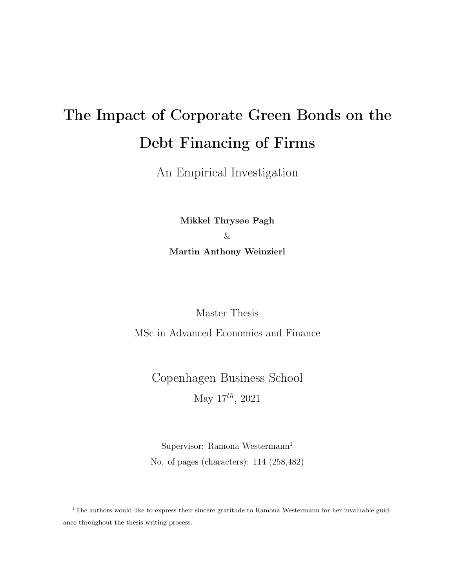# The Impact of Corporate Green Bonds on the Debt Financing of Firms

An Empirical Investigation

Mikkel Thrysøe Pagh & Martin Anthony Weinzierl

Master Thesis

MSc in Advanced Economics and Finance

Copenhagen Business School May  $17^{th}$ , 2021

Supervisor: Ramona Westermann<sup>1</sup> No. of pages (characters): 114 (258,482)

<sup>&</sup>lt;sup>1</sup>The authors would like to express their sincere gratitude to Ramona Westermann for her invaluable guidance throughout the thesis writing process.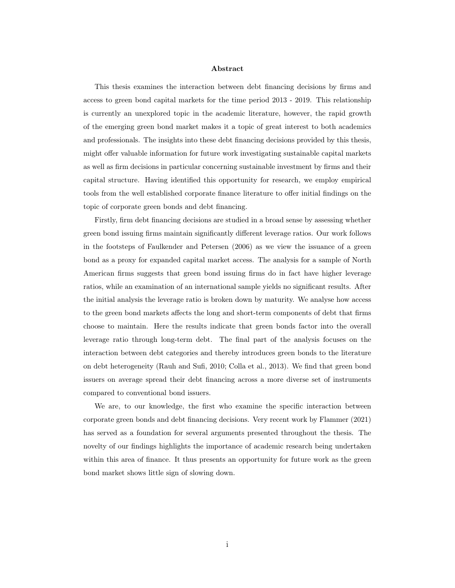#### Abstract

This thesis examines the interaction between debt financing decisions by firms and access to green bond capital markets for the time period 2013 - 2019. This relationship is currently an unexplored topic in the academic literature, however, the rapid growth of the emerging green bond market makes it a topic of great interest to both academics and professionals. The insights into these debt financing decisions provided by this thesis, might offer valuable information for future work investigating sustainable capital markets as well as firm decisions in particular concerning sustainable investment by firms and their capital structure. Having identified this opportunity for research, we employ empirical tools from the well established corporate finance literature to offer initial findings on the topic of corporate green bonds and debt financing.

Firstly, firm debt financing decisions are studied in a broad sense by assessing whether green bond issuing firms maintain significantly different leverage ratios. Our work follows in the footsteps of Faulkender and Petersen (2006) as we view the issuance of a green bond as a proxy for expanded capital market access. The analysis for a sample of North American firms suggests that green bond issuing firms do in fact have higher leverage ratios, while an examination of an international sample yields no significant results. After the initial analysis the leverage ratio is broken down by maturity. We analyse how access to the green bond markets affects the long and short-term components of debt that firms choose to maintain. Here the results indicate that green bonds factor into the overall leverage ratio through long-term debt. The final part of the analysis focuses on the interaction between debt categories and thereby introduces green bonds to the literature on debt heterogeneity (Rauh and Sufi, 2010; Colla et al., 2013). We find that green bond issuers on average spread their debt financing across a more diverse set of instruments compared to conventional bond issuers.

We are, to our knowledge, the first who examine the specific interaction between corporate green bonds and debt financing decisions. Very recent work by Flammer (2021) has served as a foundation for several arguments presented throughout the thesis. The novelty of our findings highlights the importance of academic research being undertaken within this area of finance. It thus presents an opportunity for future work as the green bond market shows little sign of slowing down.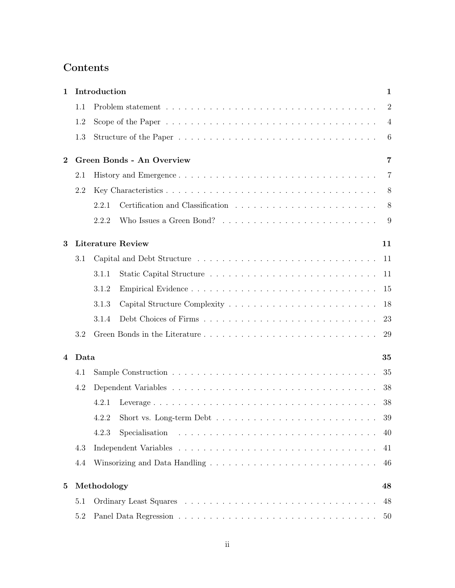# Contents

| 1.       |                                       | Introduction                   |                                                                                        | $\mathbf{1}$   |  |  |  |
|----------|---------------------------------------|--------------------------------|----------------------------------------------------------------------------------------|----------------|--|--|--|
|          | 1.1                                   |                                |                                                                                        | $\overline{2}$ |  |  |  |
|          | 1.2                                   |                                |                                                                                        | $\overline{4}$ |  |  |  |
|          | 1.3                                   |                                |                                                                                        | 6              |  |  |  |
| $\bf{2}$ | <b>Green Bonds - An Overview</b><br>7 |                                |                                                                                        |                |  |  |  |
|          | 2.1                                   |                                |                                                                                        | $\overline{7}$ |  |  |  |
|          | 2.2                                   |                                |                                                                                        | 8              |  |  |  |
|          |                                       | 2.2.1                          |                                                                                        | 8              |  |  |  |
|          |                                       | 2.2.2                          |                                                                                        | 9              |  |  |  |
| 3        |                                       | <b>Literature Review</b><br>11 |                                                                                        |                |  |  |  |
|          | 3.1                                   |                                |                                                                                        | -11            |  |  |  |
|          |                                       | 3.1.1                          |                                                                                        | 11             |  |  |  |
|          |                                       | 3.1.2                          |                                                                                        | 15             |  |  |  |
|          |                                       | 3.1.3                          |                                                                                        | 18             |  |  |  |
|          |                                       | 3.1.4                          |                                                                                        | 23             |  |  |  |
|          | 3.2                                   |                                |                                                                                        | 29             |  |  |  |
| 4        |                                       | Data<br>35                     |                                                                                        |                |  |  |  |
|          | 4.1                                   |                                |                                                                                        | 35             |  |  |  |
|          | 4.2                                   |                                |                                                                                        | 38             |  |  |  |
|          |                                       | 4.2.1                          |                                                                                        | 38             |  |  |  |
|          |                                       |                                |                                                                                        | 39             |  |  |  |
|          |                                       | 4.2.3                          | Specialisation $\ldots \ldots \ldots \ldots \ldots \ldots \ldots \ldots \ldots \ldots$ | 40             |  |  |  |
|          | 4.3                                   |                                |                                                                                        | 41             |  |  |  |
|          | 4.4                                   |                                |                                                                                        | 46             |  |  |  |
| 5        | Methodology<br>48                     |                                |                                                                                        |                |  |  |  |
|          | 5.1                                   |                                |                                                                                        | 48             |  |  |  |
|          | 5.2                                   |                                |                                                                                        | 50             |  |  |  |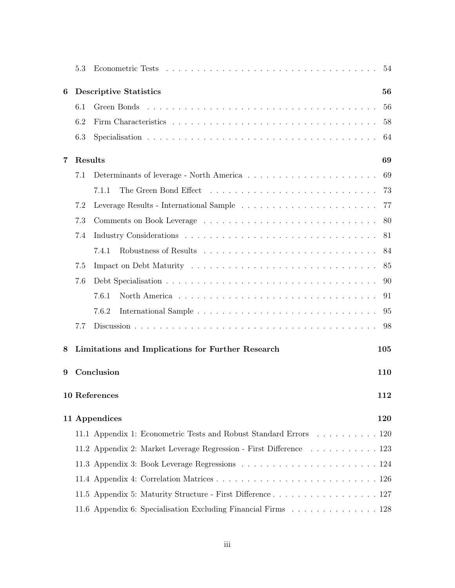|   | 5.3     |                                                                    | 54  |  |  |  |  |
|---|---------|--------------------------------------------------------------------|-----|--|--|--|--|
| 6 |         | <b>Descriptive Statistics</b><br>56                                |     |  |  |  |  |
|   | 6.1     |                                                                    | 56  |  |  |  |  |
|   | 6.2     |                                                                    | 58  |  |  |  |  |
|   | 6.3     |                                                                    | 64  |  |  |  |  |
| 7 | Results |                                                                    | 69  |  |  |  |  |
|   | 7.1     |                                                                    | 69  |  |  |  |  |
|   |         | 7.1.1                                                              | 73  |  |  |  |  |
|   | 7.2     |                                                                    | 77  |  |  |  |  |
|   | 7.3     |                                                                    | 80  |  |  |  |  |
|   | 7.4     |                                                                    | 81  |  |  |  |  |
|   |         | 7.4.1                                                              | 84  |  |  |  |  |
|   | 7.5     |                                                                    | 85  |  |  |  |  |
|   | 7.6     |                                                                    | 90  |  |  |  |  |
|   |         | 7.6.1                                                              | 91  |  |  |  |  |
|   |         | 7.6.2                                                              | 95  |  |  |  |  |
|   | 7.7     |                                                                    | 98  |  |  |  |  |
| 8 |         | Limitations and Implications for Further Research                  | 105 |  |  |  |  |
| 9 |         | Conclusion<br>110                                                  |     |  |  |  |  |
|   |         | 10 References                                                      | 112 |  |  |  |  |
|   |         | 11 Appendices                                                      | 120 |  |  |  |  |
|   |         | 11.1 Appendix 1: Econometric Tests and Robust Standard Errors 120  |     |  |  |  |  |
|   |         | 11.2 Appendix 2: Market Leverage Regression - First Difference 123 |     |  |  |  |  |
|   |         |                                                                    |     |  |  |  |  |
|   |         |                                                                    |     |  |  |  |  |
|   |         | 11.5 Appendix 5: Maturity Structure - First Difference 127         |     |  |  |  |  |
|   |         | 11.6 Appendix 6: Specialisation Excluding Financial Firms 128      |     |  |  |  |  |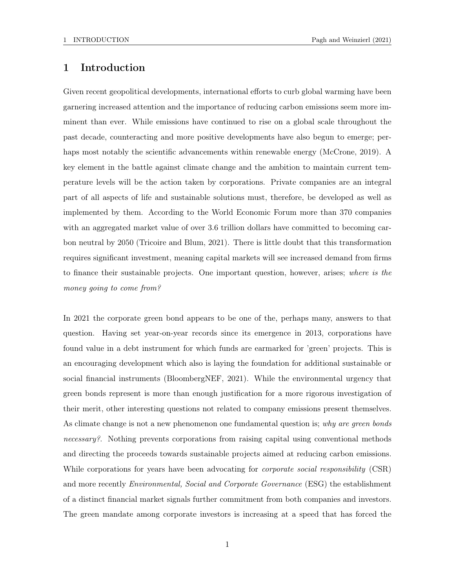## 1 Introduction

Given recent geopolitical developments, international efforts to curb global warming have been garnering increased attention and the importance of reducing carbon emissions seem more imminent than ever. While emissions have continued to rise on a global scale throughout the past decade, counteracting and more positive developments have also begun to emerge; perhaps most notably the scientific advancements within renewable energy (McCrone, 2019). A key element in the battle against climate change and the ambition to maintain current temperature levels will be the action taken by corporations. Private companies are an integral part of all aspects of life and sustainable solutions must, therefore, be developed as well as implemented by them. According to the World Economic Forum more than 370 companies with an aggregated market value of over 3.6 trillion dollars have committed to becoming carbon neutral by 2050 (Tricoire and Blum, 2021). There is little doubt that this transformation requires significant investment, meaning capital markets will see increased demand from firms to finance their sustainable projects. One important question, however, arises; where is the money going to come from?

In 2021 the corporate green bond appears to be one of the, perhaps many, answers to that question. Having set year-on-year records since its emergence in 2013, corporations have found value in a debt instrument for which funds are earmarked for 'green' projects. This is an encouraging development which also is laying the foundation for additional sustainable or social financial instruments (BloombergNEF, 2021). While the environmental urgency that green bonds represent is more than enough justification for a more rigorous investigation of their merit, other interesting questions not related to company emissions present themselves. As climate change is not a new phenomenon one fundamental question is; why are green bonds necessary?. Nothing prevents corporations from raising capital using conventional methods and directing the proceeds towards sustainable projects aimed at reducing carbon emissions. While corporations for years have been advocating for *corporate social responsibility* (CSR) and more recently *Environmental, Social and Corporate Governance* (ESG) the establishment of a distinct financial market signals further commitment from both companies and investors. The green mandate among corporate investors is increasing at a speed that has forced the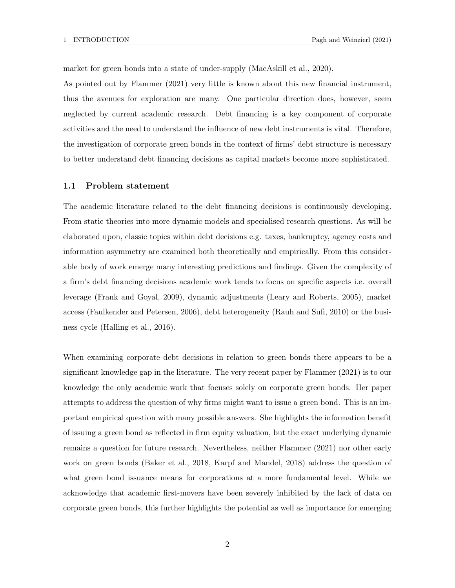market for green bonds into a state of under-supply (MacAskill et al., 2020).

As pointed out by Flammer (2021) very little is known about this new financial instrument, thus the avenues for exploration are many. One particular direction does, however, seem neglected by current academic research. Debt financing is a key component of corporate activities and the need to understand the influence of new debt instruments is vital. Therefore, the investigation of corporate green bonds in the context of firms' debt structure is necessary to better understand debt financing decisions as capital markets become more sophisticated.

#### 1.1 Problem statement

The academic literature related to the debt financing decisions is continuously developing. From static theories into more dynamic models and specialised research questions. As will be elaborated upon, classic topics within debt decisions e.g. taxes, bankruptcy, agency costs and information asymmetry are examined both theoretically and empirically. From this considerable body of work emerge many interesting predictions and findings. Given the complexity of a firm's debt financing decisions academic work tends to focus on specific aspects i.e. overall leverage (Frank and Goyal, 2009), dynamic adjustments (Leary and Roberts, 2005), market access (Faulkender and Petersen, 2006), debt heterogeneity (Rauh and Sufi, 2010) or the business cycle (Halling et al., 2016).

When examining corporate debt decisions in relation to green bonds there appears to be a significant knowledge gap in the literature. The very recent paper by Flammer (2021) is to our knowledge the only academic work that focuses solely on corporate green bonds. Her paper attempts to address the question of why firms might want to issue a green bond. This is an important empirical question with many possible answers. She highlights the information benefit of issuing a green bond as reflected in firm equity valuation, but the exact underlying dynamic remains a question for future research. Nevertheless, neither Flammer (2021) nor other early work on green bonds (Baker et al., 2018, Karpf and Mandel, 2018) address the question of what green bond issuance means for corporations at a more fundamental level. While we acknowledge that academic first-movers have been severely inhibited by the lack of data on corporate green bonds, this further highlights the potential as well as importance for emerging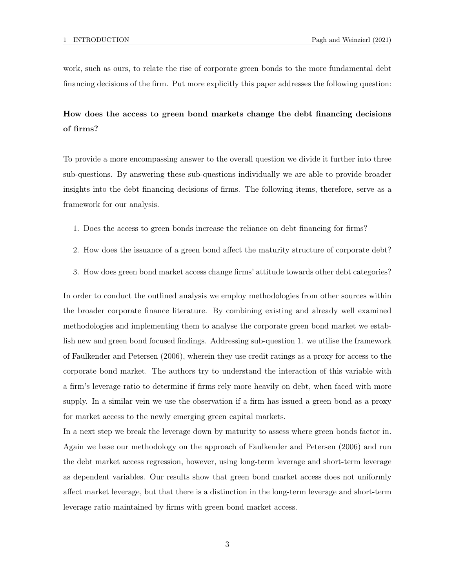work, such as ours, to relate the rise of corporate green bonds to the more fundamental debt financing decisions of the firm. Put more explicitly this paper addresses the following question:

# How does the access to green bond markets change the debt financing decisions of firms?

To provide a more encompassing answer to the overall question we divide it further into three sub-questions. By answering these sub-questions individually we are able to provide broader insights into the debt financing decisions of firms. The following items, therefore, serve as a framework for our analysis.

- 1. Does the access to green bonds increase the reliance on debt financing for firms?
- 2. How does the issuance of a green bond affect the maturity structure of corporate debt?
- 3. How does green bond market access change firms' attitude towards other debt categories?

In order to conduct the outlined analysis we employ methodologies from other sources within the broader corporate finance literature. By combining existing and already well examined methodologies and implementing them to analyse the corporate green bond market we establish new and green bond focused findings. Addressing sub-question 1. we utilise the framework of Faulkender and Petersen (2006), wherein they use credit ratings as a proxy for access to the corporate bond market. The authors try to understand the interaction of this variable with a firm's leverage ratio to determine if firms rely more heavily on debt, when faced with more supply. In a similar vein we use the observation if a firm has issued a green bond as a proxy for market access to the newly emerging green capital markets.

In a next step we break the leverage down by maturity to assess where green bonds factor in. Again we base our methodology on the approach of Faulkender and Petersen (2006) and run the debt market access regression, however, using long-term leverage and short-term leverage as dependent variables. Our results show that green bond market access does not uniformly affect market leverage, but that there is a distinction in the long-term leverage and short-term leverage ratio maintained by firms with green bond market access.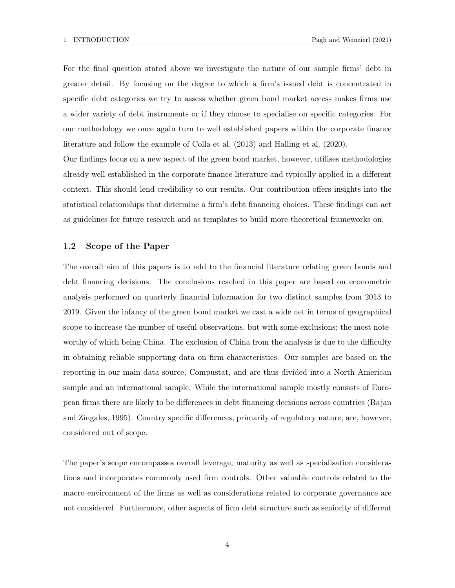For the final question stated above we investigate the nature of our sample firms' debt in greater detail. By focusing on the degree to which a firm's issued debt is concentrated in specific debt categories we try to assess whether green bond market access makes firms use a wider variety of debt instruments or if they choose to specialise on specific categories. For our methodology we once again turn to well established papers within the corporate finance literature and follow the example of Colla et al. (2013) and Halling et al. (2020).

Our findings focus on a new aspect of the green bond market, however, utilises methodologies already well established in the corporate finance literature and typically applied in a different context. This should lend credibility to our results. Our contribution offers insights into the statistical relationships that determine a firm's debt financing choices. These findings can act as guidelines for future research and as templates to build more theoretical frameworks on.

#### 1.2 Scope of the Paper

The overall aim of this papers is to add to the financial literature relating green bonds and debt financing decisions. The conclusions reached in this paper are based on econometric analysis performed on quarterly financial information for two distinct samples from 2013 to 2019. Given the infancy of the green bond market we cast a wide net in terms of geographical scope to increase the number of useful observations, but with some exclusions; the most noteworthy of which being China. The exclusion of China from the analysis is due to the difficulty in obtaining reliable supporting data on firm characteristics. Our samples are based on the reporting in our main data source, Compustat, and are thus divided into a North American sample and an international sample. While the international sample mostly consists of European firms there are likely to be differences in debt financing decisions across countries (Rajan and Zingales, 1995). Country specific differences, primarily of regulatory nature, are, however, considered out of scope.

The paper's scope encompasses overall leverage, maturity as well as specialisation considerations and incorporates commonly used firm controls. Other valuable controls related to the macro environment of the firms as well as considerations related to corporate governance are not considered. Furthermore, other aspects of firm debt structure such as seniority of different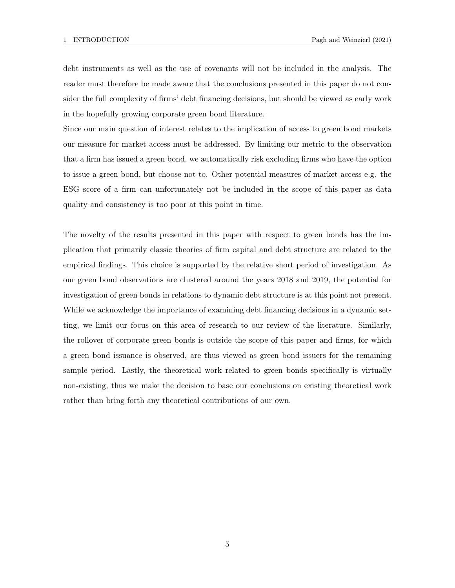debt instruments as well as the use of covenants will not be included in the analysis. The reader must therefore be made aware that the conclusions presented in this paper do not consider the full complexity of firms' debt financing decisions, but should be viewed as early work in the hopefully growing corporate green bond literature.

Since our main question of interest relates to the implication of access to green bond markets our measure for market access must be addressed. By limiting our metric to the observation that a firm has issued a green bond, we automatically risk excluding firms who have the option to issue a green bond, but choose not to. Other potential measures of market access e.g. the ESG score of a firm can unfortunately not be included in the scope of this paper as data quality and consistency is too poor at this point in time.

The novelty of the results presented in this paper with respect to green bonds has the implication that primarily classic theories of firm capital and debt structure are related to the empirical findings. This choice is supported by the relative short period of investigation. As our green bond observations are clustered around the years 2018 and 2019, the potential for investigation of green bonds in relations to dynamic debt structure is at this point not present. While we acknowledge the importance of examining debt financing decisions in a dynamic setting, we limit our focus on this area of research to our review of the literature. Similarly, the rollover of corporate green bonds is outside the scope of this paper and firms, for which a green bond issuance is observed, are thus viewed as green bond issuers for the remaining sample period. Lastly, the theoretical work related to green bonds specifically is virtually non-existing, thus we make the decision to base our conclusions on existing theoretical work rather than bring forth any theoretical contributions of our own.

5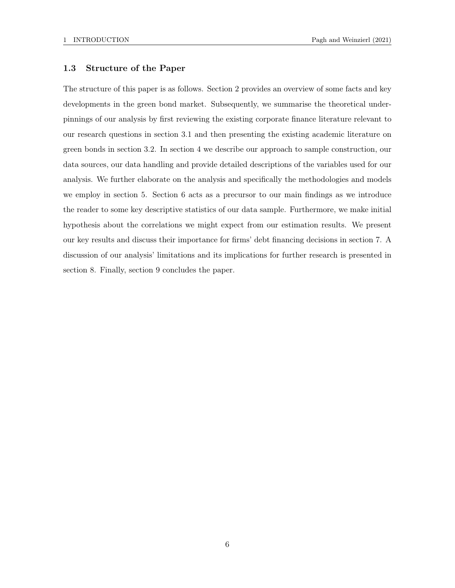#### 1.3 Structure of the Paper

The structure of this paper is as follows. Section 2 provides an overview of some facts and key developments in the green bond market. Subsequently, we summarise the theoretical underpinnings of our analysis by first reviewing the existing corporate finance literature relevant to our research questions in section 3.1 and then presenting the existing academic literature on green bonds in section 3.2. In section 4 we describe our approach to sample construction, our data sources, our data handling and provide detailed descriptions of the variables used for our analysis. We further elaborate on the analysis and specifically the methodologies and models we employ in section 5. Section 6 acts as a precursor to our main findings as we introduce the reader to some key descriptive statistics of our data sample. Furthermore, we make initial hypothesis about the correlations we might expect from our estimation results. We present our key results and discuss their importance for firms' debt financing decisions in section 7. A discussion of our analysis' limitations and its implications for further research is presented in section 8. Finally, section 9 concludes the paper.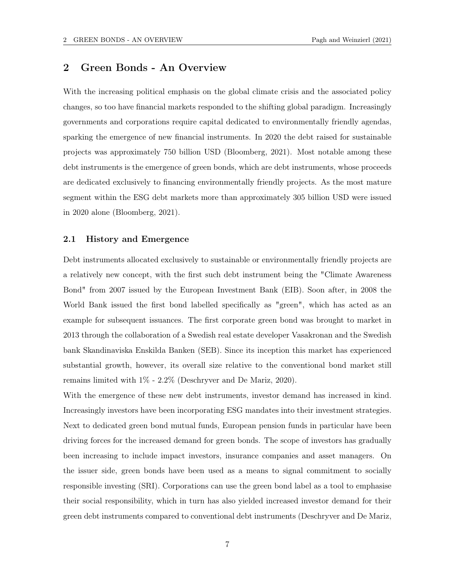## 2 Green Bonds - An Overview

With the increasing political emphasis on the global climate crisis and the associated policy changes, so too have financial markets responded to the shifting global paradigm. Increasingly governments and corporations require capital dedicated to environmentally friendly agendas, sparking the emergence of new financial instruments. In 2020 the debt raised for sustainable projects was approximately 750 billion USD (Bloomberg, 2021). Most notable among these debt instruments is the emergence of green bonds, which are debt instruments, whose proceeds are dedicated exclusively to financing environmentally friendly projects. As the most mature segment within the ESG debt markets more than approximately 305 billion USD were issued in 2020 alone (Bloomberg, 2021).

#### 2.1 History and Emergence

Debt instruments allocated exclusively to sustainable or environmentally friendly projects are a relatively new concept, with the first such debt instrument being the "Climate Awareness Bond" from 2007 issued by the European Investment Bank (EIB). Soon after, in 2008 the World Bank issued the first bond labelled specifically as "green", which has acted as an example for subsequent issuances. The first corporate green bond was brought to market in 2013 through the collaboration of a Swedish real estate developer Vasakronan and the Swedish bank Skandinaviska Enskilda Banken (SEB). Since its inception this market has experienced substantial growth, however, its overall size relative to the conventional bond market still remains limited with 1% - 2.2% (Deschryver and De Mariz, 2020).

With the emergence of these new debt instruments, investor demand has increased in kind. Increasingly investors have been incorporating ESG mandates into their investment strategies. Next to dedicated green bond mutual funds, European pension funds in particular have been driving forces for the increased demand for green bonds. The scope of investors has gradually been increasing to include impact investors, insurance companies and asset managers. On the issuer side, green bonds have been used as a means to signal commitment to socially responsible investing (SRI). Corporations can use the green bond label as a tool to emphasise their social responsibility, which in turn has also yielded increased investor demand for their green debt instruments compared to conventional debt instruments (Deschryver and De Mariz,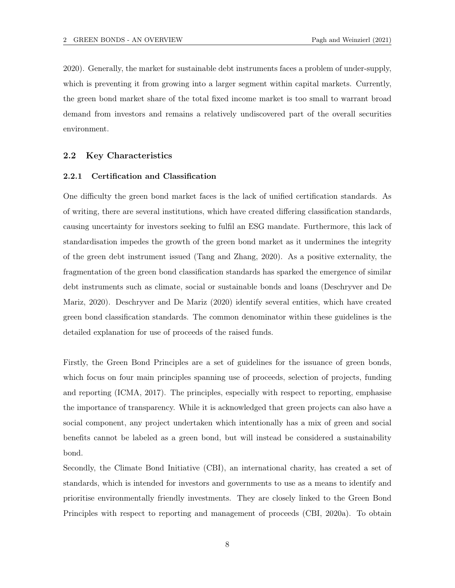2020). Generally, the market for sustainable debt instruments faces a problem of under-supply, which is preventing it from growing into a larger segment within capital markets. Currently, the green bond market share of the total fixed income market is too small to warrant broad demand from investors and remains a relatively undiscovered part of the overall securities environment.

#### 2.2 Key Characteristics

#### 2.2.1 Certification and Classification

One difficulty the green bond market faces is the lack of unified certification standards. As of writing, there are several institutions, which have created differing classification standards, causing uncertainty for investors seeking to fulfil an ESG mandate. Furthermore, this lack of standardisation impedes the growth of the green bond market as it undermines the integrity of the green debt instrument issued (Tang and Zhang, 2020). As a positive externality, the fragmentation of the green bond classification standards has sparked the emergence of similar debt instruments such as climate, social or sustainable bonds and loans (Deschryver and De Mariz, 2020). Deschryver and De Mariz (2020) identify several entities, which have created green bond classification standards. The common denominator within these guidelines is the detailed explanation for use of proceeds of the raised funds.

Firstly, the Green Bond Principles are a set of guidelines for the issuance of green bonds, which focus on four main principles spanning use of proceeds, selection of projects, funding and reporting (ICMA, 2017). The principles, especially with respect to reporting, emphasise the importance of transparency. While it is acknowledged that green projects can also have a social component, any project undertaken which intentionally has a mix of green and social benefits cannot be labeled as a green bond, but will instead be considered a sustainability bond.

Secondly, the Climate Bond Initiative (CBI), an international charity, has created a set of standards, which is intended for investors and governments to use as a means to identify and prioritise environmentally friendly investments. They are closely linked to the Green Bond Principles with respect to reporting and management of proceeds (CBI, 2020a). To obtain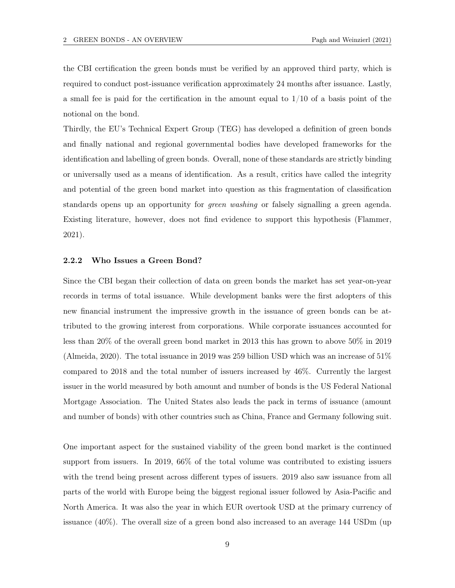the CBI certification the green bonds must be verified by an approved third party, which is required to conduct post-issuance verification approximately 24 months after issuance. Lastly, a small fee is paid for the certification in the amount equal to  $1/10$  of a basis point of the notional on the bond.

Thirdly, the EU's Technical Expert Group (TEG) has developed a definition of green bonds and finally national and regional governmental bodies have developed frameworks for the identification and labelling of green bonds. Overall, none of these standards are strictly binding or universally used as a means of identification. As a result, critics have called the integrity and potential of the green bond market into question as this fragmentation of classification standards opens up an opportunity for green washing or falsely signalling a green agenda. Existing literature, however, does not find evidence to support this hypothesis (Flammer, 2021).

#### 2.2.2 Who Issues a Green Bond?

Since the CBI began their collection of data on green bonds the market has set year-on-year records in terms of total issuance. While development banks were the first adopters of this new financial instrument the impressive growth in the issuance of green bonds can be attributed to the growing interest from corporations. While corporate issuances accounted for less than 20% of the overall green bond market in 2013 this has grown to above 50% in 2019 (Almeida, 2020). The total issuance in 2019 was 259 billion USD which was an increase of 51% compared to 2018 and the total number of issuers increased by 46%. Currently the largest issuer in the world measured by both amount and number of bonds is the US Federal National Mortgage Association. The United States also leads the pack in terms of issuance (amount and number of bonds) with other countries such as China, France and Germany following suit.

One important aspect for the sustained viability of the green bond market is the continued support from issuers. In 2019, 66% of the total volume was contributed to existing issuers with the trend being present across different types of issuers. 2019 also saw issuance from all parts of the world with Europe being the biggest regional issuer followed by Asia-Pacific and North America. It was also the year in which EUR overtook USD at the primary currency of issuance (40%). The overall size of a green bond also increased to an average 144 USDm (up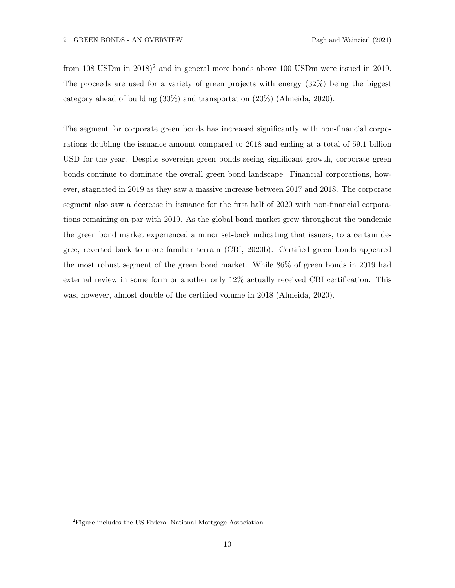from 108 USDm in 2018)<sup>2</sup> and in general more bonds above 100 USDm were issued in 2019. The proceeds are used for a variety of green projects with energy (32%) being the biggest category ahead of building (30%) and transportation (20%) (Almeida, 2020).

The segment for corporate green bonds has increased significantly with non-financial corporations doubling the issuance amount compared to 2018 and ending at a total of 59.1 billion USD for the year. Despite sovereign green bonds seeing significant growth, corporate green bonds continue to dominate the overall green bond landscape. Financial corporations, however, stagnated in 2019 as they saw a massive increase between 2017 and 2018. The corporate segment also saw a decrease in issuance for the first half of 2020 with non-financial corporations remaining on par with 2019. As the global bond market grew throughout the pandemic the green bond market experienced a minor set-back indicating that issuers, to a certain degree, reverted back to more familiar terrain (CBI, 2020b). Certified green bonds appeared the most robust segment of the green bond market. While 86% of green bonds in 2019 had external review in some form or another only 12% actually received CBI certification. This was, however, almost double of the certified volume in 2018 (Almeida, 2020).

<sup>&</sup>lt;sup>2</sup>Figure includes the US Federal National Mortgage Association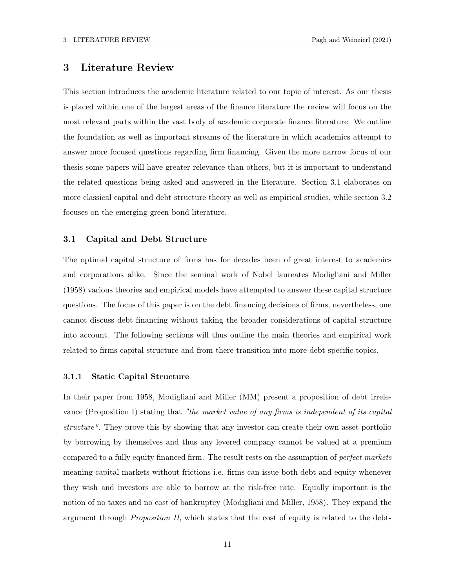### 3 Literature Review

This section introduces the academic literature related to our topic of interest. As our thesis is placed within one of the largest areas of the finance literature the review will focus on the most relevant parts within the vast body of academic corporate finance literature. We outline the foundation as well as important streams of the literature in which academics attempt to answer more focused questions regarding firm financing. Given the more narrow focus of our thesis some papers will have greater relevance than others, but it is important to understand the related questions being asked and answered in the literature. Section 3.1 elaborates on more classical capital and debt structure theory as well as empirical studies, while section 3.2 focuses on the emerging green bond literature.

#### 3.1 Capital and Debt Structure

The optimal capital structure of firms has for decades been of great interest to academics and corporations alike. Since the seminal work of Nobel laureates Modigliani and Miller (1958) various theories and empirical models have attempted to answer these capital structure questions. The focus of this paper is on the debt financing decisions of firms, nevertheless, one cannot discuss debt financing without taking the broader considerations of capital structure into account. The following sections will thus outline the main theories and empirical work related to firms capital structure and from there transition into more debt specific topics.

#### 3.1.1 Static Capital Structure

In their paper from 1958, Modigliani and Miller (MM) present a proposition of debt irrelevance (Proposition I) stating that "the market value of any firms is independent of its capital structure". They prove this by showing that any investor can create their own asset portfolio by borrowing by themselves and thus any levered company cannot be valued at a premium compared to a fully equity financed firm. The result rests on the assumption of perfect markets meaning capital markets without frictions i.e. firms can issue both debt and equity whenever they wish and investors are able to borrow at the risk-free rate. Equally important is the notion of no taxes and no cost of bankruptcy (Modigliani and Miller, 1958). They expand the argument through *Proposition II*, which states that the cost of equity is related to the debt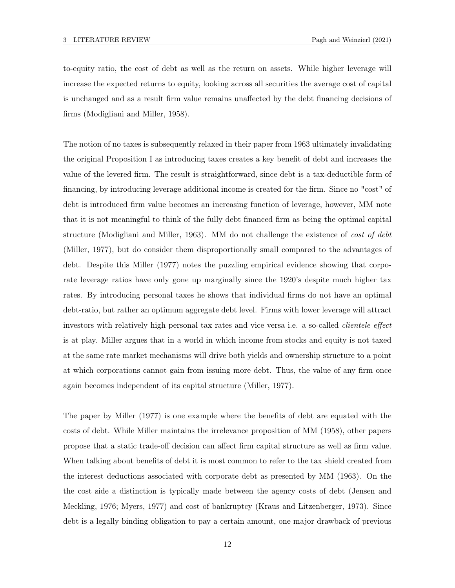to-equity ratio, the cost of debt as well as the return on assets. While higher leverage will increase the expected returns to equity, looking across all securities the average cost of capital is unchanged and as a result firm value remains unaffected by the debt financing decisions of firms (Modigliani and Miller, 1958).

The notion of no taxes is subsequently relaxed in their paper from 1963 ultimately invalidating the original Proposition I as introducing taxes creates a key benefit of debt and increases the value of the levered firm. The result is straightforward, since debt is a tax-deductible form of financing, by introducing leverage additional income is created for the firm. Since no "cost" of debt is introduced firm value becomes an increasing function of leverage, however, MM note that it is not meaningful to think of the fully debt financed firm as being the optimal capital structure (Modigliani and Miller, 1963). MM do not challenge the existence of cost of debt (Miller, 1977), but do consider them disproportionally small compared to the advantages of debt. Despite this Miller (1977) notes the puzzling empirical evidence showing that corporate leverage ratios have only gone up marginally since the 1920's despite much higher tax rates. By introducing personal taxes he shows that individual firms do not have an optimal debt-ratio, but rather an optimum aggregate debt level. Firms with lower leverage will attract investors with relatively high personal tax rates and vice versa i.e. a so-called *clientele effect* is at play. Miller argues that in a world in which income from stocks and equity is not taxed at the same rate market mechanisms will drive both yields and ownership structure to a point at which corporations cannot gain from issuing more debt. Thus, the value of any firm once again becomes independent of its capital structure (Miller, 1977).

The paper by Miller (1977) is one example where the benefits of debt are equated with the costs of debt. While Miller maintains the irrelevance proposition of MM (1958), other papers propose that a static trade-off decision can affect firm capital structure as well as firm value. When talking about benefits of debt it is most common to refer to the tax shield created from the interest deductions associated with corporate debt as presented by MM (1963). On the the cost side a distinction is typically made between the agency costs of debt (Jensen and Meckling, 1976; Myers, 1977) and cost of bankruptcy (Kraus and Litzenberger, 1973). Since debt is a legally binding obligation to pay a certain amount, one major drawback of previous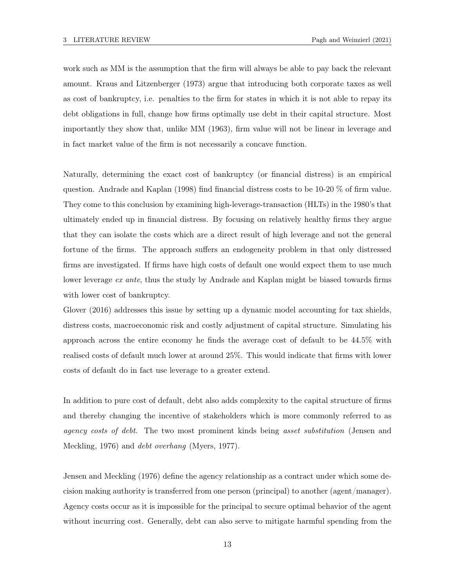work such as MM is the assumption that the firm will always be able to pay back the relevant amount. Kraus and Litzenberger (1973) argue that introducing both corporate taxes as well as cost of bankruptcy, i.e. penalties to the firm for states in which it is not able to repay its debt obligations in full, change how firms optimally use debt in their capital structure. Most importantly they show that, unlike MM (1963), firm value will not be linear in leverage and in fact market value of the firm is not necessarily a concave function.

Naturally, determining the exact cost of bankruptcy (or financial distress) is an empirical question. Andrade and Kaplan (1998) find financial distress costs to be 10-20 % of firm value. They come to this conclusion by examining high-leverage-transaction (HLTs) in the 1980's that ultimately ended up in financial distress. By focusing on relatively healthy firms they argue that they can isolate the costs which are a direct result of high leverage and not the general fortune of the firms. The approach suffers an endogeneity problem in that only distressed firms are investigated. If firms have high costs of default one would expect them to use much lower leverage ex ante, thus the study by Andrade and Kaplan might be biased towards firms with lower cost of bankruptcy.

Glover (2016) addresses this issue by setting up a dynamic model accounting for tax shields, distress costs, macroeconomic risk and costly adjustment of capital structure. Simulating his approach across the entire economy he finds the average cost of default to be 44.5% with realised costs of default much lower at around 25%. This would indicate that firms with lower costs of default do in fact use leverage to a greater extend.

In addition to pure cost of default, debt also adds complexity to the capital structure of firms and thereby changing the incentive of stakeholders which is more commonly referred to as agency costs of debt. The two most prominent kinds being asset substitution (Jensen and Meckling, 1976) and debt overhang (Myers, 1977).

Jensen and Meckling (1976) define the agency relationship as a contract under which some decision making authority is transferred from one person (principal) to another (agent/manager). Agency costs occur as it is impossible for the principal to secure optimal behavior of the agent without incurring cost. Generally, debt can also serve to mitigate harmful spending from the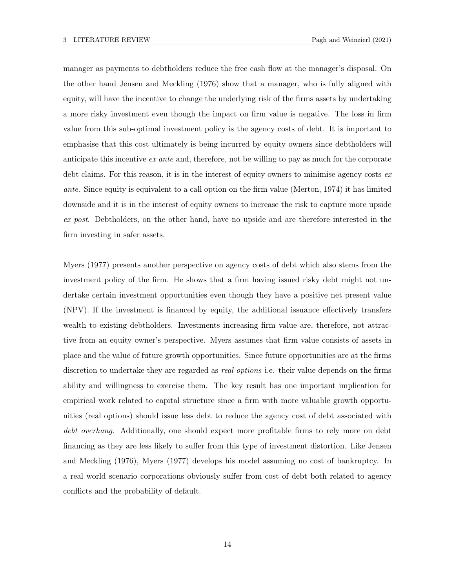manager as payments to debtholders reduce the free cash flow at the manager's disposal. On the other hand Jensen and Meckling (1976) show that a manager, who is fully aligned with equity, will have the incentive to change the underlying risk of the firms assets by undertaking a more risky investment even though the impact on firm value is negative. The loss in firm value from this sub-optimal investment policy is the agency costs of debt. It is important to emphasise that this cost ultimately is being incurred by equity owners since debtholders will anticipate this incentive ex ante and, therefore, not be willing to pay as much for the corporate debt claims. For this reason, it is in the interest of equity owners to minimise agency costs  $ex$ ante. Since equity is equivalent to a call option on the firm value (Merton, 1974) it has limited downside and it is in the interest of equity owners to increase the risk to capture more upside ex post. Debtholders, on the other hand, have no upside and are therefore interested in the firm investing in safer assets.

Myers (1977) presents another perspective on agency costs of debt which also stems from the investment policy of the firm. He shows that a firm having issued risky debt might not undertake certain investment opportunities even though they have a positive net present value (NPV). If the investment is financed by equity, the additional issuance effectively transfers wealth to existing debtholders. Investments increasing firm value are, therefore, not attractive from an equity owner's perspective. Myers assumes that firm value consists of assets in place and the value of future growth opportunities. Since future opportunities are at the firms discretion to undertake they are regarded as *real options* i.e. their value depends on the firms ability and willingness to exercise them. The key result has one important implication for empirical work related to capital structure since a firm with more valuable growth opportunities (real options) should issue less debt to reduce the agency cost of debt associated with debt overhang. Additionally, one should expect more profitable firms to rely more on debt financing as they are less likely to suffer from this type of investment distortion. Like Jensen and Meckling (1976), Myers (1977) develops his model assuming no cost of bankruptcy. In a real world scenario corporations obviously suffer from cost of debt both related to agency conflicts and the probability of default.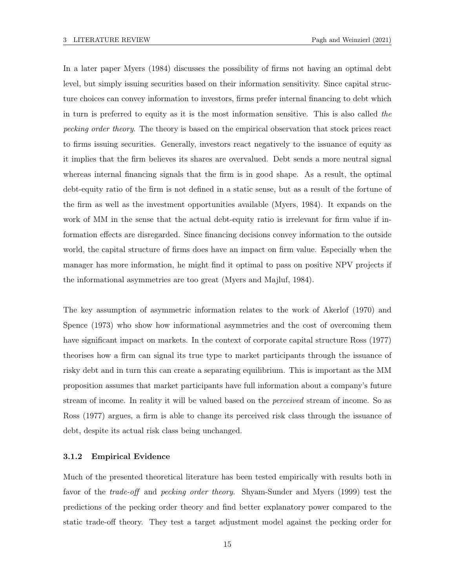In a later paper Myers (1984) discusses the possibility of firms not having an optimal debt level, but simply issuing securities based on their information sensitivity. Since capital structure choices can convey information to investors, firms prefer internal financing to debt which in turn is preferred to equity as it is the most information sensitive. This is also called the pecking order theory. The theory is based on the empirical observation that stock prices react to firms issuing securities. Generally, investors react negatively to the issuance of equity as it implies that the firm believes its shares are overvalued. Debt sends a more neutral signal whereas internal financing signals that the firm is in good shape. As a result, the optimal debt-equity ratio of the firm is not defined in a static sense, but as a result of the fortune of the firm as well as the investment opportunities available (Myers, 1984). It expands on the work of MM in the sense that the actual debt-equity ratio is irrelevant for firm value if information effects are disregarded. Since financing decisions convey information to the outside world, the capital structure of firms does have an impact on firm value. Especially when the manager has more information, he might find it optimal to pass on positive NPV projects if the informational asymmetries are too great (Myers and Majluf, 1984).

The key assumption of asymmetric information relates to the work of Akerlof (1970) and Spence (1973) who show how informational asymmetries and the cost of overcoming them have significant impact on markets. In the context of corporate capital structure Ross (1977) theorises how a firm can signal its true type to market participants through the issuance of risky debt and in turn this can create a separating equilibrium. This is important as the MM proposition assumes that market participants have full information about a company's future stream of income. In reality it will be valued based on the perceived stream of income. So as Ross (1977) argues, a firm is able to change its perceived risk class through the issuance of debt, despite its actual risk class being unchanged.

#### 3.1.2 Empirical Evidence

Much of the presented theoretical literature has been tested empirically with results both in favor of the trade-off and pecking order theory. Shyam-Sunder and Myers (1999) test the predictions of the pecking order theory and find better explanatory power compared to the static trade-off theory. They test a target adjustment model against the pecking order for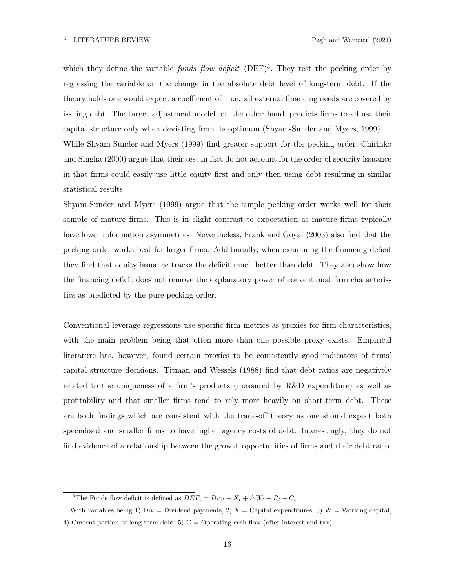which they define the variable funds flow deficit  $(DEF)^3$ . They test the pecking order by regressing the variable on the change in the absolute debt level of long-term debt. If the theory holds one would expect a coefficient of 1 i.e. all external financing needs are covered by issuing debt. The target adjustment model, on the other hand, predicts firms to adjust their capital structure only when deviating from its optimum (Shyam-Sunder and Myers, 1999).

While Shyam-Sunder and Myers (1999) find greater support for the pecking order, Chirinko and Singha (2000) argue that their test in fact do not account for the order of security issuance in that firms could easily use little equity first and only then using debt resulting in similar statistical results.

Shyam-Sunder and Myers (1999) argue that the simple pecking order works well for their sample of mature firms. This is in slight contrast to expectation as mature firms typically have lower information asymmetries. Nevertheless, Frank and Goyal (2003) also find that the pecking order works best for larger firms. Additionally, when examining the financing deficit they find that equity issuance tracks the deficit much better than debt. They also show how the financing deficit does not remove the explanatory power of conventional firm characteristics as predicted by the pure pecking order.

Conventional leverage regressions use specific firm metrics as proxies for firm characteristics, with the main problem being that often more than one possible proxy exists. Empirical literature has, however, found certain proxies to be consistently good indicators of firms' capital structure decisions. Titman and Wessels (1988) find that debt ratios are negatively related to the uniqueness of a firm's products (measured by R&D expenditure) as well as profitability and that smaller firms tend to rely more heavily on short-term debt. These are both findings which are consistent with the trade-off theory as one should expect both specialised and smaller firms to have higher agency costs of debt. Interestingly, they do not find evidence of a relationship between the growth opportunities of firms and their debt ratio.

<sup>&</sup>lt;sup>3</sup>The Funds flow deficit is defined as  $DEF_t = Div_t + X_t + \Delta W_t + R_t - C_t$ 

With variables being 1) Div = Dividend payments, 2)  $X =$  Capital expenditures, 3) W = Working capital, 4) Current portion of long-term debt, 5)  $C =$  Operating cash flow (after interest and tax)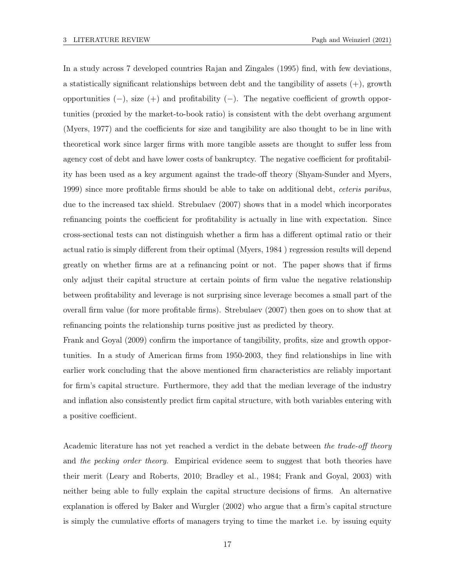In a study across 7 developed countries Rajan and Zingales (1995) find, with few deviations, a statistically significant relationships between debt and the tangibility of assets  $(+)$ , growth opportunities  $(-)$ , size  $(+)$  and profitability  $(-)$ . The negative coefficient of growth opportunities (proxied by the market-to-book ratio) is consistent with the debt overhang argument (Myers, 1977) and the coefficients for size and tangibility are also thought to be in line with theoretical work since larger firms with more tangible assets are thought to suffer less from agency cost of debt and have lower costs of bankruptcy. The negative coefficient for profitability has been used as a key argument against the trade-off theory (Shyam-Sunder and Myers, 1999) since more profitable firms should be able to take on additional debt, ceteris paribus, due to the increased tax shield. Strebulaev (2007) shows that in a model which incorporates refinancing points the coefficient for profitability is actually in line with expectation. Since cross-sectional tests can not distinguish whether a firm has a different optimal ratio or their actual ratio is simply different from their optimal (Myers, 1984 ) regression results will depend greatly on whether firms are at a refinancing point or not. The paper shows that if firms only adjust their capital structure at certain points of firm value the negative relationship between profitability and leverage is not surprising since leverage becomes a small part of the overall firm value (for more profitable firms). Strebulaev (2007) then goes on to show that at refinancing points the relationship turns positive just as predicted by theory.

Frank and Goyal (2009) confirm the importance of tangibility, profits, size and growth opportunities. In a study of American firms from 1950-2003, they find relationships in line with earlier work concluding that the above mentioned firm characteristics are reliably important for firm's capital structure. Furthermore, they add that the median leverage of the industry and inflation also consistently predict firm capital structure, with both variables entering with a positive coefficient.

Academic literature has not yet reached a verdict in the debate between the trade-off theory and the pecking order theory. Empirical evidence seem to suggest that both theories have their merit (Leary and Roberts, 2010; Bradley et al., 1984; Frank and Goyal, 2003) with neither being able to fully explain the capital structure decisions of firms. An alternative explanation is offered by Baker and Wurgler (2002) who argue that a firm's capital structure is simply the cumulative efforts of managers trying to time the market i.e. by issuing equity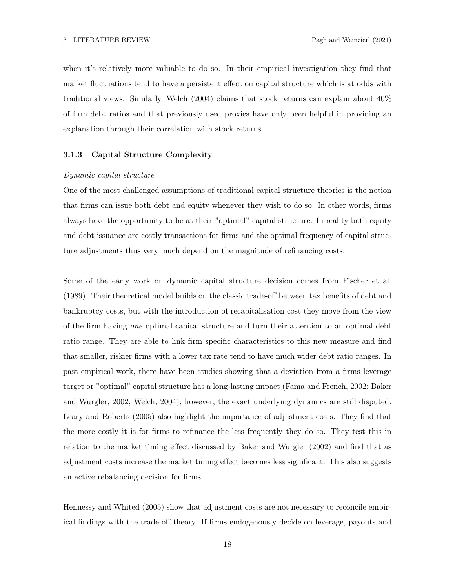when it's relatively more valuable to do so. In their empirical investigation they find that market fluctuations tend to have a persistent effect on capital structure which is at odds with traditional views. Similarly, Welch (2004) claims that stock returns can explain about 40% of firm debt ratios and that previously used proxies have only been helpful in providing an explanation through their correlation with stock returns.

#### 3.1.3 Capital Structure Complexity

#### Dynamic capital structure

One of the most challenged assumptions of traditional capital structure theories is the notion that firms can issue both debt and equity whenever they wish to do so. In other words, firms always have the opportunity to be at their "optimal" capital structure. In reality both equity and debt issuance are costly transactions for firms and the optimal frequency of capital structure adjustments thus very much depend on the magnitude of refinancing costs.

Some of the early work on dynamic capital structure decision comes from Fischer et al. (1989). Their theoretical model builds on the classic trade-off between tax benefits of debt and bankruptcy costs, but with the introduction of recapitalisation cost they move from the view of the firm having one optimal capital structure and turn their attention to an optimal debt ratio range. They are able to link firm specific characteristics to this new measure and find that smaller, riskier firms with a lower tax rate tend to have much wider debt ratio ranges. In past empirical work, there have been studies showing that a deviation from a firms leverage target or "optimal" capital structure has a long-lasting impact (Fama and French, 2002; Baker and Wurgler, 2002; Welch, 2004), however, the exact underlying dynamics are still disputed. Leary and Roberts (2005) also highlight the importance of adjustment costs. They find that the more costly it is for firms to refinance the less frequently they do so. They test this in relation to the market timing effect discussed by Baker and Wurgler (2002) and find that as adjustment costs increase the market timing effect becomes less significant. This also suggests an active rebalancing decision for firms.

Hennessy and Whited (2005) show that adjustment costs are not necessary to reconcile empirical findings with the trade-off theory. If firms endogenously decide on leverage, payouts and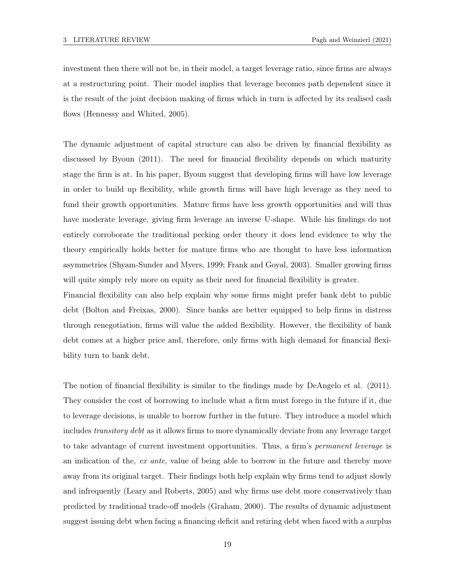investment then there will not be, in their model, a target leverage ratio, since firms are always at a restructuring point. Their model implies that leverage becomes path dependent since it is the result of the joint decision making of firms which in turn is affected by its realised cash flows (Hennessy and Whited, 2005).

The dynamic adjustment of capital structure can also be driven by financial flexibility as discussed by Byoun (2011). The need for financial flexibility depends on which maturity stage the firm is at. In his paper, Byoun suggest that developing firms will have low leverage in order to build up flexibility, while growth firms will have high leverage as they need to fund their growth opportunities. Mature firms have less growth opportunities and will thus have moderate leverage, giving firm leverage an inverse U-shape. While his findings do not entirely corroborate the traditional pecking order theory it does lend evidence to why the theory empirically holds better for mature firms who are thought to have less information asymmetries (Shyam-Sunder and Myers, 1999; Frank and Goyal, 2003). Smaller growing firms will quite simply rely more on equity as their need for financial flexibility is greater.

Financial flexibility can also help explain why some firms might prefer bank debt to public debt (Bolton and Freixas, 2000). Since banks are better equipped to help firms in distress through renegotiation, firms will value the added flexibility. However, the flexibility of bank debt comes at a higher price and, therefore, only firms with high demand for financial flexibility turn to bank debt.

The notion of financial flexibility is similar to the findings made by DeAngelo et al. (2011). They consider the cost of borrowing to include what a firm must forego in the future if it, due to leverage decisions, is unable to borrow further in the future. They introduce a model which includes transitory debt as it allows firms to more dynamically deviate from any leverage target to take advantage of current investment opportunities. Thus, a firm's permanent leverage is an indication of the, ex ante, value of being able to borrow in the future and thereby move away from its original target. Their findings both help explain why firms tend to adjust slowly and infrequently (Leary and Roberts, 2005) and why firms use debt more conservatively than predicted by traditional trade-off models (Graham, 2000). The results of dynamic adjustment suggest issuing debt when facing a financing deficit and retiring debt when faced with a surplus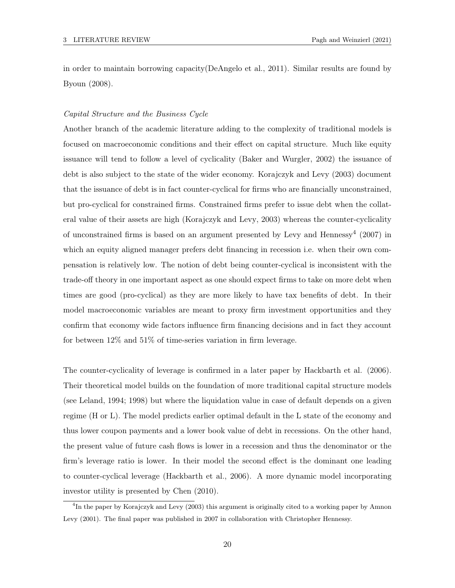in order to maintain borrowing capacity(DeAngelo et al., 2011). Similar results are found by Byoun (2008).

#### Capital Structure and the Business Cycle

Another branch of the academic literature adding to the complexity of traditional models is focused on macroeconomic conditions and their effect on capital structure. Much like equity issuance will tend to follow a level of cyclicality (Baker and Wurgler, 2002) the issuance of debt is also subject to the state of the wider economy. Korajczyk and Levy (2003) document that the issuance of debt is in fact counter-cyclical for firms who are financially unconstrained, but pro-cyclical for constrained firms. Constrained firms prefer to issue debt when the collateral value of their assets are high (Korajczyk and Levy, 2003) whereas the counter-cyclicality of unconstrained firms is based on an argument presented by Levy and Hennessy<sup>4</sup> (2007) in which an equity aligned manager prefers debt financing in recession i.e. when their own compensation is relatively low. The notion of debt being counter-cyclical is inconsistent with the trade-off theory in one important aspect as one should expect firms to take on more debt when times are good (pro-cyclical) as they are more likely to have tax benefits of debt. In their model macroeconomic variables are meant to proxy firm investment opportunities and they confirm that economy wide factors influence firm financing decisions and in fact they account for between 12% and 51% of time-series variation in firm leverage.

The counter-cyclicality of leverage is confirmed in a later paper by Hackbarth et al. (2006). Their theoretical model builds on the foundation of more traditional capital structure models (see Leland, 1994; 1998) but where the liquidation value in case of default depends on a given regime (H or L). The model predicts earlier optimal default in the L state of the economy and thus lower coupon payments and a lower book value of debt in recessions. On the other hand, the present value of future cash flows is lower in a recession and thus the denominator or the firm's leverage ratio is lower. In their model the second effect is the dominant one leading to counter-cyclical leverage (Hackbarth et al., 2006). A more dynamic model incorporating investor utility is presented by Chen (2010).

<sup>&</sup>lt;sup>4</sup>In the paper by Korajczyk and Levy (2003) this argument is originally cited to a working paper by Amnon Levy (2001). The final paper was published in 2007 in collaboration with Christopher Hennessy.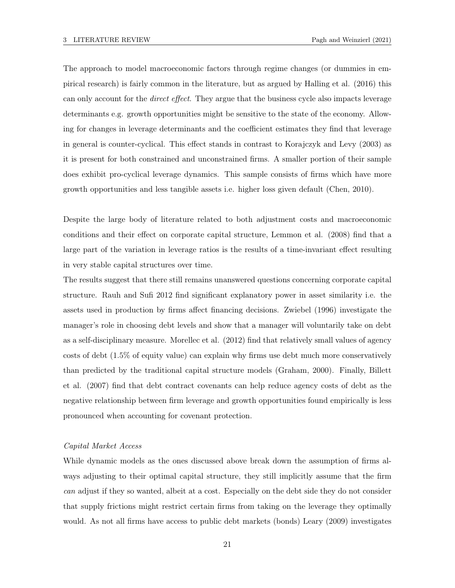The approach to model macroeconomic factors through regime changes (or dummies in empirical research) is fairly common in the literature, but as argued by Halling et al. (2016) this can only account for the direct effect. They argue that the business cycle also impacts leverage determinants e.g. growth opportunities might be sensitive to the state of the economy. Allowing for changes in leverage determinants and the coefficient estimates they find that leverage in general is counter-cyclical. This effect stands in contrast to Korajczyk and Levy (2003) as it is present for both constrained and unconstrained firms. A smaller portion of their sample does exhibit pro-cyclical leverage dynamics. This sample consists of firms which have more growth opportunities and less tangible assets i.e. higher loss given default (Chen, 2010).

Despite the large body of literature related to both adjustment costs and macroeconomic conditions and their effect on corporate capital structure, Lemmon et al. (2008) find that a large part of the variation in leverage ratios is the results of a time-invariant effect resulting in very stable capital structures over time.

The results suggest that there still remains unanswered questions concerning corporate capital structure. Rauh and Sufi 2012 find significant explanatory power in asset similarity i.e. the assets used in production by firms affect financing decisions. Zwiebel (1996) investigate the manager's role in choosing debt levels and show that a manager will voluntarily take on debt as a self-disciplinary measure. Morellec et al. (2012) find that relatively small values of agency costs of debt (1.5% of equity value) can explain why firms use debt much more conservatively than predicted by the traditional capital structure models (Graham, 2000). Finally, Billett et al. (2007) find that debt contract covenants can help reduce agency costs of debt as the negative relationship between firm leverage and growth opportunities found empirically is less pronounced when accounting for covenant protection.

#### Capital Market Access

While dynamic models as the ones discussed above break down the assumption of firms always adjusting to their optimal capital structure, they still implicitly assume that the firm can adjust if they so wanted, albeit at a cost. Especially on the debt side they do not consider that supply frictions might restrict certain firms from taking on the leverage they optimally would. As not all firms have access to public debt markets (bonds) Leary (2009) investigates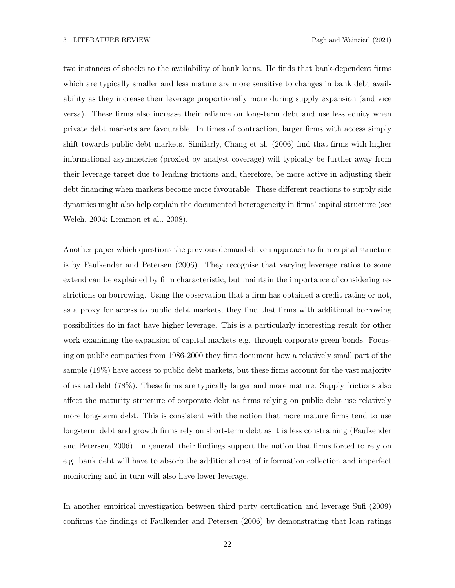two instances of shocks to the availability of bank loans. He finds that bank-dependent firms which are typically smaller and less mature are more sensitive to changes in bank debt availability as they increase their leverage proportionally more during supply expansion (and vice versa). These firms also increase their reliance on long-term debt and use less equity when private debt markets are favourable. In times of contraction, larger firms with access simply shift towards public debt markets. Similarly, Chang et al. (2006) find that firms with higher informational asymmetries (proxied by analyst coverage) will typically be further away from their leverage target due to lending frictions and, therefore, be more active in adjusting their debt financing when markets become more favourable. These different reactions to supply side dynamics might also help explain the documented heterogeneity in firms' capital structure (see Welch, 2004; Lemmon et al., 2008).

Another paper which questions the previous demand-driven approach to firm capital structure is by Faulkender and Petersen (2006). They recognise that varying leverage ratios to some extend can be explained by firm characteristic, but maintain the importance of considering restrictions on borrowing. Using the observation that a firm has obtained a credit rating or not, as a proxy for access to public debt markets, they find that firms with additional borrowing possibilities do in fact have higher leverage. This is a particularly interesting result for other work examining the expansion of capital markets e.g. through corporate green bonds. Focusing on public companies from 1986-2000 they first document how a relatively small part of the sample (19%) have access to public debt markets, but these firms account for the vast majority of issued debt (78%). These firms are typically larger and more mature. Supply frictions also affect the maturity structure of corporate debt as firms relying on public debt use relatively more long-term debt. This is consistent with the notion that more mature firms tend to use long-term debt and growth firms rely on short-term debt as it is less constraining (Faulkender and Petersen, 2006). In general, their findings support the notion that firms forced to rely on e.g. bank debt will have to absorb the additional cost of information collection and imperfect monitoring and in turn will also have lower leverage.

In another empirical investigation between third party certification and leverage Sufi (2009) confirms the findings of Faulkender and Petersen (2006) by demonstrating that loan ratings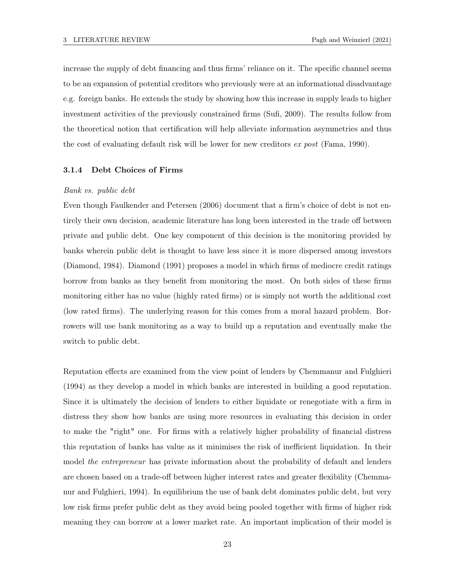increase the supply of debt financing and thus firms' reliance on it. The specific channel seems to be an expansion of potential creditors who previously were at an informational disadvantage e.g. foreign banks. He extends the study by showing how this increase in supply leads to higher investment activities of the previously constrained firms (Sufi, 2009). The results follow from the theoretical notion that certification will help alleviate information asymmetries and thus the cost of evaluating default risk will be lower for new creditors ex post (Fama, 1990).

#### 3.1.4 Debt Choices of Firms

#### Bank vs. public debt

Even though Faulkender and Petersen (2006) document that a firm's choice of debt is not entirely their own decision, academic literature has long been interested in the trade off between private and public debt. One key component of this decision is the monitoring provided by banks wherein public debt is thought to have less since it is more dispersed among investors (Diamond, 1984). Diamond (1991) proposes a model in which firms of mediocre credit ratings borrow from banks as they benefit from monitoring the most. On both sides of these firms monitoring either has no value (highly rated firms) or is simply not worth the additional cost (low rated firms). The underlying reason for this comes from a moral hazard problem. Borrowers will use bank monitoring as a way to build up a reputation and eventually make the switch to public debt.

Reputation effects are examined from the view point of lenders by Chemmanur and Fulghieri (1994) as they develop a model in which banks are interested in building a good reputation. Since it is ultimately the decision of lenders to either liquidate or renegotiate with a firm in distress they show how banks are using more resources in evaluating this decision in order to make the "right" one. For firms with a relatively higher probability of financial distress this reputation of banks has value as it minimises the risk of inefficient liquidation. In their model the entrepreneur has private information about the probability of default and lenders are chosen based on a trade-off between higher interest rates and greater flexibility (Chemmanur and Fulghieri, 1994). In equilibrium the use of bank debt dominates public debt, but very low risk firms prefer public debt as they avoid being pooled together with firms of higher risk meaning they can borrow at a lower market rate. An important implication of their model is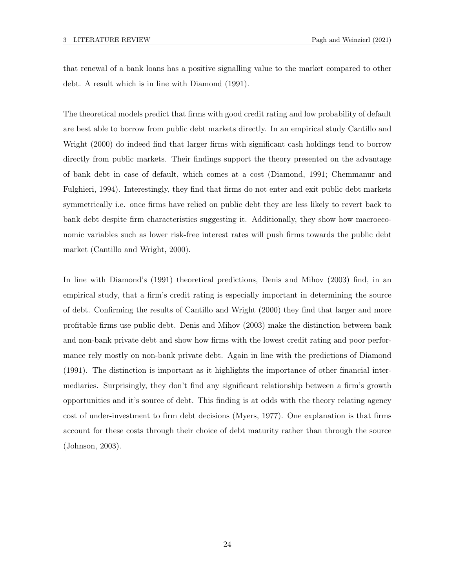that renewal of a bank loans has a positive signalling value to the market compared to other debt. A result which is in line with Diamond (1991).

The theoretical models predict that firms with good credit rating and low probability of default are best able to borrow from public debt markets directly. In an empirical study Cantillo and Wright (2000) do indeed find that larger firms with significant cash holdings tend to borrow directly from public markets. Their findings support the theory presented on the advantage of bank debt in case of default, which comes at a cost (Diamond, 1991; Chemmanur and Fulghieri, 1994). Interestingly, they find that firms do not enter and exit public debt markets symmetrically i.e. once firms have relied on public debt they are less likely to revert back to bank debt despite firm characteristics suggesting it. Additionally, they show how macroeconomic variables such as lower risk-free interest rates will push firms towards the public debt market (Cantillo and Wright, 2000).

In line with Diamond's (1991) theoretical predictions, Denis and Mihov (2003) find, in an empirical study, that a firm's credit rating is especially important in determining the source of debt. Confirming the results of Cantillo and Wright (2000) they find that larger and more profitable firms use public debt. Denis and Mihov (2003) make the distinction between bank and non-bank private debt and show how firms with the lowest credit rating and poor performance rely mostly on non-bank private debt. Again in line with the predictions of Diamond (1991). The distinction is important as it highlights the importance of other financial intermediaries. Surprisingly, they don't find any significant relationship between a firm's growth opportunities and it's source of debt. This finding is at odds with the theory relating agency cost of under-investment to firm debt decisions (Myers, 1977). One explanation is that firms account for these costs through their choice of debt maturity rather than through the source (Johnson, 2003).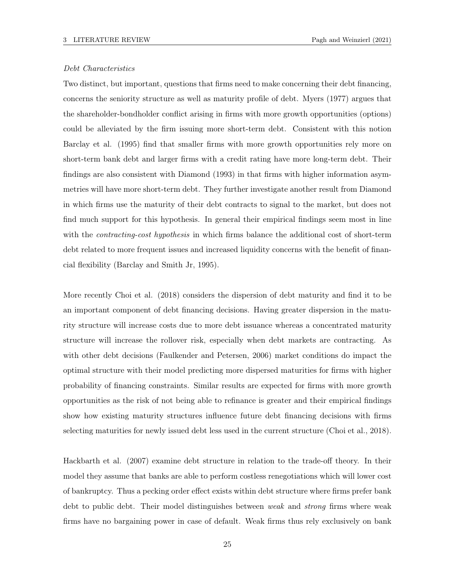#### Debt Characteristics

Two distinct, but important, questions that firms need to make concerning their debt financing, concerns the seniority structure as well as maturity profile of debt. Myers (1977) argues that the shareholder-bondholder conflict arising in firms with more growth opportunities (options) could be alleviated by the firm issuing more short-term debt. Consistent with this notion Barclay et al. (1995) find that smaller firms with more growth opportunities rely more on short-term bank debt and larger firms with a credit rating have more long-term debt. Their findings are also consistent with Diamond (1993) in that firms with higher information asymmetries will have more short-term debt. They further investigate another result from Diamond in which firms use the maturity of their debt contracts to signal to the market, but does not find much support for this hypothesis. In general their empirical findings seem most in line with the *contracting-cost hypothesis* in which firms balance the additional cost of short-term debt related to more frequent issues and increased liquidity concerns with the benefit of financial flexibility (Barclay and Smith Jr, 1995).

More recently Choi et al. (2018) considers the dispersion of debt maturity and find it to be an important component of debt financing decisions. Having greater dispersion in the maturity structure will increase costs due to more debt issuance whereas a concentrated maturity structure will increase the rollover risk, especially when debt markets are contracting. As with other debt decisions (Faulkender and Petersen, 2006) market conditions do impact the optimal structure with their model predicting more dispersed maturities for firms with higher probability of financing constraints. Similar results are expected for firms with more growth opportunities as the risk of not being able to refinance is greater and their empirical findings show how existing maturity structures influence future debt financing decisions with firms selecting maturities for newly issued debt less used in the current structure (Choi et al., 2018).

Hackbarth et al. (2007) examine debt structure in relation to the trade-off theory. In their model they assume that banks are able to perform costless renegotiations which will lower cost of bankruptcy. Thus a pecking order effect exists within debt structure where firms prefer bank debt to public debt. Their model distinguishes between *weak* and *strong* firms where weak firms have no bargaining power in case of default. Weak firms thus rely exclusively on bank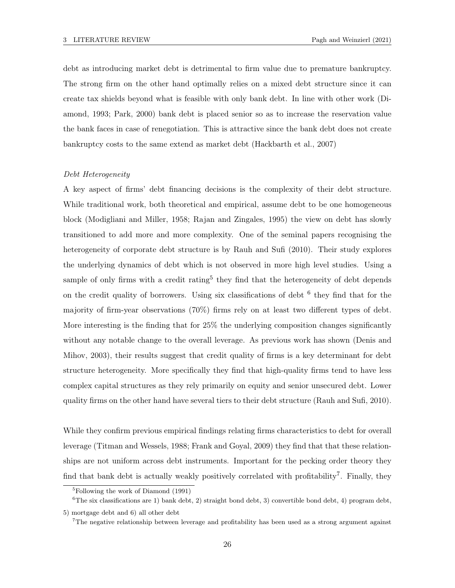debt as introducing market debt is detrimental to firm value due to premature bankruptcy. The strong firm on the other hand optimally relies on a mixed debt structure since it can create tax shields beyond what is feasible with only bank debt. In line with other work (Diamond, 1993; Park, 2000) bank debt is placed senior so as to increase the reservation value the bank faces in case of renegotiation. This is attractive since the bank debt does not create bankruptcy costs to the same extend as market debt (Hackbarth et al., 2007)

#### Debt Heterogeneity

A key aspect of firms' debt financing decisions is the complexity of their debt structure. While traditional work, both theoretical and empirical, assume debt to be one homogeneous block (Modigliani and Miller, 1958; Rajan and Zingales, 1995) the view on debt has slowly transitioned to add more and more complexity. One of the seminal papers recognising the heterogeneity of corporate debt structure is by Rauh and Sufi (2010). Their study explores the underlying dynamics of debt which is not observed in more high level studies. Using a sample of only firms with a credit rating<sup>5</sup> they find that the heterogeneity of debt depends on the credit quality of borrowers. Using six classifications of debt  $6$  they find that for the majority of firm-year observations (70%) firms rely on at least two different types of debt. More interesting is the finding that for 25% the underlying composition changes significantly without any notable change to the overall leverage. As previous work has shown (Denis and Mihov, 2003), their results suggest that credit quality of firms is a key determinant for debt structure heterogeneity. More specifically they find that high-quality firms tend to have less complex capital structures as they rely primarily on equity and senior unsecured debt. Lower quality firms on the other hand have several tiers to their debt structure (Rauh and Sufi, 2010).

While they confirm previous empirical findings relating firms characteristics to debt for overall leverage (Titman and Wessels, 1988; Frank and Goyal, 2009) they find that that these relationships are not uniform across debt instruments. Important for the pecking order theory they find that bank debt is actually weakly positively correlated with profitability<sup>7</sup>. Finally, they

<sup>5</sup>Following the work of Diamond (1991)

<sup>&</sup>lt;sup>6</sup>The six classifications are 1) bank debt, 2) straight bond debt, 3) convertible bond debt, 4) program debt,

<sup>5)</sup> mortgage debt and 6) all other debt

<sup>7</sup>The negative relationship between leverage and profitability has been used as a strong argument against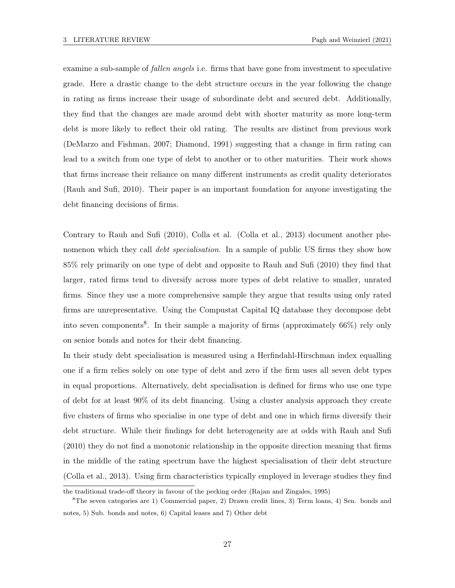examine a sub-sample of *fallen angels* i.e. firms that have gone from investment to speculative grade. Here a drastic change to the debt structure occurs in the year following the change in rating as firms increase their usage of subordinate debt and secured debt. Additionally, they find that the changes are made around debt with shorter maturity as more long-term debt is more likely to reflect their old rating. The results are distinct from previous work (DeMarzo and Fishman, 2007; Diamond, 1991) suggesting that a change in firm rating can lead to a switch from one type of debt to another or to other maturities. Their work shows that firms increase their reliance on many different instruments as credit quality deteriorates (Rauh and Sufi, 2010). Their paper is an important foundation for anyone investigating the debt financing decisions of firms.

Contrary to Rauh and Sufi (2010), Colla et al. (Colla et al., 2013) document another phenomenon which they call *debt specialisation*. In a sample of public US firms they show how 85% rely primarily on one type of debt and opposite to Rauh and Sufi (2010) they find that larger, rated firms tend to diversify across more types of debt relative to smaller, unrated firms. Since they use a more comprehensive sample they argue that results using only rated firms are unrepresentative. Using the Compustat Capital IQ database they decompose debt into seven components<sup>8</sup>. In their sample a majority of firms (approximately 66%) rely only on senior bonds and notes for their debt financing.

In their study debt specialisation is measured using a Herfindahl-Hirschman index equalling one if a firm relies solely on one type of debt and zero if the firm uses all seven debt types in equal proportions. Alternatively, debt specialisation is defined for firms who use one type of debt for at least 90% of its debt financing. Using a cluster analysis approach they create five clusters of firms who specialise in one type of debt and one in which firms diversify their debt structure. While their findings for debt heterogeneity are at odds with Rauh and Sufi (2010) they do not find a monotonic relationship in the opposite direction meaning that firms in the middle of the rating spectrum have the highest specialisation of their debt structure (Colla et al., 2013). Using firm characteristics typically employed in leverage studies they find

the traditional trade-off theory in favour of the pecking order (Rajan and Zingales, 1995)

<sup>8</sup>The seven categories are 1) Commercial paper, 2) Drawn credit lines, 3) Term loans, 4) Sen. bonds and notes, 5) Sub. bonds and notes, 6) Capital leases and 7) Other debt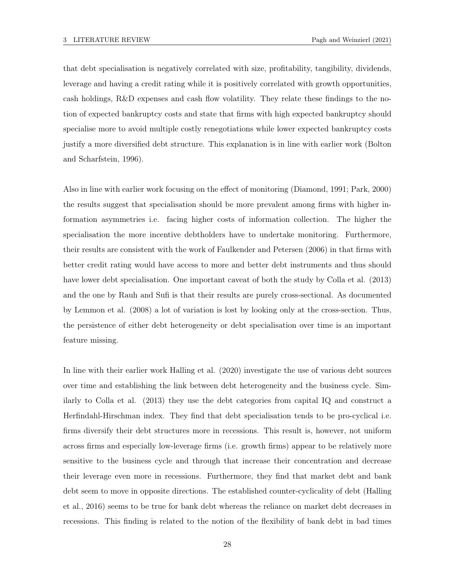that debt specialisation is negatively correlated with size, profitability, tangibility, dividends, leverage and having a credit rating while it is positively correlated with growth opportunities, cash holdings, R&D expenses and cash flow volatility. They relate these findings to the notion of expected bankruptcy costs and state that firms with high expected bankruptcy should specialise more to avoid multiple costly renegotiations while lower expected bankruptcy costs justify a more diversified debt structure. This explanation is in line with earlier work (Bolton and Scharfstein, 1996).

Also in line with earlier work focusing on the effect of monitoring (Diamond, 1991; Park, 2000) the results suggest that specialisation should be more prevalent among firms with higher information asymmetries i.e. facing higher costs of information collection. The higher the specialisation the more incentive debtholders have to undertake monitoring. Furthermore, their results are consistent with the work of Faulkender and Petersen (2006) in that firms with better credit rating would have access to more and better debt instruments and thus should have lower debt specialisation. One important caveat of both the study by Colla et al. (2013) and the one by Rauh and Sufi is that their results are purely cross-sectional. As documented by Lemmon et al. (2008) a lot of variation is lost by looking only at the cross-section. Thus, the persistence of either debt heterogeneity or debt specialisation over time is an important feature missing.

In line with their earlier work Halling et al. (2020) investigate the use of various debt sources over time and establishing the link between debt heterogeneity and the business cycle. Similarly to Colla et al. (2013) they use the debt categories from capital IQ and construct a Herfindahl-Hirschman index. They find that debt specialisation tends to be pro-cyclical i.e. firms diversify their debt structures more in recessions. This result is, however, not uniform across firms and especially low-leverage firms (i.e. growth firms) appear to be relatively more sensitive to the business cycle and through that increase their concentration and decrease their leverage even more in recessions. Furthermore, they find that market debt and bank debt seem to move in opposite directions. The established counter-cyclicality of debt (Halling et al., 2016) seems to be true for bank debt whereas the reliance on market debt decreases in recessions. This finding is related to the notion of the flexibility of bank debt in bad times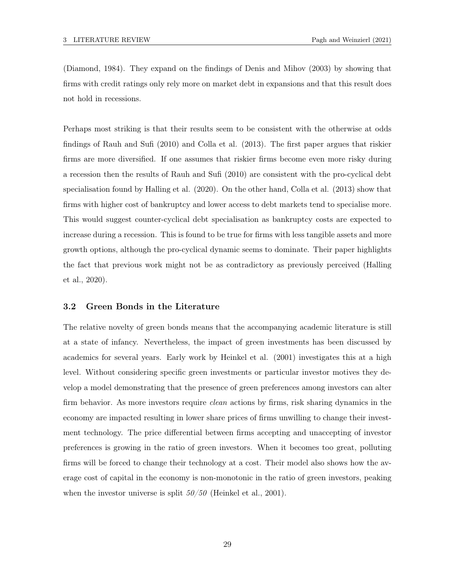(Diamond, 1984). They expand on the findings of Denis and Mihov (2003) by showing that firms with credit ratings only rely more on market debt in expansions and that this result does not hold in recessions.

Perhaps most striking is that their results seem to be consistent with the otherwise at odds findings of Rauh and Sufi (2010) and Colla et al. (2013). The first paper argues that riskier firms are more diversified. If one assumes that riskier firms become even more risky during a recession then the results of Rauh and Sufi (2010) are consistent with the pro-cyclical debt specialisation found by Halling et al. (2020). On the other hand, Colla et al. (2013) show that firms with higher cost of bankruptcy and lower access to debt markets tend to specialise more. This would suggest counter-cyclical debt specialisation as bankruptcy costs are expected to increase during a recession. This is found to be true for firms with less tangible assets and more growth options, although the pro-cyclical dynamic seems to dominate. Their paper highlights the fact that previous work might not be as contradictory as previously perceived (Halling et al., 2020).

#### 3.2 Green Bonds in the Literature

The relative novelty of green bonds means that the accompanying academic literature is still at a state of infancy. Nevertheless, the impact of green investments has been discussed by academics for several years. Early work by Heinkel et al. (2001) investigates this at a high level. Without considering specific green investments or particular investor motives they develop a model demonstrating that the presence of green preferences among investors can alter firm behavior. As more investors require *clean* actions by firms, risk sharing dynamics in the economy are impacted resulting in lower share prices of firms unwilling to change their investment technology. The price differential between firms accepting and unaccepting of investor preferences is growing in the ratio of green investors. When it becomes too great, polluting firms will be forced to change their technology at a cost. Their model also shows how the average cost of capital in the economy is non-monotonic in the ratio of green investors, peaking when the investor universe is split  $50/50$  (Heinkel et al., 2001).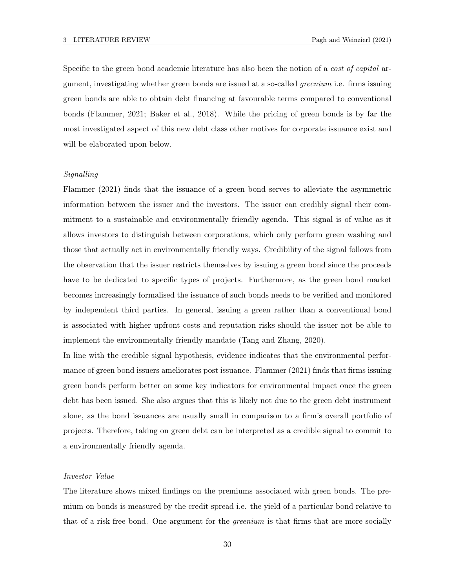Specific to the green bond academic literature has also been the notion of a cost of capital argument, investigating whether green bonds are issued at a so-called greenium i.e. firms issuing green bonds are able to obtain debt financing at favourable terms compared to conventional bonds (Flammer, 2021; Baker et al., 2018). While the pricing of green bonds is by far the most investigated aspect of this new debt class other motives for corporate issuance exist and will be elaborated upon below.

#### Signalling

Flammer (2021) finds that the issuance of a green bond serves to alleviate the asymmetric information between the issuer and the investors. The issuer can credibly signal their commitment to a sustainable and environmentally friendly agenda. This signal is of value as it allows investors to distinguish between corporations, which only perform green washing and those that actually act in environmentally friendly ways. Credibility of the signal follows from the observation that the issuer restricts themselves by issuing a green bond since the proceeds have to be dedicated to specific types of projects. Furthermore, as the green bond market becomes increasingly formalised the issuance of such bonds needs to be verified and monitored by independent third parties. In general, issuing a green rather than a conventional bond is associated with higher upfront costs and reputation risks should the issuer not be able to implement the environmentally friendly mandate (Tang and Zhang, 2020).

In line with the credible signal hypothesis, evidence indicates that the environmental performance of green bond issuers ameliorates post issuance. Flammer (2021) finds that firms issuing green bonds perform better on some key indicators for environmental impact once the green debt has been issued. She also argues that this is likely not due to the green debt instrument alone, as the bond issuances are usually small in comparison to a firm's overall portfolio of projects. Therefore, taking on green debt can be interpreted as a credible signal to commit to a environmentally friendly agenda.

#### Investor Value

The literature shows mixed findings on the premiums associated with green bonds. The premium on bonds is measured by the credit spread i.e. the yield of a particular bond relative to that of a risk-free bond. One argument for the greenium is that firms that are more socially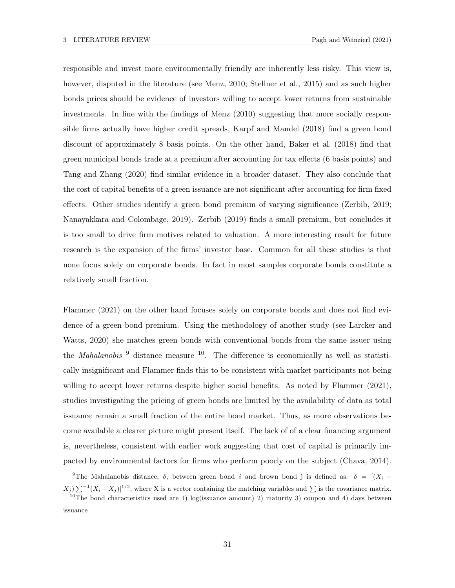responsible and invest more environmentally friendly are inherently less risky. This view is, however, disputed in the literature (see Menz, 2010; Stellner et al., 2015) and as such higher bonds prices should be evidence of investors willing to accept lower returns from sustainable investments. In line with the findings of Menz (2010) suggesting that more socially responsible firms actually have higher credit spreads, Karpf and Mandel (2018) find a green bond discount of approximately 8 basis points. On the other hand, Baker et al. (2018) find that green municipal bonds trade at a premium after accounting for tax effects (6 basis points) and Tang and Zhang (2020) find similar evidence in a broader dataset. They also conclude that the cost of capital benefits of a green issuance are not significant after accounting for firm fixed effects. Other studies identify a green bond premium of varying significance (Zerbib, 2019; Nanayakkara and Colombage, 2019). Zerbib (2019) finds a small premium, but concludes it is too small to drive firm motives related to valuation. A more interesting result for future research is the expansion of the firms' investor base. Common for all these studies is that none focus solely on corporate bonds. In fact in most samples corporate bonds constitute a relatively small fraction.

Flammer (2021) on the other hand focuses solely on corporate bonds and does not find evidence of a green bond premium. Using the methodology of another study (see Larcker and Watts, 2020) she matches green bonds with conventional bonds from the same issuer using the *Mahalanobis*  $\frac{9}{9}$  distance measure  $\frac{10}{9}$ . The difference is economically as well as statistically insignificant and Flammer finds this to be consistent with market participants not being willing to accept lower returns despite higher social benefits. As noted by Flammer (2021), studies investigating the pricing of green bonds are limited by the availability of data as total issuance remain a small fraction of the entire bond market. Thus, as more observations become available a clearer picture might present itself. The lack of of a clear financing argument is, nevertheless, consistent with earlier work suggesting that cost of capital is primarily impacted by environmental factors for firms who perform poorly on the subject (Chava, 2014).

<sup>&</sup>lt;sup>9</sup>The Mahalanobis distance,  $\delta$ , between green bond i and brown bond j is defined as:  $\delta = [(X_i (X_j) \sum^{-1} (X_i - X_j)^{1/2}$ , where X is a vector containing the matching variables and  $\Sigma$  is the covariance matrix.

<sup>&</sup>lt;sup>10</sup>The bond characteristics used are 1) log(issuance amount) 2) maturity 3) coupon and 4) days between issuance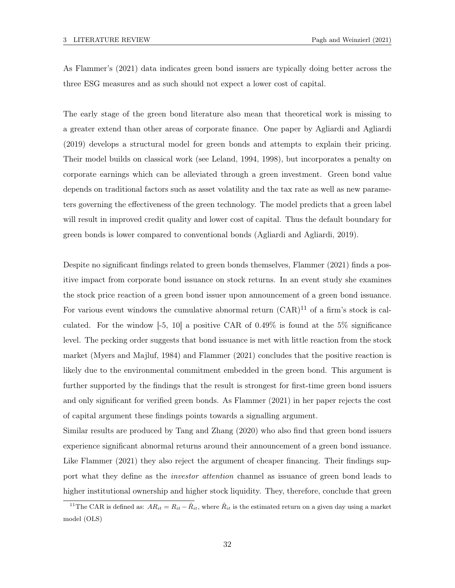As Flammer's (2021) data indicates green bond issuers are typically doing better across the three ESG measures and as such should not expect a lower cost of capital.

The early stage of the green bond literature also mean that theoretical work is missing to a greater extend than other areas of corporate finance. One paper by Agliardi and Agliardi (2019) develops a structural model for green bonds and attempts to explain their pricing. Their model builds on classical work (see Leland, 1994, 1998), but incorporates a penalty on corporate earnings which can be alleviated through a green investment. Green bond value depends on traditional factors such as asset volatility and the tax rate as well as new parameters governing the effectiveness of the green technology. The model predicts that a green label will result in improved credit quality and lower cost of capital. Thus the default boundary for green bonds is lower compared to conventional bonds (Agliardi and Agliardi, 2019).

Despite no significant findings related to green bonds themselves, Flammer (2021) finds a positive impact from corporate bond issuance on stock returns. In an event study she examines the stock price reaction of a green bond issuer upon announcement of a green bond issuance. For various event windows the cumulative abnormal return  $(CAR)^{11}$  of a firm's stock is calculated. For the window  $[-5, 10]$  a positive CAR of 0.49% is found at the 5% significance level. The pecking order suggests that bond issuance is met with little reaction from the stock market (Myers and Majluf, 1984) and Flammer (2021) concludes that the positive reaction is likely due to the environmental commitment embedded in the green bond. This argument is further supported by the findings that the result is strongest for first-time green bond issuers and only significant for verified green bonds. As Flammer (2021) in her paper rejects the cost of capital argument these findings points towards a signalling argument.

Similar results are produced by Tang and Zhang (2020) who also find that green bond issuers experience significant abnormal returns around their announcement of a green bond issuance. Like Flammer (2021) they also reject the argument of cheaper financing. Their findings support what they define as the investor attention channel as issuance of green bond leads to higher institutional ownership and higher stock liquidity. They, therefore, conclude that green

<sup>&</sup>lt;sup>11</sup>The CAR is defined as:  $AR_{it} = R_{it} - \hat{R}_{it}$ , where  $\hat{R}_{it}$  is the estimated return on a given day using a market model (OLS)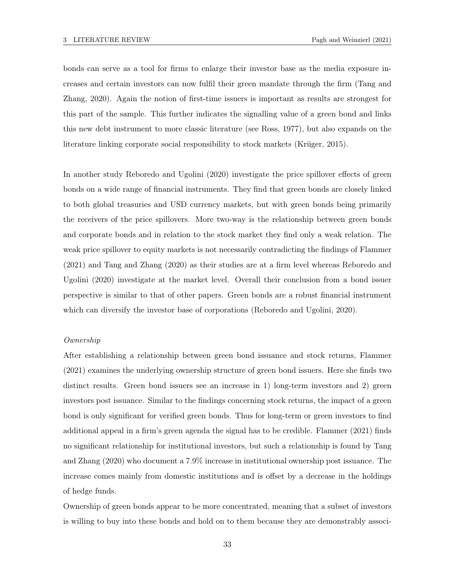bonds can serve as a tool for firms to enlarge their investor base as the media exposure increases and certain investors can now fulfil their green mandate through the firm (Tang and Zhang, 2020). Again the notion of first-time issuers is important as results are strongest for this part of the sample. This further indicates the signalling value of a green bond and links this new debt instrument to more classic literature (see Ross, 1977), but also expands on the literature linking corporate social responsibility to stock markets (Krüger, 2015).

In another study Reboredo and Ugolini (2020) investigate the price spillover effects of green bonds on a wide range of financial instruments. They find that green bonds are closely linked to both global treasuries and USD currency markets, but with green bonds being primarily the receivers of the price spillovers. More two-way is the relationship between green bonds and corporate bonds and in relation to the stock market they find only a weak relation. The weak price spillover to equity markets is not necessarily contradicting the findings of Flammer (2021) and Tang and Zhang (2020) as their studies are at a firm level whereas Reboredo and Ugolini (2020) investigate at the market level. Overall their conclusion from a bond issuer perspective is similar to that of other papers. Green bonds are a robust financial instrument which can diversify the investor base of corporations (Reboredo and Ugolini, 2020).

### Ownership

After establishing a relationship between green bond issuance and stock returns, Flammer (2021) examines the underlying ownership structure of green bond issuers. Here she finds two distinct results. Green bond issuers see an increase in 1) long-term investors and 2) green investors post issuance. Similar to the findings concerning stock returns, the impact of a green bond is only significant for verified green bonds. Thus for long-term or green investors to find additional appeal in a firm's green agenda the signal has to be credible. Flammer (2021) finds no significant relationship for institutional investors, but such a relationship is found by Tang and Zhang (2020) who document a 7.9% increase in institutional ownership post issuance. The increase comes mainly from domestic institutions and is offset by a decrease in the holdings of hedge funds.

Ownership of green bonds appear to be more concentrated, meaning that a subset of investors is willing to buy into these bonds and hold on to them because they are demonstrably associ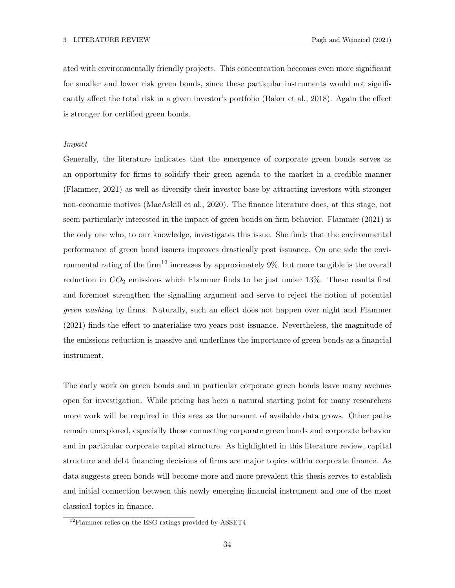ated with environmentally friendly projects. This concentration becomes even more significant for smaller and lower risk green bonds, since these particular instruments would not significantly affect the total risk in a given investor's portfolio (Baker et al., 2018). Again the effect is stronger for certified green bonds.

### Impact

Generally, the literature indicates that the emergence of corporate green bonds serves as an opportunity for firms to solidify their green agenda to the market in a credible manner (Flammer, 2021) as well as diversify their investor base by attracting investors with stronger non-economic motives (MacAskill et al., 2020). The finance literature does, at this stage, not seem particularly interested in the impact of green bonds on firm behavior. Flammer (2021) is the only one who, to our knowledge, investigates this issue. She finds that the environmental performance of green bond issuers improves drastically post issuance. On one side the environmental rating of the firm<sup>12</sup> increases by approximately  $9\%$ , but more tangible is the overall reduction in  $CO<sub>2</sub>$  emissions which Flammer finds to be just under 13%. These results first and foremost strengthen the signalling argument and serve to reject the notion of potential green washing by firms. Naturally, such an effect does not happen over night and Flammer (2021) finds the effect to materialise two years post issuance. Nevertheless, the magnitude of the emissions reduction is massive and underlines the importance of green bonds as a financial instrument.

The early work on green bonds and in particular corporate green bonds leave many avenues open for investigation. While pricing has been a natural starting point for many researchers more work will be required in this area as the amount of available data grows. Other paths remain unexplored, especially those connecting corporate green bonds and corporate behavior and in particular corporate capital structure. As highlighted in this literature review, capital structure and debt financing decisions of firms are major topics within corporate finance. As data suggests green bonds will become more and more prevalent this thesis serves to establish and initial connection between this newly emerging financial instrument and one of the most classical topics in finance.

 $^{12}\mathrm{Flammer}$  relies on the ESG ratings provided by ASSET4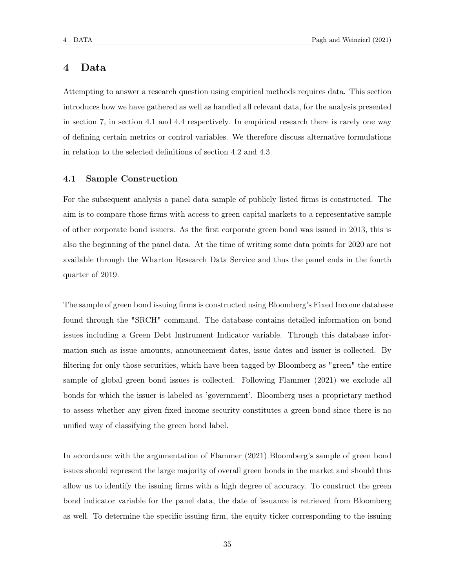# 4 Data

Attempting to answer a research question using empirical methods requires data. This section introduces how we have gathered as well as handled all relevant data, for the analysis presented in section 7, in section 4.1 and 4.4 respectively. In empirical research there is rarely one way of defining certain metrics or control variables. We therefore discuss alternative formulations in relation to the selected definitions of section 4.2 and 4.3.

### 4.1 Sample Construction

For the subsequent analysis a panel data sample of publicly listed firms is constructed. The aim is to compare those firms with access to green capital markets to a representative sample of other corporate bond issuers. As the first corporate green bond was issued in 2013, this is also the beginning of the panel data. At the time of writing some data points for 2020 are not available through the Wharton Research Data Service and thus the panel ends in the fourth quarter of 2019.

The sample of green bond issuing firms is constructed using Bloomberg's Fixed Income database found through the "SRCH" command. The database contains detailed information on bond issues including a Green Debt Instrument Indicator variable. Through this database information such as issue amounts, announcement dates, issue dates and issuer is collected. By filtering for only those securities, which have been tagged by Bloomberg as "green" the entire sample of global green bond issues is collected. Following Flammer (2021) we exclude all bonds for which the issuer is labeled as 'government'. Bloomberg uses a proprietary method to assess whether any given fixed income security constitutes a green bond since there is no unified way of classifying the green bond label.

In accordance with the argumentation of Flammer (2021) Bloomberg's sample of green bond issues should represent the large majority of overall green bonds in the market and should thus allow us to identify the issuing firms with a high degree of accuracy. To construct the green bond indicator variable for the panel data, the date of issuance is retrieved from Bloomberg as well. To determine the specific issuing firm, the equity ticker corresponding to the issuing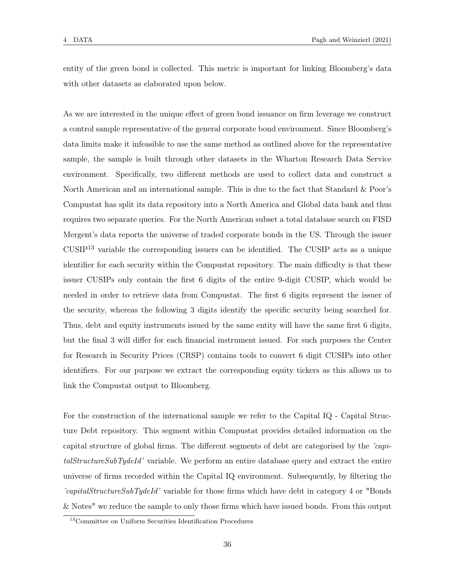entity of the green bond is collected. This metric is important for linking Bloomberg's data with other datasets as elaborated upon below.

As we are interested in the unique effect of green bond issuance on firm leverage we construct a control sample representative of the general corporate bond environment. Since Bloomberg's data limits make it infeasible to use the same method as outlined above for the representative sample, the sample is built through other datasets in the Wharton Research Data Service environment. Specifically, two different methods are used to collect data and construct a North American and an international sample. This is due to the fact that Standard & Poor's Compustat has split its data repository into a North America and Global data bank and thus requires two separate queries. For the North American subset a total database search on FISD Mergent's data reports the universe of traded corporate bonds in the US. Through the issuer  $CUSIP<sup>13</sup>$  variable the corresponding issuers can be identified. The CUSIP acts as a unique identifier for each security within the Compustat repository. The main difficulty is that these issuer CUSIPs only contain the first 6 digits of the entire 9-digit CUSIP, which would be needed in order to retrieve data from Compustat. The first 6 digits represent the issuer of the security, whereas the following 3 digits identify the specific security being searched for. Thus, debt and equity instruments issued by the same entity will have the same first 6 digits, but the final 3 will differ for each financial instrument issued. For such purposes the Center for Research in Security Prices (CRSP) contains tools to convert 6 digit CUSIPs into other identifiers. For our purpose we extract the corresponding equity tickers as this allows us to link the Compustat output to Bloomberg.

For the construction of the international sample we refer to the Capital IQ - Capital Structure Debt repository. This segment within Compustat provides detailed information on the capital structure of global firms. The different segments of debt are categorised by the 'capitalStructureSubTydeId' variable. We perform an entire database query and extract the entire universe of firms recorded within the Capital IQ environment. Subsequently, by filtering the 'capitalStructureSubTydeId' variable for those firms which have debt in category 4 or "Bonds & Notes" we reduce the sample to only those firms which have issued bonds. From this output

<sup>13</sup>Committee on Uniform Securities Identification Procedures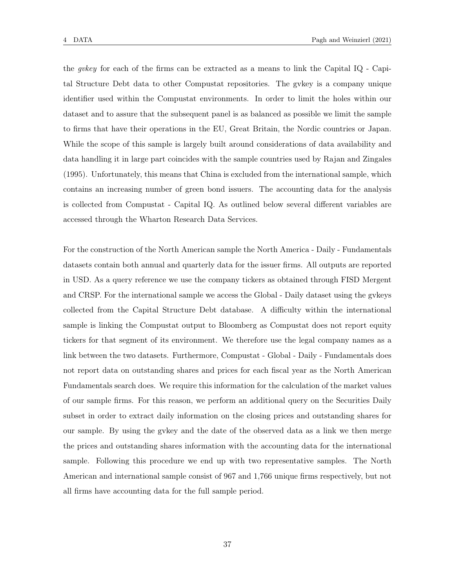the *gvkey* for each of the firms can be extracted as a means to link the Capital IQ - Capital Structure Debt data to other Compustat repositories. The gvkey is a company unique identifier used within the Compustat environments. In order to limit the holes within our dataset and to assure that the subsequent panel is as balanced as possible we limit the sample to firms that have their operations in the EU, Great Britain, the Nordic countries or Japan. While the scope of this sample is largely built around considerations of data availability and data handling it in large part coincides with the sample countries used by Rajan and Zingales (1995). Unfortunately, this means that China is excluded from the international sample, which contains an increasing number of green bond issuers. The accounting data for the analysis is collected from Compustat - Capital IQ. As outlined below several different variables are accessed through the Wharton Research Data Services.

For the construction of the North American sample the North America - Daily - Fundamentals datasets contain both annual and quarterly data for the issuer firms. All outputs are reported in USD. As a query reference we use the company tickers as obtained through FISD Mergent and CRSP. For the international sample we access the Global - Daily dataset using the gykeys collected from the Capital Structure Debt database. A difficulty within the international sample is linking the Compustat output to Bloomberg as Compustat does not report equity tickers for that segment of its environment. We therefore use the legal company names as a link between the two datasets. Furthermore, Compustat - Global - Daily - Fundamentals does not report data on outstanding shares and prices for each fiscal year as the North American Fundamentals search does. We require this information for the calculation of the market values of our sample firms. For this reason, we perform an additional query on the Securities Daily subset in order to extract daily information on the closing prices and outstanding shares for our sample. By using the gvkey and the date of the observed data as a link we then merge the prices and outstanding shares information with the accounting data for the international sample. Following this procedure we end up with two representative samples. The North American and international sample consist of 967 and 1,766 unique firms respectively, but not all firms have accounting data for the full sample period.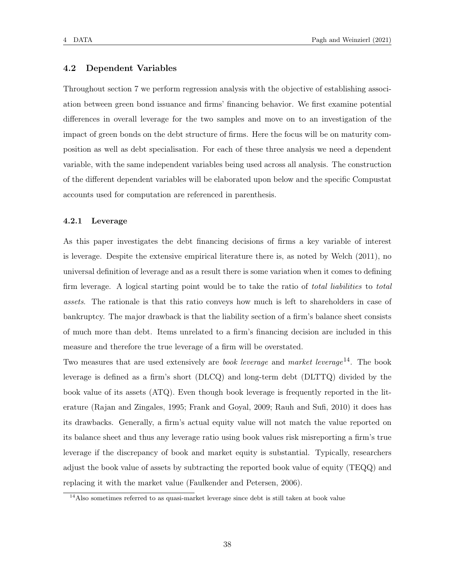## 4.2 Dependent Variables

Throughout section 7 we perform regression analysis with the objective of establishing association between green bond issuance and firms' financing behavior. We first examine potential differences in overall leverage for the two samples and move on to an investigation of the impact of green bonds on the debt structure of firms. Here the focus will be on maturity composition as well as debt specialisation. For each of these three analysis we need a dependent variable, with the same independent variables being used across all analysis. The construction of the different dependent variables will be elaborated upon below and the specific Compustat accounts used for computation are referenced in parenthesis.

### 4.2.1 Leverage

As this paper investigates the debt financing decisions of firms a key variable of interest is leverage. Despite the extensive empirical literature there is, as noted by Welch (2011), no universal definition of leverage and as a result there is some variation when it comes to defining firm leverage. A logical starting point would be to take the ratio of *total liabilities* to *total* assets. The rationale is that this ratio conveys how much is left to shareholders in case of bankruptcy. The major drawback is that the liability section of a firm's balance sheet consists of much more than debt. Items unrelated to a firm's financing decision are included in this measure and therefore the true leverage of a firm will be overstated.

Two measures that are used extensively are *book leverage* and market leverage<sup>14</sup>. The book leverage is defined as a firm's short (DLCQ) and long-term debt (DLTTQ) divided by the book value of its assets (ATQ). Even though book leverage is frequently reported in the literature (Rajan and Zingales, 1995; Frank and Goyal, 2009; Rauh and Sufi, 2010) it does has its drawbacks. Generally, a firm's actual equity value will not match the value reported on its balance sheet and thus any leverage ratio using book values risk misreporting a firm's true leverage if the discrepancy of book and market equity is substantial. Typically, researchers adjust the book value of assets by subtracting the reported book value of equity (TEQQ) and replacing it with the market value (Faulkender and Petersen, 2006).

<sup>&</sup>lt;sup>14</sup>Also sometimes referred to as quasi-market leverage since debt is still taken at book value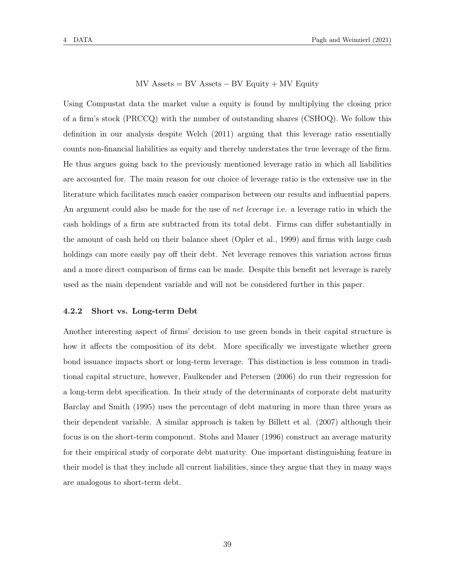$MV$  Assets = BV Assets – BV Equity + MV Equity

Using Compustat data the market value a equity is found by multiplying the closing price of a firm's stock (PRCCQ) with the number of outstanding shares (CSHOQ). We follow this definition in our analysis despite Welch (2011) arguing that this leverage ratio essentially counts non-financial liabilities as equity and thereby understates the true leverage of the firm. He thus argues going back to the previously mentioned leverage ratio in which all liabilities are accounted for. The main reason for our choice of leverage ratio is the extensive use in the literature which facilitates much easier comparison between our results and influential papers. An argument could also be made for the use of *net leverage* i.e. a leverage ratio in which the cash holdings of a firm are subtracted from its total debt. Firms can differ substantially in the amount of cash held on their balance sheet (Opler et al., 1999) and firms with large cash holdings can more easily pay off their debt. Net leverage removes this variation across firms and a more direct comparison of firms can be made. Despite this benefit net leverage is rarely used as the main dependent variable and will not be considered further in this paper.

### 4.2.2 Short vs. Long-term Debt

Another interesting aspect of firms' decision to use green bonds in their capital structure is how it affects the composition of its debt. More specifically we investigate whether green bond issuance impacts short or long-term leverage. This distinction is less common in traditional capital structure, however, Faulkender and Petersen (2006) do run their regression for a long-term debt specification. In their study of the determinants of corporate debt maturity Barclay and Smith (1995) uses the percentage of debt maturing in more than three years as their dependent variable. A similar approach is taken by Billett et al. (2007) although their focus is on the short-term component. Stohs and Mauer (1996) construct an average maturity for their empirical study of corporate debt maturity. One important distinguishing feature in their model is that they include all current liabilities, since they argue that they in many ways are analogous to short-term debt.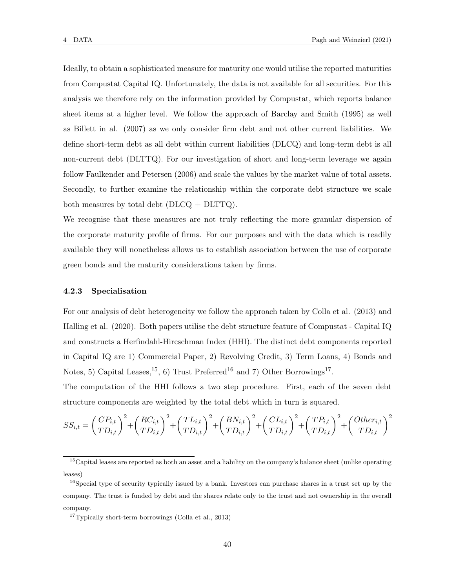Ideally, to obtain a sophisticated measure for maturity one would utilise the reported maturities from Compustat Capital IQ. Unfortunately, the data is not available for all securities. For this analysis we therefore rely on the information provided by Compustat, which reports balance sheet items at a higher level. We follow the approach of Barclay and Smith (1995) as well as Billett in al. (2007) as we only consider firm debt and not other current liabilities. We define short-term debt as all debt within current liabilities (DLCQ) and long-term debt is all non-current debt (DLTTQ). For our investigation of short and long-term leverage we again follow Faulkender and Petersen (2006) and scale the values by the market value of total assets. Secondly, to further examine the relationship within the corporate debt structure we scale both measures by total debt  $(DLCQ + DLTTQ)$ .

We recognise that these measures are not truly reflecting the more granular dispersion of the corporate maturity profile of firms. For our purposes and with the data which is readily available they will nonetheless allows us to establish association between the use of corporate green bonds and the maturity considerations taken by firms.

#### 4.2.3 Specialisation

For our analysis of debt heterogeneity we follow the approach taken by Colla et al. (2013) and Halling et al. (2020). Both papers utilise the debt structure feature of Compustat - Capital IQ and constructs a Herfindahl-Hircschman Index (HHI). The distinct debt components reported in Capital IQ are 1) Commercial Paper, 2) Revolving Credit, 3) Term Loans, 4) Bonds and Notes, 5) Capital Leases, <sup>15</sup>, 6) Trust Preferred<sup>16</sup> and 7) Other Borrowings<sup>17</sup>.

The computation of the HHI follows a two step procedure. First, each of the seven debt structure components are weighted by the total debt which in turn is squared.

$$
SS_{i,t} = \left(\frac{CP_{i,t}}{TD_{i,t}}\right)^2 + \left(\frac{RC_{i,t}}{TD_{i,t}}\right)^2 + \left(\frac{TL_{i,t}}{TD_{i,t}}\right)^2 + \left(\frac{BN_{i,t}}{TD_{i,t}}\right)^2 + \left(\frac{CL_{i,t}}{TD_{i,t}}\right)^2 + \left(\frac{TP_{i,t}}{TD_{i,t}}\right)^2 + \left(\frac{Other_{i,t}}{TD_{i,t}}\right)^2
$$

<sup>&</sup>lt;sup>15</sup>Capital leases are reported as both an asset and a liability on the company's balance sheet (unlike operating leases)

 $16S$  pecial type of security typically issued by a bank. Investors can purchase shares in a trust set up by the company. The trust is funded by debt and the shares relate only to the trust and not ownership in the overall company.

 $17$ Typically short-term borrowings (Colla et al., 2013)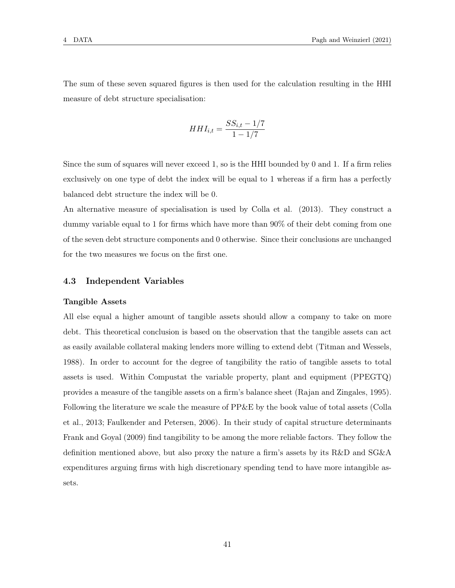The sum of these seven squared figures is then used for the calculation resulting in the HHI measure of debt structure specialisation:

$$
HHI_{i,t} = \frac{SS_{i,t} - 1/7}{1 - 1/7}
$$

Since the sum of squares will never exceed 1, so is the HHI bounded by 0 and 1. If a firm relies exclusively on one type of debt the index will be equal to 1 whereas if a firm has a perfectly balanced debt structure the index will be 0.

An alternative measure of specialisation is used by Colla et al. (2013). They construct a dummy variable equal to 1 for firms which have more than 90% of their debt coming from one of the seven debt structure components and 0 otherwise. Since their conclusions are unchanged for the two measures we focus on the first one.

# 4.3 Independent Variables

### Tangible Assets

All else equal a higher amount of tangible assets should allow a company to take on more debt. This theoretical conclusion is based on the observation that the tangible assets can act as easily available collateral making lenders more willing to extend debt (Titman and Wessels, 1988). In order to account for the degree of tangibility the ratio of tangible assets to total assets is used. Within Compustat the variable property, plant and equipment (PPEGTQ) provides a measure of the tangible assets on a firm's balance sheet (Rajan and Zingales, 1995). Following the literature we scale the measure of PP&E by the book value of total assets (Colla et al., 2013; Faulkender and Petersen, 2006). In their study of capital structure determinants Frank and Goyal (2009) find tangibility to be among the more reliable factors. They follow the definition mentioned above, but also proxy the nature a firm's assets by its R&D and SG&A expenditures arguing firms with high discretionary spending tend to have more intangible assets.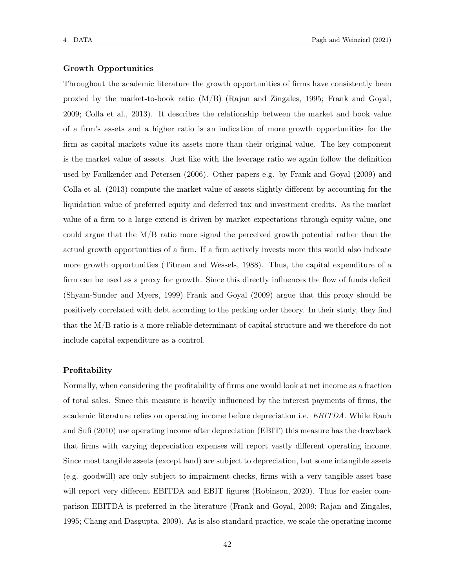# Growth Opportunities

Throughout the academic literature the growth opportunities of firms have consistently been proxied by the market-to-book ratio (M/B) (Rajan and Zingales, 1995; Frank and Goyal, 2009; Colla et al., 2013). It describes the relationship between the market and book value of a firm's assets and a higher ratio is an indication of more growth opportunities for the firm as capital markets value its assets more than their original value. The key component is the market value of assets. Just like with the leverage ratio we again follow the definition used by Faulkender and Petersen (2006). Other papers e.g. by Frank and Goyal (2009) and Colla et al. (2013) compute the market value of assets slightly different by accounting for the liquidation value of preferred equity and deferred tax and investment credits. As the market value of a firm to a large extend is driven by market expectations through equity value, one could argue that the M/B ratio more signal the perceived growth potential rather than the actual growth opportunities of a firm. If a firm actively invests more this would also indicate more growth opportunities (Titman and Wessels, 1988). Thus, the capital expenditure of a firm can be used as a proxy for growth. Since this directly influences the flow of funds deficit (Shyam-Sunder and Myers, 1999) Frank and Goyal (2009) argue that this proxy should be positively correlated with debt according to the pecking order theory. In their study, they find that the M/B ratio is a more reliable determinant of capital structure and we therefore do not include capital expenditure as a control.

### Profitability

Normally, when considering the profitability of firms one would look at net income as a fraction of total sales. Since this measure is heavily influenced by the interest payments of firms, the academic literature relies on operating income before depreciation i.e. EBITDA. While Rauh and Sufi (2010) use operating income after depreciation (EBIT) this measure has the drawback that firms with varying depreciation expenses will report vastly different operating income. Since most tangible assets (except land) are subject to depreciation, but some intangible assets (e.g. goodwill) are only subject to impairment checks, firms with a very tangible asset base will report very different EBITDA and EBIT figures (Robinson, 2020). Thus for easier comparison EBITDA is preferred in the literature (Frank and Goyal, 2009; Rajan and Zingales, 1995; Chang and Dasgupta, 2009). As is also standard practice, we scale the operating income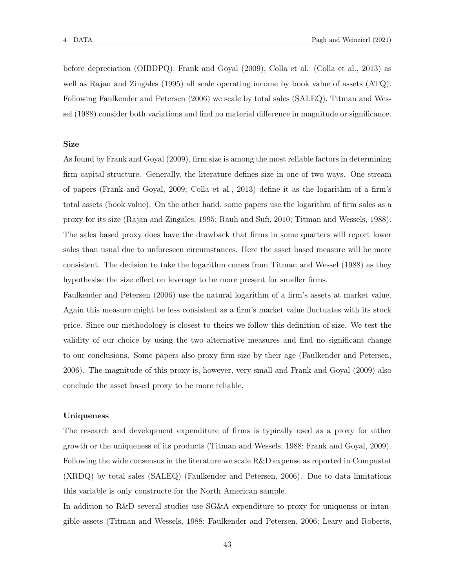before depreciation (OIBDPQ). Frank and Goyal (2009), Colla et al. (Colla et al., 2013) as well as Rajan and Zingales (1995) all scale operating income by book value of assets (ATQ). Following Faulkender and Petersen (2006) we scale by total sales (SALEQ). Titman and Wessel (1988) consider both variations and find no material difference in magnitude or significance.

### Size

As found by Frank and Goyal (2009), firm size is among the most reliable factors in determining firm capital structure. Generally, the literature defines size in one of two ways. One stream of papers (Frank and Goyal, 2009; Colla et al., 2013) define it as the logarithm of a firm's total assets (book value). On the other hand, some papers use the logarithm of firm sales as a proxy for its size (Rajan and Zingales, 1995; Rauh and Sufi, 2010; Titman and Wessels, 1988). The sales based proxy does have the drawback that firms in some quarters will report lower sales than usual due to unforeseen circumstances. Here the asset based measure will be more consistent. The decision to take the logarithm comes from Titman and Wessel (1988) as they hypothesise the size effect on leverage to be more present for smaller firms.

Faulkender and Petersen (2006) use the natural logarithm of a firm's assets at market value. Again this measure might be less consistent as a firm's market value fluctuates with its stock price. Since our methodology is closest to theirs we follow this definition of size. We test the validity of our choice by using the two alternative measures and find no significant change to our conclusions. Some papers also proxy firm size by their age (Faulkender and Petersen, 2006). The magnitude of this proxy is, however, very small and Frank and Goyal (2009) also conclude the asset based proxy to be more reliable.

# Uniqueness

The research and development expenditure of firms is typically used as a proxy for either growth or the uniqueness of its products (Titman and Wessels, 1988; Frank and Goyal, 2009). Following the wide consensus in the literature we scale R&D expense as reported in Compustat (XRDQ) by total sales (SALEQ) (Faulkender and Petersen, 2006). Due to data limitations this variable is only constructe for the North American sample.

In addition to R&D several studies use SG&A expenditure to proxy for uniquenss or intangible assets (Titman and Wessels, 1988; Faulkender and Petersen, 2006; Leary and Roberts,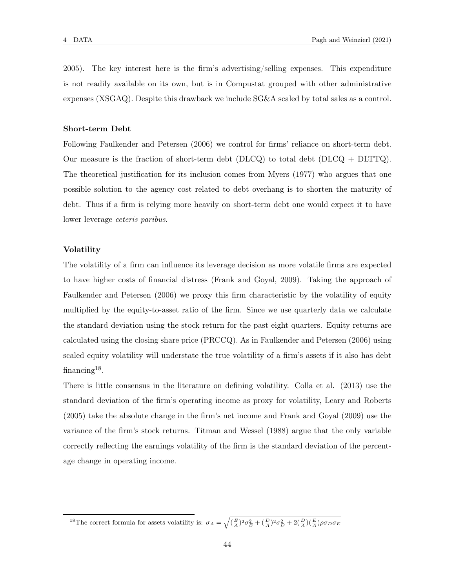2005). The key interest here is the firm's advertising/selling expenses. This expenditure is not readily available on its own, but is in Compustat grouped with other administrative expenses (XSGAQ). Despite this drawback we include SG&A scaled by total sales as a control.

#### Short-term Debt

Following Faulkender and Petersen (2006) we control for firms' reliance on short-term debt. Our measure is the fraction of short-term debt (DLCQ) to total debt (DLCQ + DLTTQ). The theoretical justification for its inclusion comes from Myers (1977) who argues that one possible solution to the agency cost related to debt overhang is to shorten the maturity of debt. Thus if a firm is relying more heavily on short-term debt one would expect it to have lower leverage ceteris paribus.

#### Volatility

The volatility of a firm can influence its leverage decision as more volatile firms are expected to have higher costs of financial distress (Frank and Goyal, 2009). Taking the approach of Faulkender and Petersen (2006) we proxy this firm characteristic by the volatility of equity multiplied by the equity-to-asset ratio of the firm. Since we use quarterly data we calculate the standard deviation using the stock return for the past eight quarters. Equity returns are calculated using the closing share price (PRCCQ). As in Faulkender and Petersen (2006) using scaled equity volatility will understate the true volatility of a firm's assets if it also has debt financing<sup>18</sup>.

There is little consensus in the literature on defining volatility. Colla et al. (2013) use the standard deviation of the firm's operating income as proxy for volatility, Leary and Roberts (2005) take the absolute change in the firm's net income and Frank and Goyal (2009) use the variance of the firm's stock returns. Titman and Wessel (1988) argue that the only variable correctly reflecting the earnings volatility of the firm is the standard deviation of the percentage change in operating income.

<sup>&</sup>lt;sup>18</sup>The correct formula for assets volatility is:  $\sigma_A = \sqrt{\left(\frac{E}{A}\right)^2 \sigma_E^2 + \left(\frac{D}{A}\right)^2 \sigma_D^2 + 2\left(\frac{D}{A}\right) \left(\frac{E}{A}\right) \rho \sigma_D \sigma_E}$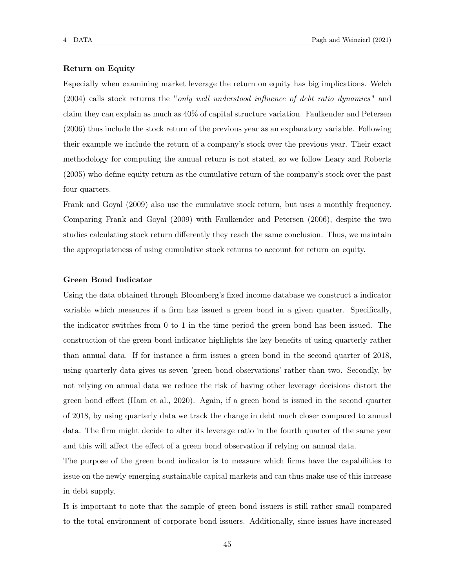# Return on Equity

Especially when examining market leverage the return on equity has big implications. Welch (2004) calls stock returns the "only well understood influence of debt ratio dynamics" and claim they can explain as much as 40% of capital structure variation. Faulkender and Petersen (2006) thus include the stock return of the previous year as an explanatory variable. Following their example we include the return of a company's stock over the previous year. Their exact methodology for computing the annual return is not stated, so we follow Leary and Roberts (2005) who define equity return as the cumulative return of the company's stock over the past four quarters.

Frank and Goyal (2009) also use the cumulative stock return, but uses a monthly frequency. Comparing Frank and Goyal (2009) with Faulkender and Petersen (2006), despite the two studies calculating stock return differently they reach the same conclusion. Thus, we maintain the appropriateness of using cumulative stock returns to account for return on equity.

#### Green Bond Indicator

Using the data obtained through Bloomberg's fixed income database we construct a indicator variable which measures if a firm has issued a green bond in a given quarter. Specifically, the indicator switches from 0 to 1 in the time period the green bond has been issued. The construction of the green bond indicator highlights the key benefits of using quarterly rather than annual data. If for instance a firm issues a green bond in the second quarter of 2018, using quarterly data gives us seven 'green bond observations' rather than two. Secondly, by not relying on annual data we reduce the risk of having other leverage decisions distort the green bond effect (Ham et al., 2020). Again, if a green bond is issued in the second quarter of 2018, by using quarterly data we track the change in debt much closer compared to annual data. The firm might decide to alter its leverage ratio in the fourth quarter of the same year and this will affect the effect of a green bond observation if relying on annual data.

The purpose of the green bond indicator is to measure which firms have the capabilities to issue on the newly emerging sustainable capital markets and can thus make use of this increase in debt supply.

It is important to note that the sample of green bond issuers is still rather small compared to the total environment of corporate bond issuers. Additionally, since issues have increased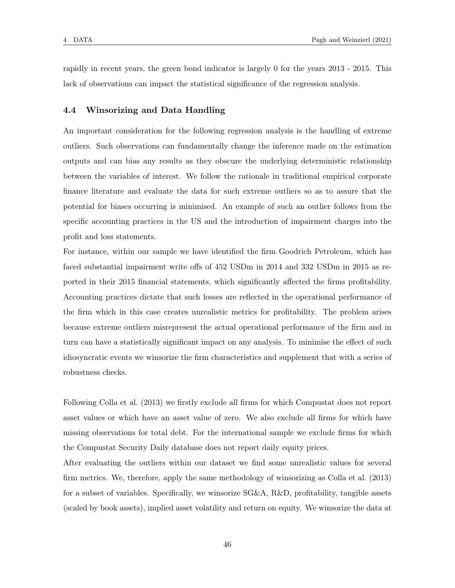rapidly in recent years, the green bond indicator is largely 0 for the years 2013 - 2015. This lack of observations can impact the statistical significance of the regression analysis.

### 4.4 Winsorizing and Data Handling

An important consideration for the following regression analysis is the handling of extreme outliers. Such observations can fundamentally change the inference made on the estimation outputs and can bias any results as they obscure the underlying deterministic relationship between the variables of interest. We follow the rationale in traditional empirical corporate finance literature and evaluate the data for such extreme outliers so as to assure that the potential for biases occurring is minimised. An example of such an outlier follows from the specific accounting practices in the US and the introduction of impairment charges into the profit and loss statements.

For instance, within our sample we have identified the firm Goodrich Petroleum, which has faced substantial impairment write offs of 452 USDm in 2014 and 332 USDm in 2015 as reported in their 2015 financial statements, which significantly affected the firms profitability. Accounting practices dictate that such losses are reflected in the operational performance of the firm which in this case creates unrealistic metrics for profitability. The problem arises because extreme outliers misrepresent the actual operational performance of the firm and in turn can have a statistically significant impact on any analysis. To minimise the effect of such idiosyncratic events we winsorize the firm characteristics and supplement that with a series of robustness checks.

Following Colla et al. (2013) we firstly exclude all firms for which Compustat does not report asset values or which have an asset value of zero. We also exclude all firms for which have missing observations for total debt. For the international sample we exclude firms for which the Compustat Security Daily database does not report daily equity prices.

After evaluating the outliers within our dataset we find some unrealistic values for several firm metrics. We, therefore, apply the same methodology of winsorizing as Colla et al. (2013) for a subset of variables. Specifically, we winsorize SG&A, R&D, profitability, tangible assets (scaled by book assets), implied asset volatility and return on equity. We winsorize the data at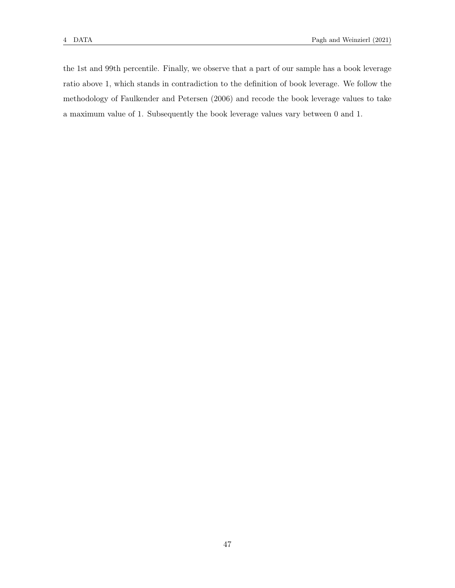the 1st and 99th percentile. Finally, we observe that a part of our sample has a book leverage ratio above 1, which stands in contradiction to the definition of book leverage. We follow the methodology of Faulkender and Petersen (2006) and recode the book leverage values to take a maximum value of 1. Subsequently the book leverage values vary between 0 and 1.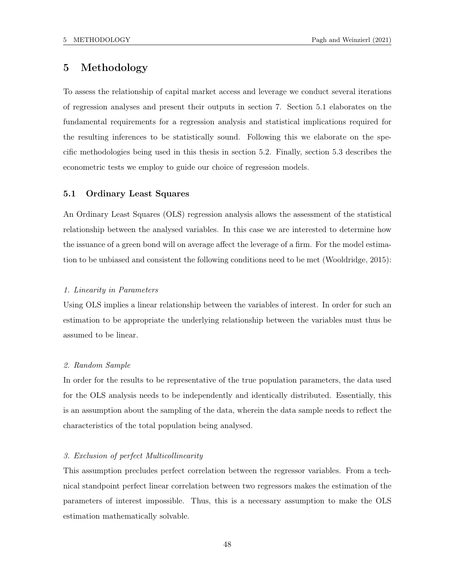# 5 Methodology

To assess the relationship of capital market access and leverage we conduct several iterations of regression analyses and present their outputs in section 7. Section 5.1 elaborates on the fundamental requirements for a regression analysis and statistical implications required for the resulting inferences to be statistically sound. Following this we elaborate on the specific methodologies being used in this thesis in section 5.2. Finally, section 5.3 describes the econometric tests we employ to guide our choice of regression models.

# 5.1 Ordinary Least Squares

An Ordinary Least Squares (OLS) regression analysis allows the assessment of the statistical relationship between the analysed variables. In this case we are interested to determine how the issuance of a green bond will on average affect the leverage of a firm. For the model estimation to be unbiased and consistent the following conditions need to be met (Wooldridge, 2015):

### 1. Linearity in Parameters

Using OLS implies a linear relationship between the variables of interest. In order for such an estimation to be appropriate the underlying relationship between the variables must thus be assumed to be linear.

#### 2. Random Sample

In order for the results to be representative of the true population parameters, the data used for the OLS analysis needs to be independently and identically distributed. Essentially, this is an assumption about the sampling of the data, wherein the data sample needs to reflect the characteristics of the total population being analysed.

#### 3. Exclusion of perfect Multicollinearity

This assumption precludes perfect correlation between the regressor variables. From a technical standpoint perfect linear correlation between two regressors makes the estimation of the parameters of interest impossible. Thus, this is a necessary assumption to make the OLS estimation mathematically solvable.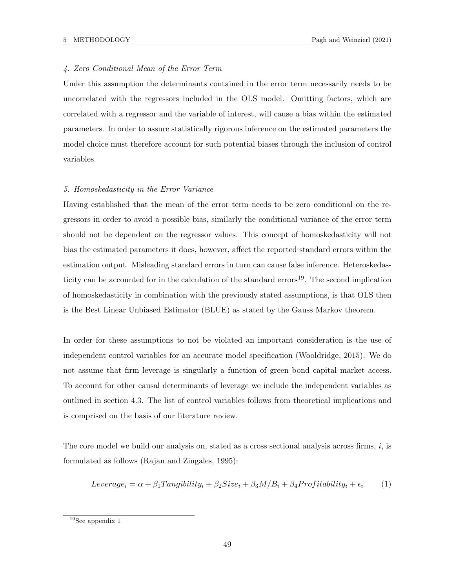# 4. Zero Conditional Mean of the Error Term

Under this assumption the determinants contained in the error term necessarily needs to be uncorrelated with the regressors included in the OLS model. Omitting factors, which are correlated with a regressor and the variable of interest, will cause a bias within the estimated parameters. In order to assure statistically rigorous inference on the estimated parameters the model choice must therefore account for such potential biases through the inclusion of control variables.

#### 5. Homoskedasticity in the Error Variance

Having established that the mean of the error term needs to be zero conditional on the regressors in order to avoid a possible bias, similarly the conditional variance of the error term should not be dependent on the regressor values. This concept of homoskedasticity will not bias the estimated parameters it does, however, affect the reported standard errors within the estimation output. Misleading standard errors in turn can cause false inference. Heteroskedasticity can be accounted for in the calculation of the standard errors<sup>19</sup>. The second implication of homoskedasticity in combination with the previously stated assumptions, is that OLS then is the Best Linear Unbiased Estimator (BLUE) as stated by the Gauss Markov theorem.

In order for these assumptions to not be violated an important consideration is the use of independent control variables for an accurate model specification (Wooldridge, 2015). We do not assume that firm leverage is singularly a function of green bond capital market access. To account for other causal determinants of leverage we include the independent variables as outlined in section 4.3. The list of control variables follows from theoretical implications and is comprised on the basis of our literature review.

The core model we build our analysis on, stated as a cross sectional analysis across firms,  $i$ , is formulated as follows (Rajan and Zingales, 1995):

$$
Leverage_i = \alpha + \beta_1 Tangibility_i + \beta_2 Size_i + \beta_3 M/B_i + \beta_4 Profitability_i + \epsilon_i \tag{1}
$$

 $^{19}\mathrm{See}$  appendix  $1$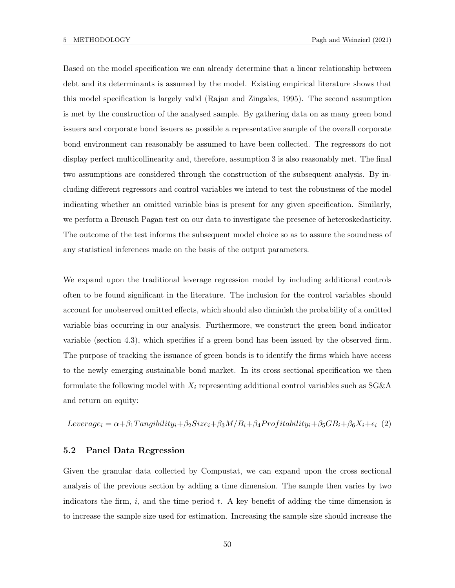Based on the model specification we can already determine that a linear relationship between debt and its determinants is assumed by the model. Existing empirical literature shows that this model specification is largely valid (Rajan and Zingales, 1995). The second assumption is met by the construction of the analysed sample. By gathering data on as many green bond issuers and corporate bond issuers as possible a representative sample of the overall corporate bond environment can reasonably be assumed to have been collected. The regressors do not display perfect multicollinearity and, therefore, assumption 3 is also reasonably met. The final two assumptions are considered through the construction of the subsequent analysis. By including different regressors and control variables we intend to test the robustness of the model indicating whether an omitted variable bias is present for any given specification. Similarly, we perform a Breusch Pagan test on our data to investigate the presence of heteroskedasticity. The outcome of the test informs the subsequent model choice so as to assure the soundness of any statistical inferences made on the basis of the output parameters.

We expand upon the traditional leverage regression model by including additional controls often to be found significant in the literature. The inclusion for the control variables should account for unobserved omitted effects, which should also diminish the probability of a omitted variable bias occurring in our analysis. Furthermore, we construct the green bond indicator variable (section 4.3), which specifies if a green bond has been issued by the observed firm. The purpose of tracking the issuance of green bonds is to identify the firms which have access to the newly emerging sustainable bond market. In its cross sectional specification we then formulate the following model with  $X_i$  representing additional control variables such as  $SG\&A$ and return on equity:

Leverage<sub>i</sub> =  $\alpha + \beta_1$ Tangibility<sub>i</sub> +  $\beta_2$ Size<sub>i</sub> +  $\beta_3$ M/B<sub>i</sub> +  $\beta_4$ Profitability<sub>i</sub> +  $\beta_5$ GB<sub>i</sub> +  $\beta_6$ X<sub>i</sub> +  $\epsilon_i$  (2)

#### 5.2 Panel Data Regression

Given the granular data collected by Compustat, we can expand upon the cross sectional analysis of the previous section by adding a time dimension. The sample then varies by two indicators the firm,  $i$ , and the time period  $t$ . A key benefit of adding the time dimension is to increase the sample size used for estimation. Increasing the sample size should increase the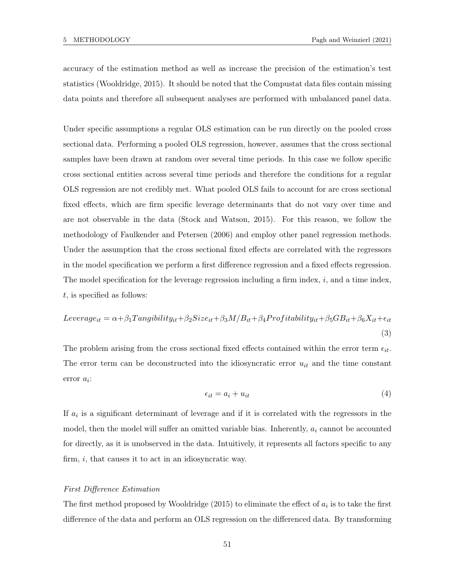accuracy of the estimation method as well as increase the precision of the estimation's test statistics (Wooldridge, 2015). It should be noted that the Compustat data files contain missing data points and therefore all subsequent analyses are performed with unbalanced panel data.

Under specific assumptions a regular OLS estimation can be run directly on the pooled cross sectional data. Performing a pooled OLS regression, however, assumes that the cross sectional samples have been drawn at random over several time periods. In this case we follow specific cross sectional entities across several time periods and therefore the conditions for a regular OLS regression are not credibly met. What pooled OLS fails to account for are cross sectional fixed effects, which are firm specific leverage determinants that do not vary over time and are not observable in the data (Stock and Watson, 2015). For this reason, we follow the methodology of Faulkender and Petersen (2006) and employ other panel regression methods. Under the assumption that the cross sectional fixed effects are correlated with the regressors in the model specification we perform a first difference regression and a fixed effects regression. The model specification for the leverage regression including a firm index,  $i$ , and a time index,  $t$ , is specified as follows:

$$
Leverage_{it} = \alpha + \beta_1 Tangibility_{it} + \beta_2 Size_{it} + \beta_3 M/B_{it} + \beta_4 Profitability_{it} + \beta_5 GB_{it} + \beta_6 X_{it} + \epsilon_{it}
$$
\n(3)

The problem arising from the cross sectional fixed effects contained within the error term  $\epsilon_{it}$ . The error term can be deconstructed into the idiosyncratic error  $u_{it}$  and the time constant  $error a_i$ :

$$
\epsilon_{it} = a_i + u_{it} \tag{4}
$$

If  $a_i$  is a significant determinant of leverage and if it is correlated with the regressors in the model, then the model will suffer an omitted variable bias. Inherently,  $a_i$  cannot be accounted for directly, as it is unobserved in the data. Intuitively, it represents all factors specific to any firm,  $i$ , that causes it to act in an idiosyncratic way.

### First Difference Estimation

The first method proposed by Wooldridge  $(2015)$  to eliminate the effect of  $a_i$  is to take the first difference of the data and perform an OLS regression on the differenced data. By transforming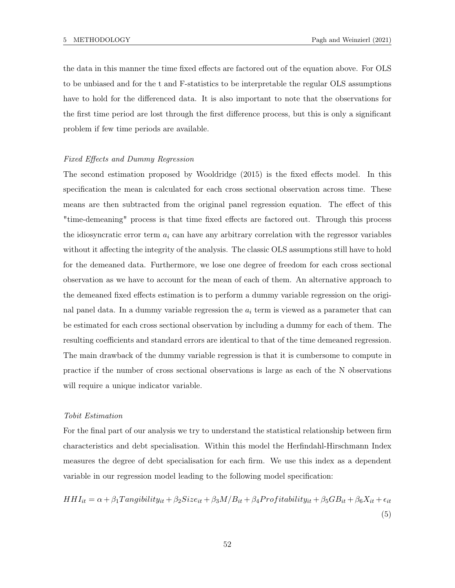the data in this manner the time fixed effects are factored out of the equation above. For OLS to be unbiased and for the t and F-statistics to be interpretable the regular OLS assumptions have to hold for the differenced data. It is also important to note that the observations for the first time period are lost through the first difference process, but this is only a significant problem if few time periods are available.

### Fixed Effects and Dummy Regression

The second estimation proposed by Wooldridge (2015) is the fixed effects model. In this specification the mean is calculated for each cross sectional observation across time. These means are then subtracted from the original panel regression equation. The effect of this "time-demeaning" process is that time fixed effects are factored out. Through this process the idiosyncratic error term  $a_i$  can have any arbitrary correlation with the regressor variables without it affecting the integrity of the analysis. The classic OLS assumptions still have to hold for the demeaned data. Furthermore, we lose one degree of freedom for each cross sectional observation as we have to account for the mean of each of them. An alternative approach to the demeaned fixed effects estimation is to perform a dummy variable regression on the original panel data. In a dummy variable regression the  $a_i$  term is viewed as a parameter that can be estimated for each cross sectional observation by including a dummy for each of them. The resulting coefficients and standard errors are identical to that of the time demeaned regression. The main drawback of the dummy variable regression is that it is cumbersome to compute in practice if the number of cross sectional observations is large as each of the N observations will require a unique indicator variable.

### Tobit Estimation

For the final part of our analysis we try to understand the statistical relationship between firm characteristics and debt specialisation. Within this model the Herfindahl-Hirschmann Index measures the degree of debt specialisation for each firm. We use this index as a dependent variable in our regression model leading to the following model specification:

$$
HHI_{it} = \alpha + \beta_1 Tangibility_{it} + \beta_2 Size_{it} + \beta_3 M/B_{it} + \beta_4 Profitability_{it} + \beta_5 GB_{it} + \beta_6 X_{it} + \epsilon_{it}
$$
\n
$$
\tag{5}
$$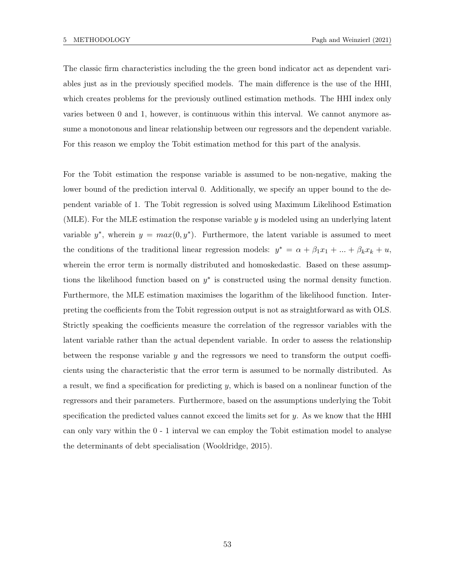The classic firm characteristics including the the green bond indicator act as dependent variables just as in the previously specified models. The main difference is the use of the HHI, which creates problems for the previously outlined estimation methods. The HHI index only varies between 0 and 1, however, is continuous within this interval. We cannot anymore assume a monotonous and linear relationship between our regressors and the dependent variable. For this reason we employ the Tobit estimation method for this part of the analysis.

For the Tobit estimation the response variable is assumed to be non-negative, making the lower bound of the prediction interval 0. Additionally, we specify an upper bound to the dependent variable of 1. The Tobit regression is solved using Maximum Likelihood Estimation (MLE). For the MLE estimation the response variable  $y$  is modeled using an underlying latent variable  $y^*$ , wherein  $y = max(0, y^*)$ . Furthermore, the latent variable is assumed to meet the conditions of the traditional linear regression models:  $y^* = \alpha + \beta_1 x_1 + ... + \beta_k x_k + u$ , wherein the error term is normally distributed and homoskedastic. Based on these assumptions the likelihood function based on  $y^*$  is constructed using the normal density function. Furthermore, the MLE estimation maximises the logarithm of the likelihood function. Interpreting the coefficients from the Tobit regression output is not as straightforward as with OLS. Strictly speaking the coefficients measure the correlation of the regressor variables with the latent variable rather than the actual dependent variable. In order to assess the relationship between the response variable y and the regressors we need to transform the output coefficients using the characteristic that the error term is assumed to be normally distributed. As a result, we find a specification for predicting  $y$ , which is based on a nonlinear function of the regressors and their parameters. Furthermore, based on the assumptions underlying the Tobit specification the predicted values cannot exceed the limits set for  $y$ . As we know that the HHI can only vary within the 0 - 1 interval we can employ the Tobit estimation model to analyse the determinants of debt specialisation (Wooldridge, 2015).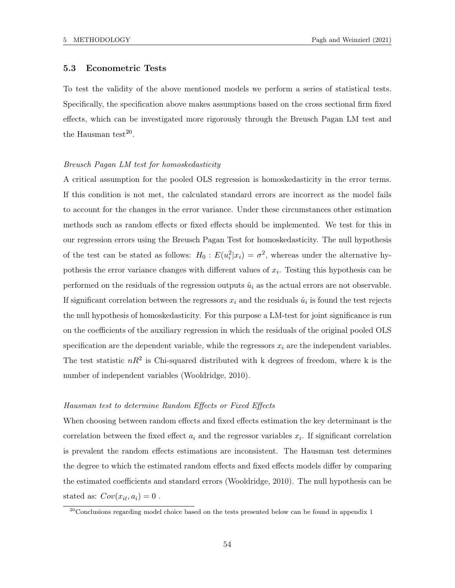### 5.3 Econometric Tests

To test the validity of the above mentioned models we perform a series of statistical tests. Specifically, the specification above makes assumptions based on the cross sectional firm fixed effects, which can be investigated more rigorously through the Breusch Pagan LM test and the Hausman test<sup>20</sup>.

#### Breusch Pagan LM test for homoskedasticity

A critical assumption for the pooled OLS regression is homoskedasticity in the error terms. If this condition is not met, the calculated standard errors are incorrect as the model fails to account for the changes in the error variance. Under these circumstances other estimation methods such as random effects or fixed effects should be implemented. We test for this in our regression errors using the Breusch Pagan Test for homoskedasticity. The null hypothesis of the test can be stated as follows:  $H_0: E(u_i^2|x_i) = \sigma^2$ , whereas under the alternative hypothesis the error variance changes with different values of  $x_i$ . Testing this hypothesis can be performed on the residuals of the regression outputs  $\hat{u}_i$  as the actual errors are not observable. If significant correlation between the regressors  $x_i$  and the residuals  $\hat{u}_i$  is found the test rejects the null hypothesis of homoskedasticity. For this purpose a LM-test for joint significance is run on the coefficients of the auxiliary regression in which the residuals of the original pooled OLS specification are the dependent variable, while the regressors  $x_i$  are the independent variables. The test statistic  $nR^2$  is Chi-squared distributed with k degrees of freedom, where k is the number of independent variables (Wooldridge, 2010).

#### Hausman test to determine Random Effects or Fixed Effects

When choosing between random effects and fixed effects estimation the key determinant is the correlation between the fixed effect  $a_i$  and the regressor variables  $x_i$ . If significant correlation is prevalent the random effects estimations are inconsistent. The Hausman test determines the degree to which the estimated random effects and fixed effects models differ by comparing the estimated coefficients and standard errors (Wooldridge, 2010). The null hypothesis can be stated as:  $Cov(x_{it}, a_i) = 0$ .

 $^{20}$ Conclusions regarding model choice based on the tests presented below can be found in appendix 1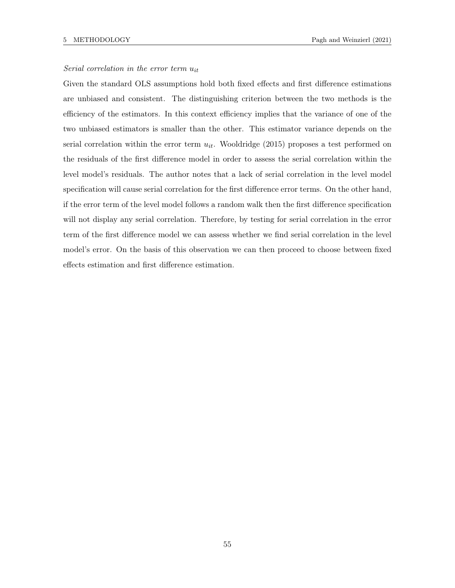# Serial correlation in the error term  $u_{it}$

Given the standard OLS assumptions hold both fixed effects and first difference estimations are unbiased and consistent. The distinguishing criterion between the two methods is the efficiency of the estimators. In this context efficiency implies that the variance of one of the two unbiased estimators is smaller than the other. This estimator variance depends on the serial correlation within the error term  $u_{it}$ . Wooldridge (2015) proposes a test performed on the residuals of the first difference model in order to assess the serial correlation within the level model's residuals. The author notes that a lack of serial correlation in the level model specification will cause serial correlation for the first difference error terms. On the other hand, if the error term of the level model follows a random walk then the first difference specification will not display any serial correlation. Therefore, by testing for serial correlation in the error term of the first difference model we can assess whether we find serial correlation in the level model's error. On the basis of this observation we can then proceed to choose between fixed effects estimation and first difference estimation.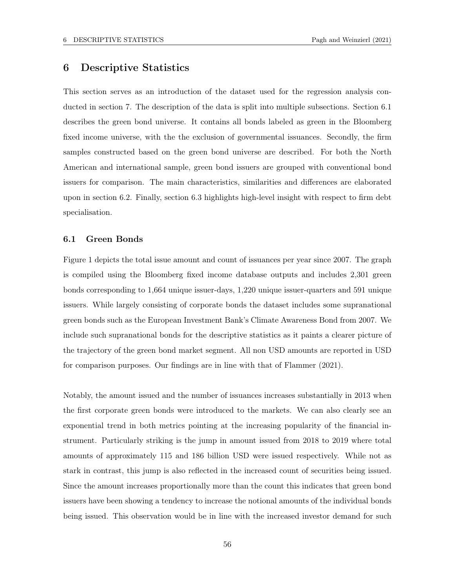# 6 Descriptive Statistics

This section serves as an introduction of the dataset used for the regression analysis conducted in section 7. The description of the data is split into multiple subsections. Section 6.1 describes the green bond universe. It contains all bonds labeled as green in the Bloomberg fixed income universe, with the the exclusion of governmental issuances. Secondly, the firm samples constructed based on the green bond universe are described. For both the North American and international sample, green bond issuers are grouped with conventional bond issuers for comparison. The main characteristics, similarities and differences are elaborated upon in section 6.2. Finally, section 6.3 highlights high-level insight with respect to firm debt specialisation.

### 6.1 Green Bonds

Figure 1 depicts the total issue amount and count of issuances per year since 2007. The graph is compiled using the Bloomberg fixed income database outputs and includes 2,301 green bonds corresponding to 1,664 unique issuer-days, 1,220 unique issuer-quarters and 591 unique issuers. While largely consisting of corporate bonds the dataset includes some supranational green bonds such as the European Investment Bank's Climate Awareness Bond from 2007. We include such supranational bonds for the descriptive statistics as it paints a clearer picture of the trajectory of the green bond market segment. All non USD amounts are reported in USD for comparison purposes. Our findings are in line with that of Flammer (2021).

Notably, the amount issued and the number of issuances increases substantially in 2013 when the first corporate green bonds were introduced to the markets. We can also clearly see an exponential trend in both metrics pointing at the increasing popularity of the financial instrument. Particularly striking is the jump in amount issued from 2018 to 2019 where total amounts of approximately 115 and 186 billion USD were issued respectively. While not as stark in contrast, this jump is also reflected in the increased count of securities being issued. Since the amount increases proportionally more than the count this indicates that green bond issuers have been showing a tendency to increase the notional amounts of the individual bonds being issued. This observation would be in line with the increased investor demand for such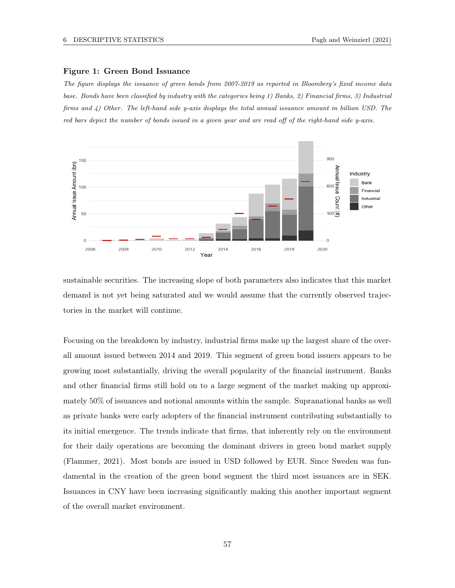#### Figure 1: Green Bond Issuance

The figure displays the issuance of green bonds from 2007-2019 as reported in Bloomberg's fixed income data base. Bonds have been classified by industry with the categories being 1) Banks, 2) Financial firms, 3) Industrial firms and 4) Other. The left-hand side y-axis displays the total annual issuance amount in billion USD. The red bars depict the number of bonds issued in a given year and are read off of the right-hand side y-axis.



sustainable securities. The increasing slope of both parameters also indicates that this market demand is not yet being saturated and we would assume that the currently observed trajectories in the market will continue.

Focusing on the breakdown by industry, industrial firms make up the largest share of the overall amount issued between 2014 and 2019. This segment of green bond issuers appears to be growing most substantially, driving the overall popularity of the financial instrument. Banks and other financial firms still hold on to a large segment of the market making up approximately 50% of issuances and notional amounts within the sample. Supranational banks as well as private banks were early adopters of the financial instrument contributing substantially to its initial emergence. The trends indicate that firms, that inherently rely on the environment for their daily operations are becoming the dominant drivers in green bond market supply (Flammer, 2021). Most bonds are issued in USD followed by EUR. Since Sweden was fundamental in the creation of the green bond segment the third most issuances are in SEK. Issuances in CNY have been increasing significantly making this another important segment of the overall market environment.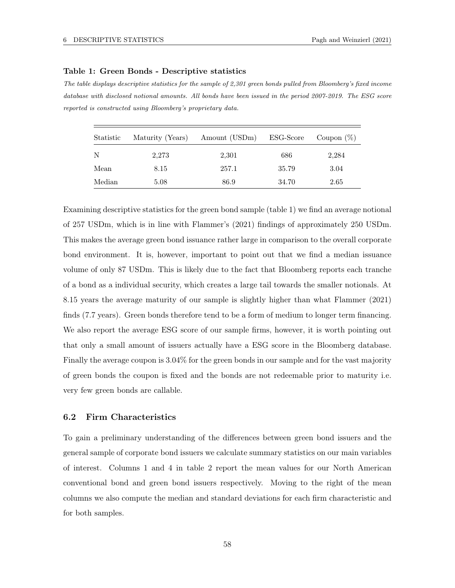### Table 1: Green Bonds - Descriptive statistics

The table displays descriptive statistics for the sample of 2,301 green bonds pulled from Bloomberg's fixed income database with disclosed notional amounts. All bonds have been issued in the period 2007-2019. The ESG score reported is constructed using Bloomberg's proprietary data.

| Statistic | Maturity (Years) | Amount (USDm) | ESG-Score | Coupon $(\%)$ |  |
|-----------|------------------|---------------|-----------|---------------|--|
| N         | 2,273            | 2,301         | 686       | 2,284         |  |
| Mean      | 8.15             | 257.1         | 35.79     | 3.04          |  |
| Median    | 5.08             | 86.9          | 34.70     | 2.65          |  |

Examining descriptive statistics for the green bond sample (table 1) we find an average notional of 257 USDm, which is in line with Flammer's (2021) findings of approximately 250 USDm. This makes the average green bond issuance rather large in comparison to the overall corporate bond environment. It is, however, important to point out that we find a median issuance volume of only 87 USDm. This is likely due to the fact that Bloomberg reports each tranche of a bond as a individual security, which creates a large tail towards the smaller notionals. At 8.15 years the average maturity of our sample is slightly higher than what Flammer (2021) finds (7.7 years). Green bonds therefore tend to be a form of medium to longer term financing. We also report the average ESG score of our sample firms, however, it is worth pointing out that only a small amount of issuers actually have a ESG score in the Bloomberg database. Finally the average coupon is 3.04% for the green bonds in our sample and for the vast majority of green bonds the coupon is fixed and the bonds are not redeemable prior to maturity i.e. very few green bonds are callable.

# 6.2 Firm Characteristics

To gain a preliminary understanding of the differences between green bond issuers and the general sample of corporate bond issuers we calculate summary statistics on our main variables of interest. Columns 1 and 4 in table 2 report the mean values for our North American conventional bond and green bond issuers respectively. Moving to the right of the mean columns we also compute the median and standard deviations for each firm characteristic and for both samples.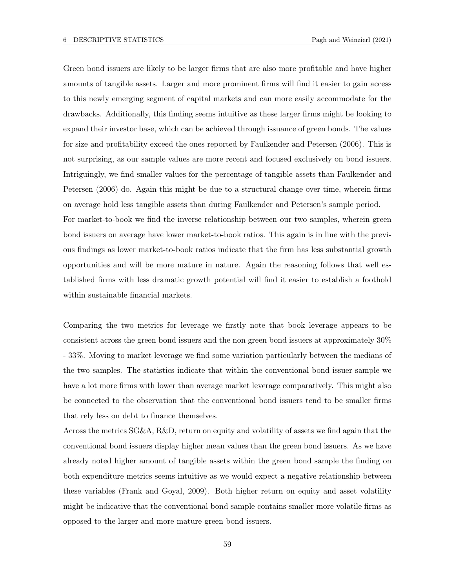Green bond issuers are likely to be larger firms that are also more profitable and have higher amounts of tangible assets. Larger and more prominent firms will find it easier to gain access to this newly emerging segment of capital markets and can more easily accommodate for the drawbacks. Additionally, this finding seems intuitive as these larger firms might be looking to expand their investor base, which can be achieved through issuance of green bonds. The values for size and profitability exceed the ones reported by Faulkender and Petersen (2006). This is not surprising, as our sample values are more recent and focused exclusively on bond issuers. Intriguingly, we find smaller values for the percentage of tangible assets than Faulkender and Petersen (2006) do. Again this might be due to a structural change over time, wherein firms on average hold less tangible assets than during Faulkender and Petersen's sample period. For market-to-book we find the inverse relationship between our two samples, wherein green bond issuers on average have lower market-to-book ratios. This again is in line with the previous findings as lower market-to-book ratios indicate that the firm has less substantial growth opportunities and will be more mature in nature. Again the reasoning follows that well established firms with less dramatic growth potential will find it easier to establish a foothold within sustainable financial markets.

Comparing the two metrics for leverage we firstly note that book leverage appears to be consistent across the green bond issuers and the non green bond issuers at approximately 30% - 33%. Moving to market leverage we find some variation particularly between the medians of the two samples. The statistics indicate that within the conventional bond issuer sample we have a lot more firms with lower than average market leverage comparatively. This might also be connected to the observation that the conventional bond issuers tend to be smaller firms that rely less on debt to finance themselves.

Across the metrics SG&A, R&D, return on equity and volatility of assets we find again that the conventional bond issuers display higher mean values than the green bond issuers. As we have already noted higher amount of tangible assets within the green bond sample the finding on both expenditure metrics seems intuitive as we would expect a negative relationship between these variables (Frank and Goyal, 2009). Both higher return on equity and asset volatility might be indicative that the conventional bond sample contains smaller more volatile firms as opposed to the larger and more mature green bond issuers.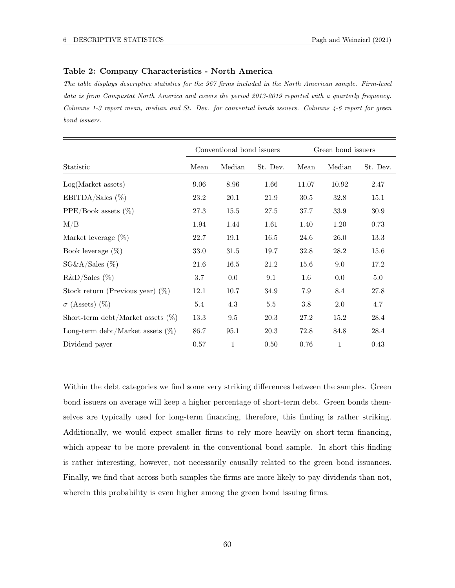### Table 2: Company Characteristics - North America

The table displays descriptive statistics for the 967 firms included in the North American sample. Firm-level data is from Compustat North America and covers the period 2013-2019 reported with a quarterly frequency. Columns 1-3 report mean, median and St. Dev. for convential bonds issuers. Columns 4-6 report for green bond issuers.

|                                      | Conventional bond issuers |              |          | Green bond issuers |              |          |
|--------------------------------------|---------------------------|--------------|----------|--------------------|--------------|----------|
| Statistic                            | Mean                      | Median       | St. Dev. | Mean               | Median       | St. Dev. |
| Log(Marker assets)                   | 9.06                      | 8.96         | 1.66     | 11.07              | 10.92        | 2.47     |
| EBITDA/Sales $(\%)$                  | 23.2                      | 20.1         | 21.9     | 30.5               | 32.8         | 15.1     |
| $PPE/Book$ assets $(\%)$             | 27.3                      | 15.5         | 27.5     | 37.7               | 33.9         | 30.9     |
| M/B                                  | 1.94                      | 1.44         | 1.61     | 1.40               | 1.20         | 0.73     |
| Market leverage $(\%)$               | 22.7                      | 19.1         | 16.5     | 24.6               | 26.0         | 13.3     |
| Book leverage $(\%)$                 | 33.0                      | 31.5         | 19.7     | 32.8               | 28.2         | 15.6     |
| $SG&A/Sales$ (%)                     | 21.6                      | 16.5         | 21.2     | 15.6               | 9.0          | 17.2     |
| $R&D/Sales$ (%)                      | 3.7                       | $0.0\,$      | 9.1      | $1.6\,$            | $0.0\,$      | 5.0      |
| Stock return (Previous year) $(\%)$  | 12.1                      | 10.7         | 34.9     | 7.9                | 8.4          | 27.8     |
| $\sigma$ (Assets) $(\%)$             | 5.4                       | 4.3          | $5.5\,$  | $3.8\,$            | 2.0          | 4.7      |
| Short-term debt/Market assets $(\%)$ | 13.3                      | 9.5          | 20.3     | 27.2               | 15.2         | 28.4     |
| Long-term debt/Market assets $(\%)$  | 86.7                      | 95.1         | 20.3     | 72.8               | 84.8         | 28.4     |
| Dividend payer                       | 0.57                      | $\mathbf{1}$ | 0.50     | 0.76               | $\mathbf{1}$ | 0.43     |

Within the debt categories we find some very striking differences between the samples. Green bond issuers on average will keep a higher percentage of short-term debt. Green bonds themselves are typically used for long-term financing, therefore, this finding is rather striking. Additionally, we would expect smaller firms to rely more heavily on short-term financing, which appear to be more prevalent in the conventional bond sample. In short this finding is rather interesting, however, not necessarily causally related to the green bond issuances. Finally, we find that across both samples the firms are more likely to pay dividends than not, wherein this probability is even higher among the green bond issuing firms.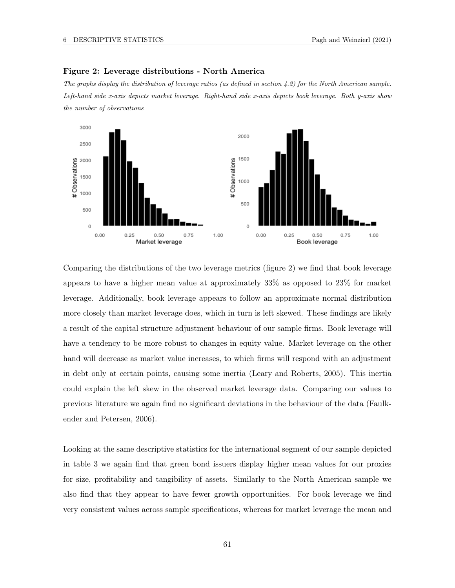

### Figure 2: Leverage distributions - North America

The graphs display the distribution of leverage ratios (as defined in section  $\{4, 2\}$ ) for the North American sample. Left-hand side x-axis depicts market leverage. Right-hand side x-axis depicts book leverage. Both y-axis show the number of observations

Comparing the distributions of the two leverage metrics (figure 2) we find that book leverage appears to have a higher mean value at approximately 33% as opposed to 23% for market leverage. Additionally, book leverage appears to follow an approximate normal distribution more closely than market leverage does, which in turn is left skewed. These findings are likely a result of the capital structure adjustment behaviour of our sample firms. Book leverage will have a tendency to be more robust to changes in equity value. Market leverage on the other hand will decrease as market value increases, to which firms will respond with an adjustment in debt only at certain points, causing some inertia (Leary and Roberts, 2005). This inertia could explain the left skew in the observed market leverage data. Comparing our values to previous literature we again find no significant deviations in the behaviour of the data (Faulkender and Petersen, 2006).

Looking at the same descriptive statistics for the international segment of our sample depicted in table 3 we again find that green bond issuers display higher mean values for our proxies for size, profitability and tangibility of assets. Similarly to the North American sample we also find that they appear to have fewer growth opportunities. For book leverage we find very consistent values across sample specifications, whereas for market leverage the mean and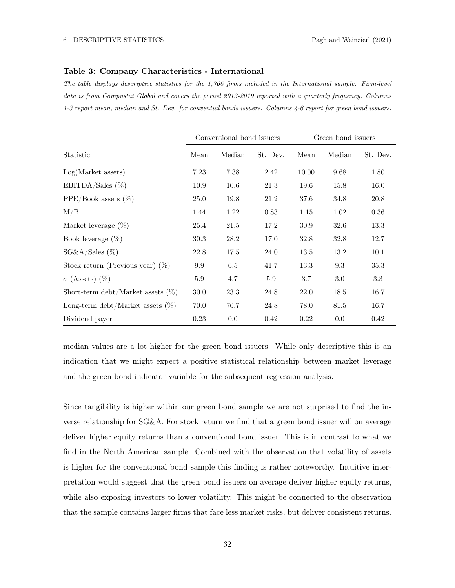### Table 3: Company Characteristics - International

The table displays descriptive statistics for the 1,766 firms included in the International sample. Firm-level data is from Compustat Global and covers the period 2013-2019 reported with a quarterly frequency. Columns 1-3 report mean, median and St. Dev. for convential bonds issuers. Columns 4-6 report for green bond issuers.

|                                      | Conventional bond issuers |        |          | Green bond issuers |        |          |
|--------------------------------------|---------------------------|--------|----------|--------------------|--------|----------|
| Statistic                            | Mean                      | Median | St. Dev. | Mean               | Median | St. Dev. |
| Log(Marker assets)                   | 7.23                      | 7.38   | 2.42     | 10.00              | 9.68   | 1.80     |
| EBITDA/Sales $(\%)$                  | 10.9                      | 10.6   | 21.3     | 19.6               | 15.8   | 16.0     |
| $PPE/Book$ assets $(\%)$             | 25.0                      | 19.8   | 21.2     | 37.6               | 34.8   | 20.8     |
| M/B                                  | 1.44                      | 1.22   | 0.83     | 1.15               | 1.02   | 0.36     |
| Market leverage $(\%)$               | 25.4                      | 21.5   | 17.2     | 30.9               | 32.6   | 13.3     |
| Book leverage $(\%)$                 | 30.3                      | 28.2   | 17.0     | 32.8               | 32.8   | 12.7     |
| $SG&A/Sales$ (%)                     | 22.8                      | 17.5   | 24.0     | 13.5               | 13.2   | 10.1     |
| Stock return (Previous year) $(\%)$  | 9.9                       | 6.5    | 41.7     | 13.3               | 9.3    | 35.3     |
| $\sigma$ (Assets) $(\%)$             | 5.9                       | 4.7    | 5.9      | 3.7                | 3.0    | 3.3      |
| Short-term debt/Market assets $(\%)$ | 30.0                      | 23.3   | 24.8     | 22.0               | 18.5   | 16.7     |
| Long-term debt/Market assets $(\%)$  | 70.0                      | 76.7   | 24.8     | 78.0               | 81.5   | 16.7     |
| Dividend payer                       | 0.23                      | 0.0    | 0.42     | 0.22               | 0.0    | 0.42     |

median values are a lot higher for the green bond issuers. While only descriptive this is an indication that we might expect a positive statistical relationship between market leverage and the green bond indicator variable for the subsequent regression analysis.

Since tangibility is higher within our green bond sample we are not surprised to find the inverse relationship for SG&A. For stock return we find that a green bond issuer will on average deliver higher equity returns than a conventional bond issuer. This is in contrast to what we find in the North American sample. Combined with the observation that volatility of assets is higher for the conventional bond sample this finding is rather noteworthy. Intuitive interpretation would suggest that the green bond issuers on average deliver higher equity returns, while also exposing investors to lower volatility. This might be connected to the observation that the sample contains larger firms that face less market risks, but deliver consistent returns.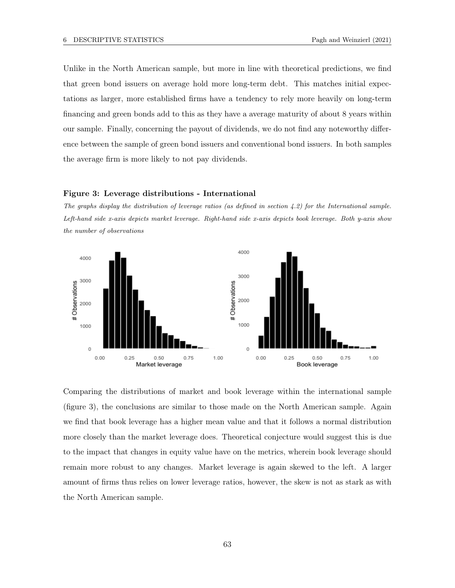Unlike in the North American sample, but more in line with theoretical predictions, we find that green bond issuers on average hold more long-term debt. This matches initial expectations as larger, more established firms have a tendency to rely more heavily on long-term financing and green bonds add to this as they have a average maturity of about 8 years within our sample. Finally, concerning the payout of dividends, we do not find any noteworthy difference between the sample of green bond issuers and conventional bond issuers. In both samples the average firm is more likely to not pay dividends.

#### Figure 3: Leverage distributions - International

The graphs display the distribution of leverage ratios (as defined in section 4.2) for the International sample. Left-hand side x-axis depicts market leverage. Right-hand side x-axis depicts book leverage. Both y-axis show the number of observations



Comparing the distributions of market and book leverage within the international sample (figure 3), the conclusions are similar to those made on the North American sample. Again we find that book leverage has a higher mean value and that it follows a normal distribution more closely than the market leverage does. Theoretical conjecture would suggest this is due to the impact that changes in equity value have on the metrics, wherein book leverage should remain more robust to any changes. Market leverage is again skewed to the left. A larger amount of firms thus relies on lower leverage ratios, however, the skew is not as stark as with the North American sample.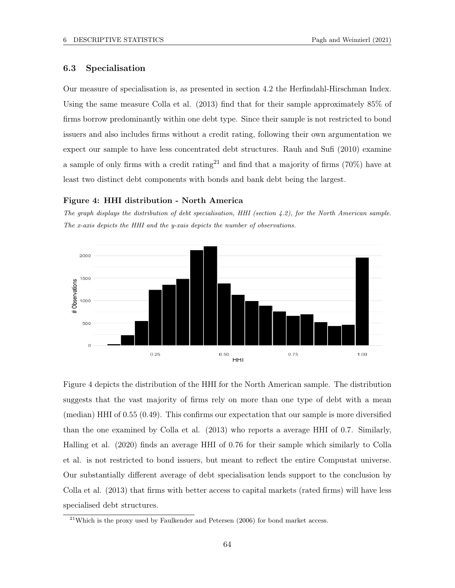# 6.3 Specialisation

Our measure of specialisation is, as presented in section 4.2 the Herfindahl-Hirschman Index. Using the same measure Colla et al. (2013) find that for their sample approximately 85% of firms borrow predominantly within one debt type. Since their sample is not restricted to bond issuers and also includes firms without a credit rating, following their own argumentation we expect our sample to have less concentrated debt structures. Rauh and Sufi (2010) examine a sample of only firms with a credit rating<sup>21</sup> and find that a majority of firms  $(70\%)$  have at least two distinct debt components with bonds and bank debt being the largest.

### Figure 4: HHI distribution - North America

The graph displays the distribution of debt specialisation, HHI (section 4.2), for the North American sample. The x-axis depicts the HHI and the y-xais depicts the number of observations.



Figure 4 depicts the distribution of the HHI for the North American sample. The distribution suggests that the vast majority of firms rely on more than one type of debt with a mean (median) HHI of 0.55 (0.49). This confirms our expectation that our sample is more diversified than the one examined by Colla et al. (2013) who reports a average HHI of 0.7. Similarly, Halling et al. (2020) finds an average HHI of 0.76 for their sample which similarly to Colla et al. is not restricted to bond issuers, but meant to reflect the entire Compustat universe. Our substantially different average of debt specialisation lends support to the conclusion by Colla et al. (2013) that firms with better access to capital markets (rated firms) will have less specialised debt structures.

 $^{21}$ Which is the proxy used by Faulkender and Petersen (2006) for bond market access.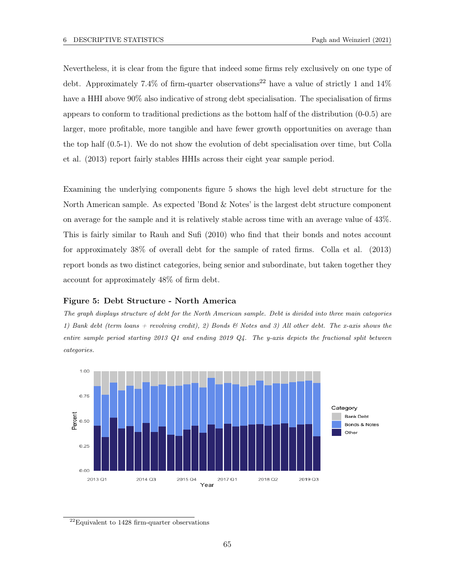Nevertheless, it is clear from the figure that indeed some firms rely exclusively on one type of debt. Approximately 7.4% of firm-quarter observations<sup>22</sup> have a value of strictly 1 and  $14\%$ have a HHI above  $90\%$  also indicative of strong debt specialisation. The specialisation of firms appears to conform to traditional predictions as the bottom half of the distribution (0-0.5) are larger, more profitable, more tangible and have fewer growth opportunities on average than the top half (0.5-1). We do not show the evolution of debt specialisation over time, but Colla et al. (2013) report fairly stables HHIs across their eight year sample period.

Examining the underlying components figure 5 shows the high level debt structure for the North American sample. As expected 'Bond & Notes' is the largest debt structure component on average for the sample and it is relatively stable across time with an average value of 43%. This is fairly similar to Rauh and Sufi (2010) who find that their bonds and notes account for approximately 38% of overall debt for the sample of rated firms. Colla et al. (2013) report bonds as two distinct categories, being senior and subordinate, but taken together they account for approximately 48% of firm debt.

#### Figure 5: Debt Structure - North America

The graph displays structure of debt for the North American sample. Debt is divided into three main categories 1) Bank debt (term loans + revolving credit), 2) Bonds  $\mathcal{C}$  Notes and 3) All other debt. The x-axis shows the entire sample period starting 2013 Q1 and ending 2019 Q4. The y-axis depicts the fractional split between categories.



 $^{22}\mathrm{Equivalent}$  to 1428 firm-quarter observations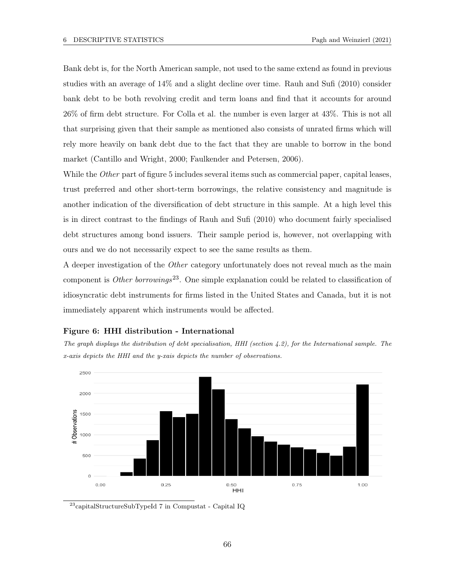Bank debt is, for the North American sample, not used to the same extend as found in previous studies with an average of 14% and a slight decline over time. Rauh and Sufi (2010) consider bank debt to be both revolving credit and term loans and find that it accounts for around 26% of firm debt structure. For Colla et al. the number is even larger at 43%. This is not all that surprising given that their sample as mentioned also consists of unrated firms which will rely more heavily on bank debt due to the fact that they are unable to borrow in the bond market (Cantillo and Wright, 2000; Faulkender and Petersen, 2006).

While the *Other* part of figure 5 includes several items such as commercial paper, capital leases, trust preferred and other short-term borrowings, the relative consistency and magnitude is another indication of the diversification of debt structure in this sample. At a high level this is in direct contrast to the findings of Rauh and Sufi (2010) who document fairly specialised debt structures among bond issuers. Their sample period is, however, not overlapping with ours and we do not necessarily expect to see the same results as them.

A deeper investigation of the Other category unfortunately does not reveal much as the main component is *Other borrowings*<sup>23</sup>. One simple explanation could be related to classification of idiosyncratic debt instruments for firms listed in the United States and Canada, but it is not immediately apparent which instruments would be affected.

#### Figure 6: HHI distribution - International

The graph displays the distribution of debt specialisation, HHI (section  $4.2$ ), for the International sample. The x-axis depicts the HHI and the y-xais depicts the number of observations.



 $^{23}$ capitalStructureSubTypeId 7 in Compustat - Capital IQ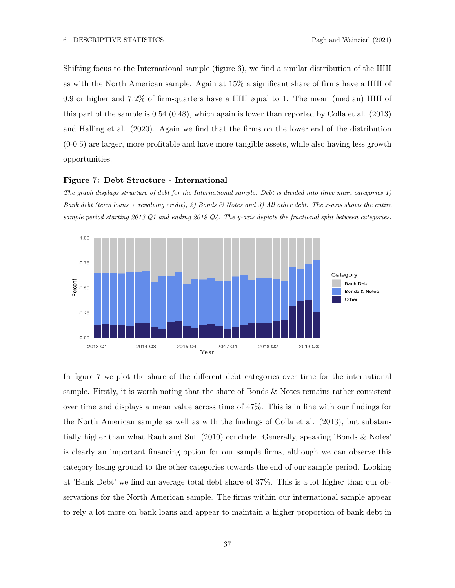Shifting focus to the International sample (figure 6), we find a similar distribution of the HHI as with the North American sample. Again at 15% a significant share of firms have a HHI of 0.9 or higher and 7.2% of firm-quarters have a HHI equal to 1. The mean (median) HHI of this part of the sample is 0.54 (0.48), which again is lower than reported by Colla et al. (2013) and Halling et al. (2020). Again we find that the firms on the lower end of the distribution (0-0.5) are larger, more profitable and have more tangible assets, while also having less growth opportunities.

#### Figure 7: Debt Structure - International

The graph displays structure of debt for the International sample. Debt is divided into three main categories 1) Bank debt (term loans + revolving credit), 2) Bonds & Notes and 3) All other debt. The x-axis shows the entire sample period starting 2013 Q1 and ending 2019 Q4. The y-axis depicts the fractional split between categories.



In figure 7 we plot the share of the different debt categories over time for the international sample. Firstly, it is worth noting that the share of Bonds & Notes remains rather consistent over time and displays a mean value across time of 47%. This is in line with our findings for the North American sample as well as with the findings of Colla et al. (2013), but substantially higher than what Rauh and Sufi (2010) conclude. Generally, speaking 'Bonds & Notes' is clearly an important financing option for our sample firms, although we can observe this category losing ground to the other categories towards the end of our sample period. Looking at 'Bank Debt' we find an average total debt share of 37%. This is a lot higher than our observations for the North American sample. The firms within our international sample appear to rely a lot more on bank loans and appear to maintain a higher proportion of bank debt in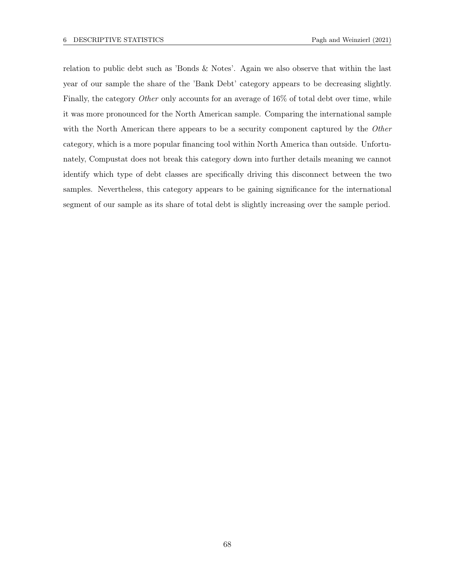relation to public debt such as 'Bonds & Notes'. Again we also observe that within the last year of our sample the share of the 'Bank Debt' category appears to be decreasing slightly. Finally, the category *Other* only accounts for an average of 16% of total debt over time, while it was more pronounced for the North American sample. Comparing the international sample with the North American there appears to be a security component captured by the Other category, which is a more popular financing tool within North America than outside. Unfortunately, Compustat does not break this category down into further details meaning we cannot identify which type of debt classes are specifically driving this disconnect between the two samples. Nevertheless, this category appears to be gaining significance for the international segment of our sample as its share of total debt is slightly increasing over the sample period.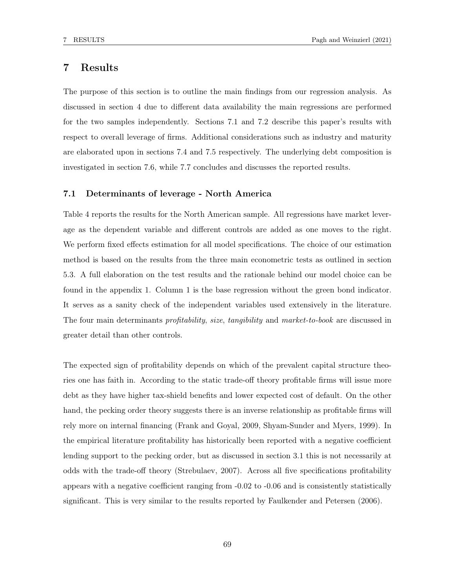# 7 Results

The purpose of this section is to outline the main findings from our regression analysis. As discussed in section 4 due to different data availability the main regressions are performed for the two samples independently. Sections 7.1 and 7.2 describe this paper's results with respect to overall leverage of firms. Additional considerations such as industry and maturity are elaborated upon in sections 7.4 and 7.5 respectively. The underlying debt composition is investigated in section 7.6, while 7.7 concludes and discusses the reported results.

## 7.1 Determinants of leverage - North America

Table 4 reports the results for the North American sample. All regressions have market leverage as the dependent variable and different controls are added as one moves to the right. We perform fixed effects estimation for all model specifications. The choice of our estimation method is based on the results from the three main econometric tests as outlined in section 5.3. A full elaboration on the test results and the rationale behind our model choice can be found in the appendix 1. Column 1 is the base regression without the green bond indicator. It serves as a sanity check of the independent variables used extensively in the literature. The four main determinants *profitability, size, tangibility* and *market-to-book* are discussed in greater detail than other controls.

The expected sign of profitability depends on which of the prevalent capital structure theories one has faith in. According to the static trade-off theory profitable firms will issue more debt as they have higher tax-shield benefits and lower expected cost of default. On the other hand, the pecking order theory suggests there is an inverse relationship as profitable firms will rely more on internal financing (Frank and Goyal, 2009, Shyam-Sunder and Myers, 1999). In the empirical literature profitability has historically been reported with a negative coefficient lending support to the pecking order, but as discussed in section 3.1 this is not necessarily at odds with the trade-off theory (Strebulaev, 2007). Across all five specifications profitability appears with a negative coefficient ranging from -0.02 to -0.06 and is consistently statistically significant. This is very similar to the results reported by Faulkender and Petersen (2006).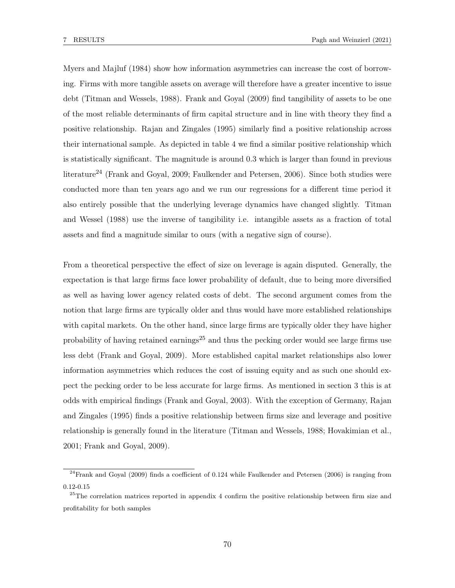Myers and Majluf (1984) show how information asymmetries can increase the cost of borrowing. Firms with more tangible assets on average will therefore have a greater incentive to issue debt (Titman and Wessels, 1988). Frank and Goyal (2009) find tangibility of assets to be one of the most reliable determinants of firm capital structure and in line with theory they find a positive relationship. Rajan and Zingales (1995) similarly find a positive relationship across their international sample. As depicted in table 4 we find a similar positive relationship which is statistically significant. The magnitude is around 0.3 which is larger than found in previous literature<sup>24</sup> (Frank and Goyal, 2009; Faulkender and Petersen, 2006). Since both studies were conducted more than ten years ago and we run our regressions for a different time period it also entirely possible that the underlying leverage dynamics have changed slightly. Titman and Wessel (1988) use the inverse of tangibility i.e. intangible assets as a fraction of total assets and find a magnitude similar to ours (with a negative sign of course).

From a theoretical perspective the effect of size on leverage is again disputed. Generally, the expectation is that large firms face lower probability of default, due to being more diversified as well as having lower agency related costs of debt. The second argument comes from the notion that large firms are typically older and thus would have more established relationships with capital markets. On the other hand, since large firms are typically older they have higher probability of having retained earnings<sup>25</sup> and thus the pecking order would see large firms use less debt (Frank and Goyal, 2009). More established capital market relationships also lower information asymmetries which reduces the cost of issuing equity and as such one should expect the pecking order to be less accurate for large firms. As mentioned in section 3 this is at odds with empirical findings (Frank and Goyal, 2003). With the exception of Germany, Rajan and Zingales (1995) finds a positive relationship between firms size and leverage and positive relationship is generally found in the literature (Titman and Wessels, 1988; Hovakimian et al., 2001; Frank and Goyal, 2009).

 $24$ Frank and Goyal (2009) finds a coefficient of 0.124 while Faulkender and Petersen (2006) is ranging from 0.12-0.15

<sup>&</sup>lt;sup>25</sup>The correlation matrices reported in appendix 4 confirm the positive relationship between firm size and profitability for both samples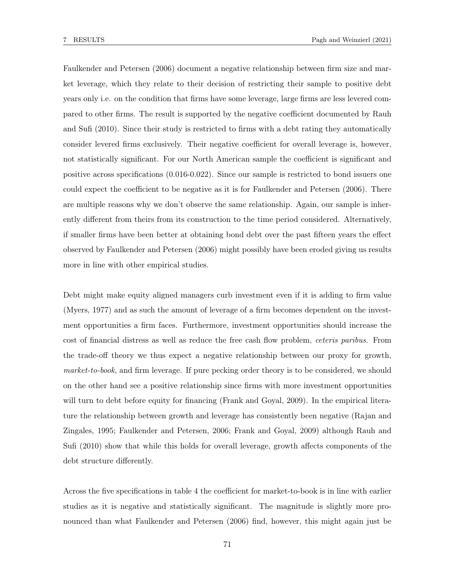Faulkender and Petersen (2006) document a negative relationship between firm size and market leverage, which they relate to their decision of restricting their sample to positive debt years only i.e. on the condition that firms have some leverage, large firms are less levered compared to other firms. The result is supported by the negative coefficient documented by Rauh and Sufi (2010). Since their study is restricted to firms with a debt rating they automatically consider levered firms exclusively. Their negative coefficient for overall leverage is, however, not statistically significant. For our North American sample the coefficient is significant and positive across specifications (0.016-0.022). Since our sample is restricted to bond issuers one could expect the coefficient to be negative as it is for Faulkender and Petersen (2006). There are multiple reasons why we don't observe the same relationship. Again, our sample is inherently different from theirs from its construction to the time period considered. Alternatively, if smaller firms have been better at obtaining bond debt over the past fifteen years the effect observed by Faulkender and Petersen (2006) might possibly have been eroded giving us results more in line with other empirical studies.

Debt might make equity aligned managers curb investment even if it is adding to firm value (Myers, 1977) and as such the amount of leverage of a firm becomes dependent on the investment opportunities a firm faces. Furthermore, investment opportunities should increase the cost of financial distress as well as reduce the free cash flow problem, ceteris paribus. From the trade-off theory we thus expect a negative relationship between our proxy for growth, market-to-book, and firm leverage. If pure pecking order theory is to be considered, we should on the other hand see a positive relationship since firms with more investment opportunities will turn to debt before equity for financing (Frank and Goyal, 2009). In the empirical literature the relationship between growth and leverage has consistently been negative (Rajan and Zingales, 1995; Faulkender and Petersen, 2006; Frank and Goyal, 2009) although Rauh and Sufi (2010) show that while this holds for overall leverage, growth affects components of the debt structure differently.

Across the five specifications in table 4 the coefficient for market-to-book is in line with earlier studies as it is negative and statistically significant. The magnitude is slightly more pronounced than what Faulkender and Petersen (2006) find, however, this might again just be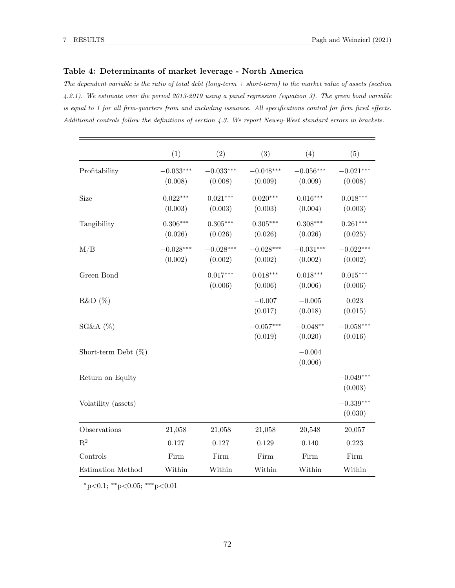## Table 4: Determinants of market leverage - North America

The dependent variable is the ratio of total debt (long-term  $+$  short-term) to the market value of assets (section 4.2.1). We estimate over the period 2013-2019 using a panel regression (equation 3). The green bond variable is equal to 1 for all firm-quarters from and including issuance. All specifications control for firm fixed effects. Additional controls follow the definitions of section 4.3. We report Newey-West standard errors in brackets.

|                        | (1)                    | (2)                    | (3)                    | (4)                    | (5)                    |
|------------------------|------------------------|------------------------|------------------------|------------------------|------------------------|
| Profitability          | $-0.033***$<br>(0.008) | $-0.033***$<br>(0.008) | $-0.048***$<br>(0.009) | $-0.056***$<br>(0.009) | $-0.021***$<br>(0.008) |
| Size                   | $0.022***$<br>(0.003)  | $0.021***$<br>(0.003)  | $0.020***$<br>(0.003)  | $0.016***$<br>(0.004)  | $0.018***$<br>(0.003)  |
| Tangibility            | $0.306***$<br>(0.026)  | $0.305***$<br>(0.026)  | $0.305***$<br>(0.026)  | $0.308***$<br>(0.026)  | $0.261***$<br>(0.025)  |
| M/B                    | $-0.028***$<br>(0.002) | $-0.028***$<br>(0.002) | $-0.028***$<br>(0.002) | $-0.031***$<br>(0.002) | $-0.022***$<br>(0.002) |
| Green Bond             |                        | $0.017***$<br>(0.006)  | $0.018***$<br>(0.006)  | $0.018***$<br>(0.006)  | $0.015***$<br>(0.006)  |
| R&D(%)                 |                        |                        | $-0.007$<br>(0.017)    | $-0.005$<br>(0.018)    | 0.023<br>(0.015)       |
| SG&A(%)                |                        |                        | $-0.057***$<br>(0.019) | $-0.048**$<br>(0.020)  | $-0.058***$<br>(0.016) |
| Short-term Debt $(\%)$ |                        |                        |                        | $-0.004$<br>(0.006)    |                        |
| Return on Equity       |                        |                        |                        |                        | $-0.049***$<br>(0.003) |
| Volatility (assets)    |                        |                        |                        |                        | $-0.339***$<br>(0.030) |
| Observations           | 21,058                 | 21,058                 | 21,058                 | 20,548                 | 20,057                 |
| $\mathbf{R}^2$         | 0.127                  | 0.127                  | 0.129                  | 0.140                  | 0.223                  |
| Controls               | Firm                   | Firm                   | Firm                   | Firm                   | Firm                   |
| Estimation Method      | Within                 | Within                 | Within                 | Within                 | Within                 |

<sup>∗</sup>p<0.1; ∗∗p<0.05; ∗∗∗p<0.01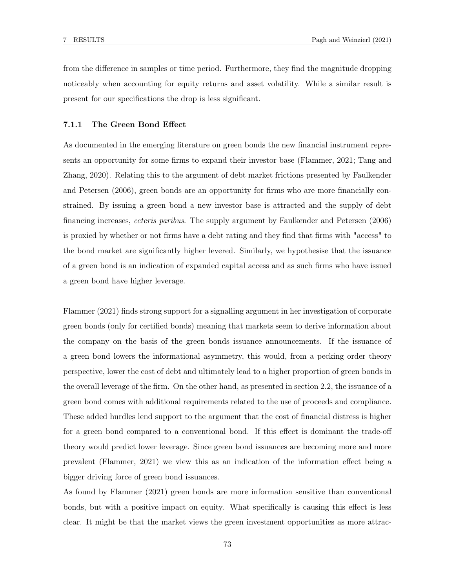from the difference in samples or time period. Furthermore, they find the magnitude dropping noticeably when accounting for equity returns and asset volatility. While a similar result is present for our specifications the drop is less significant.

#### 7.1.1 The Green Bond Effect

As documented in the emerging literature on green bonds the new financial instrument represents an opportunity for some firms to expand their investor base (Flammer, 2021; Tang and Zhang, 2020). Relating this to the argument of debt market frictions presented by Faulkender and Petersen (2006), green bonds are an opportunity for firms who are more financially constrained. By issuing a green bond a new investor base is attracted and the supply of debt financing increases, ceteris paribus. The supply argument by Faulkender and Petersen (2006) is proxied by whether or not firms have a debt rating and they find that firms with "access" to the bond market are significantly higher levered. Similarly, we hypothesise that the issuance of a green bond is an indication of expanded capital access and as such firms who have issued a green bond have higher leverage.

Flammer (2021) finds strong support for a signalling argument in her investigation of corporate green bonds (only for certified bonds) meaning that markets seem to derive information about the company on the basis of the green bonds issuance announcements. If the issuance of a green bond lowers the informational asymmetry, this would, from a pecking order theory perspective, lower the cost of debt and ultimately lead to a higher proportion of green bonds in the overall leverage of the firm. On the other hand, as presented in section 2.2, the issuance of a green bond comes with additional requirements related to the use of proceeds and compliance. These added hurdles lend support to the argument that the cost of financial distress is higher for a green bond compared to a conventional bond. If this effect is dominant the trade-off theory would predict lower leverage. Since green bond issuances are becoming more and more prevalent (Flammer, 2021) we view this as an indication of the information effect being a bigger driving force of green bond issuances.

As found by Flammer (2021) green bonds are more information sensitive than conventional bonds, but with a positive impact on equity. What specifically is causing this effect is less clear. It might be that the market views the green investment opportunities as more attrac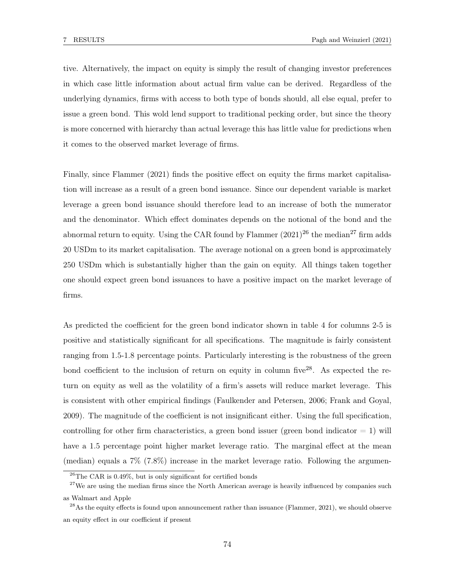tive. Alternatively, the impact on equity is simply the result of changing investor preferences in which case little information about actual firm value can be derived. Regardless of the underlying dynamics, firms with access to both type of bonds should, all else equal, prefer to issue a green bond. This wold lend support to traditional pecking order, but since the theory is more concerned with hierarchy than actual leverage this has little value for predictions when it comes to the observed market leverage of firms.

Finally, since Flammer (2021) finds the positive effect on equity the firms market capitalisation will increase as a result of a green bond issuance. Since our dependent variable is market leverage a green bond issuance should therefore lead to an increase of both the numerator and the denominator. Which effect dominates depends on the notional of the bond and the abnormal return to equity. Using the CAR found by Flammer  $(2021)^{26}$  the median<sup>27</sup> firm adds 20 USDm to its market capitalisation. The average notional on a green bond is approximately 250 USDm which is substantially higher than the gain on equity. All things taken together one should expect green bond issuances to have a positive impact on the market leverage of firms.

As predicted the coefficient for the green bond indicator shown in table 4 for columns 2-5 is positive and statistically significant for all specifications. The magnitude is fairly consistent ranging from 1.5-1.8 percentage points. Particularly interesting is the robustness of the green bond coefficient to the inclusion of return on equity in column five<sup>28</sup>. As expected the return on equity as well as the volatility of a firm's assets will reduce market leverage. This is consistent with other empirical findings (Faulkender and Petersen, 2006; Frank and Goyal, 2009). The magnitude of the coefficient is not insignificant either. Using the full specification, controlling for other firm characteristics, a green bond issuer (green bond indicator  $= 1$ ) will have a 1.5 percentage point higher market leverage ratio. The marginal effect at the mean (median) equals a 7% (7.8%) increase in the market leverage ratio. Following the argumen-

 $26$ The CAR is 0.49%, but is only significant for certified bonds

 $27$ We are using the median firms since the North American average is heavily influenced by companies such as Walmart and Apple

<sup>&</sup>lt;sup>28</sup>As the equity effects is found upon announcement rather than issuance (Flammer, 2021), we should observe an equity effect in our coefficient if present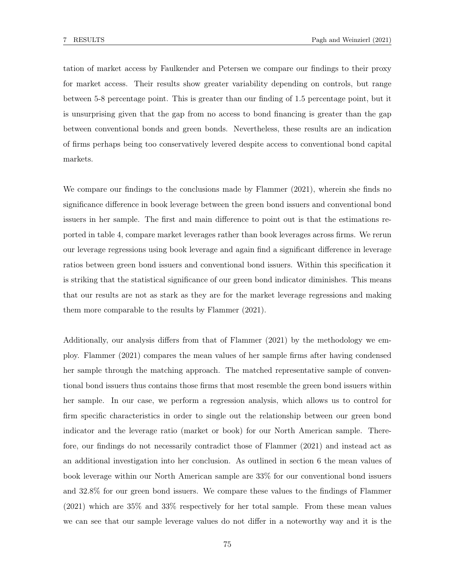tation of market access by Faulkender and Petersen we compare our findings to their proxy for market access. Their results show greater variability depending on controls, but range between 5-8 percentage point. This is greater than our finding of 1.5 percentage point, but it is unsurprising given that the gap from no access to bond financing is greater than the gap between conventional bonds and green bonds. Nevertheless, these results are an indication of firms perhaps being too conservatively levered despite access to conventional bond capital markets.

We compare our findings to the conclusions made by Flammer (2021), wherein she finds no significance difference in book leverage between the green bond issuers and conventional bond issuers in her sample. The first and main difference to point out is that the estimations reported in table 4, compare market leverages rather than book leverages across firms. We rerun our leverage regressions using book leverage and again find a significant difference in leverage ratios between green bond issuers and conventional bond issuers. Within this specification it is striking that the statistical significance of our green bond indicator diminishes. This means that our results are not as stark as they are for the market leverage regressions and making them more comparable to the results by Flammer (2021).

Additionally, our analysis differs from that of Flammer (2021) by the methodology we employ. Flammer (2021) compares the mean values of her sample firms after having condensed her sample through the matching approach. The matched representative sample of conventional bond issuers thus contains those firms that most resemble the green bond issuers within her sample. In our case, we perform a regression analysis, which allows us to control for firm specific characteristics in order to single out the relationship between our green bond indicator and the leverage ratio (market or book) for our North American sample. Therefore, our findings do not necessarily contradict those of Flammer (2021) and instead act as an additional investigation into her conclusion. As outlined in section 6 the mean values of book leverage within our North American sample are 33% for our conventional bond issuers and 32.8% for our green bond issuers. We compare these values to the findings of Flammer (2021) which are 35% and 33% respectively for her total sample. From these mean values we can see that our sample leverage values do not differ in a noteworthy way and it is the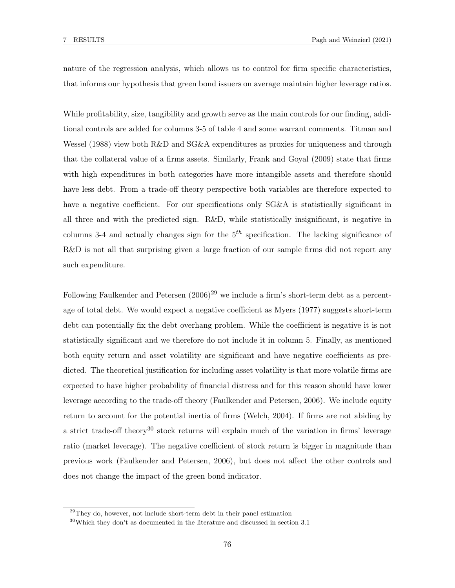nature of the regression analysis, which allows us to control for firm specific characteristics, that informs our hypothesis that green bond issuers on average maintain higher leverage ratios.

While profitability, size, tangibility and growth serve as the main controls for our finding, additional controls are added for columns 3-5 of table 4 and some warrant comments. Titman and Wessel (1988) view both R&D and SG&A expenditures as proxies for uniqueness and through that the collateral value of a firms assets. Similarly, Frank and Goyal (2009) state that firms with high expenditures in both categories have more intangible assets and therefore should have less debt. From a trade-off theory perspective both variables are therefore expected to have a negative coefficient. For our specifications only SG&A is statistically significant in all three and with the predicted sign. R&D, while statistically insignificant, is negative in columns 3-4 and actually changes sign for the  $5<sup>th</sup>$  specification. The lacking significance of R&D is not all that surprising given a large fraction of our sample firms did not report any such expenditure.

Following Faulkender and Petersen  $(2006)^{29}$  we include a firm's short-term debt as a percentage of total debt. We would expect a negative coefficient as Myers (1977) suggests short-term debt can potentially fix the debt overhang problem. While the coefficient is negative it is not statistically significant and we therefore do not include it in column 5. Finally, as mentioned both equity return and asset volatility are significant and have negative coefficients as predicted. The theoretical justification for including asset volatility is that more volatile firms are expected to have higher probability of financial distress and for this reason should have lower leverage according to the trade-off theory (Faulkender and Petersen, 2006). We include equity return to account for the potential inertia of firms (Welch, 2004). If firms are not abiding by a strict trade-off theory<sup>30</sup> stock returns will explain much of the variation in firms' leverage ratio (market leverage). The negative coefficient of stock return is bigger in magnitude than previous work (Faulkender and Petersen, 2006), but does not affect the other controls and does not change the impact of the green bond indicator.

 $29$ They do, however, not include short-term debt in their panel estimation

 $30$ Which they don't as documented in the literature and discussed in section 3.1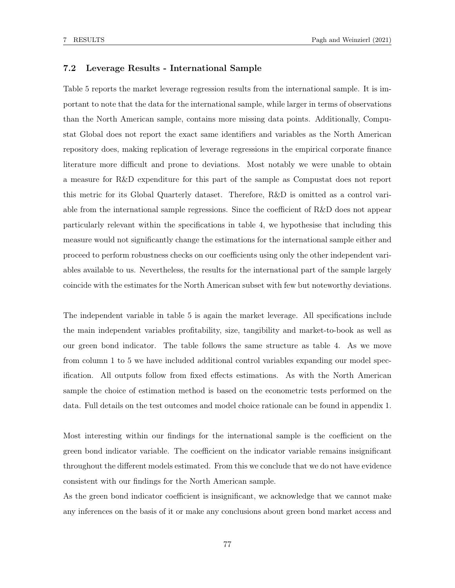## 7.2 Leverage Results - International Sample

Table 5 reports the market leverage regression results from the international sample. It is important to note that the data for the international sample, while larger in terms of observations than the North American sample, contains more missing data points. Additionally, Compustat Global does not report the exact same identifiers and variables as the North American repository does, making replication of leverage regressions in the empirical corporate finance literature more difficult and prone to deviations. Most notably we were unable to obtain a measure for R&D expenditure for this part of the sample as Compustat does not report this metric for its Global Quarterly dataset. Therefore, R&D is omitted as a control variable from the international sample regressions. Since the coefficient of R&D does not appear particularly relevant within the specifications in table 4, we hypothesise that including this measure would not significantly change the estimations for the international sample either and proceed to perform robustness checks on our coefficients using only the other independent variables available to us. Nevertheless, the results for the international part of the sample largely coincide with the estimates for the North American subset with few but noteworthy deviations.

The independent variable in table 5 is again the market leverage. All specifications include the main independent variables profitability, size, tangibility and market-to-book as well as our green bond indicator. The table follows the same structure as table 4. As we move from column 1 to 5 we have included additional control variables expanding our model specification. All outputs follow from fixed effects estimations. As with the North American sample the choice of estimation method is based on the econometric tests performed on the data. Full details on the test outcomes and model choice rationale can be found in appendix 1.

Most interesting within our findings for the international sample is the coefficient on the green bond indicator variable. The coefficient on the indicator variable remains insignificant throughout the different models estimated. From this we conclude that we do not have evidence consistent with our findings for the North American sample.

As the green bond indicator coefficient is insignificant, we acknowledge that we cannot make any inferences on the basis of it or make any conclusions about green bond market access and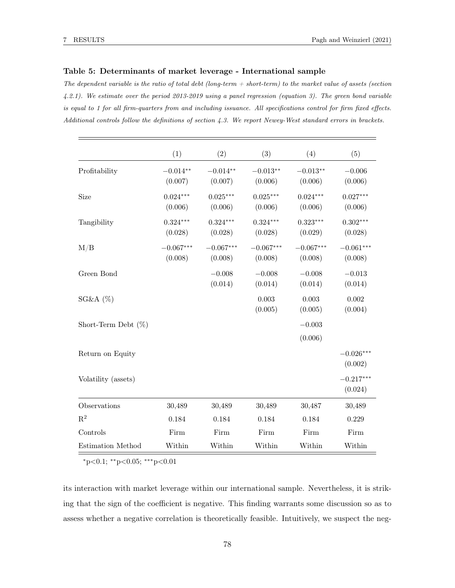#### Table 5: Determinants of market leverage - International sample

The dependent variable is the ratio of total debt (long-term  $+$  short-term) to the market value of assets (section 4.2.1). We estimate over the period 2013-2019 using a panel regression (equation 3). The green bond variable is equal to 1 for all firm-quarters from and including issuance. All specifications control for firm fixed effects. Additional controls follow the definitions of section 4.3. We report Newey-West standard errors in brackets.

|                        | (1)                    | (2)                    | (3)                    | (4)                    | (5)                    |
|------------------------|------------------------|------------------------|------------------------|------------------------|------------------------|
| Profitability          | $-0.014**$<br>(0.007)  | $-0.014**$<br>(0.007)  | $-0.013**$<br>(0.006)  | $-0.013**$<br>(0.006)  | $-0.006$<br>(0.006)    |
| Size                   | $0.024***$<br>(0.006)  | $0.025***$<br>(0.006)  | $0.025***$<br>(0.006)  | $0.024***$<br>(0.006)  | $0.027***$<br>(0.006)  |
| Tangibility            | $0.324***$<br>(0.028)  | $0.324***$<br>(0.028)  | $0.324***$<br>(0.028)  | $0.323***$<br>(0.029)  | $0.302***$<br>(0.028)  |
| M/B                    | $-0.067***$<br>(0.008) | $-0.067***$<br>(0.008) | $-0.067***$<br>(0.008) | $-0.067***$<br>(0.008) | $-0.061***$<br>(0.008) |
| Green Bond             |                        | $-0.008$<br>(0.014)    | $-0.008$<br>(0.014)    | $-0.008$<br>(0.014)    | $-0.013$<br>(0.014)    |
| SG&A(%)                |                        |                        | 0.003<br>(0.005)       | 0.003<br>(0.005)       | 0.002<br>(0.004)       |
| Short-Term Debt $(\%)$ |                        |                        |                        | $-0.003$<br>(0.006)    |                        |
| Return on Equity       |                        |                        |                        |                        | $-0.026***$<br>(0.002) |
| Volatility (assets)    |                        |                        |                        |                        | $-0.217***$<br>(0.024) |
| Observations           | 30,489                 | 30,489                 | 30,489                 | 30,487                 | 30,489                 |
| $\mathbf{R}^2$         | 0.184                  | 0.184                  | 0.184                  | 0.184                  | 0.229                  |
| Controls               | Firm                   | Firm                   | Firm                   | Firm                   | Firm                   |
| Estimation Method      | Within                 | Within                 | Within                 | Within                 | Within                 |

<sup>∗</sup>p<0.1; ∗∗p<0.05; ∗∗∗p<0.01

its interaction with market leverage within our international sample. Nevertheless, it is striking that the sign of the coefficient is negative. This finding warrants some discussion so as to assess whether a negative correlation is theoretically feasible. Intuitively, we suspect the neg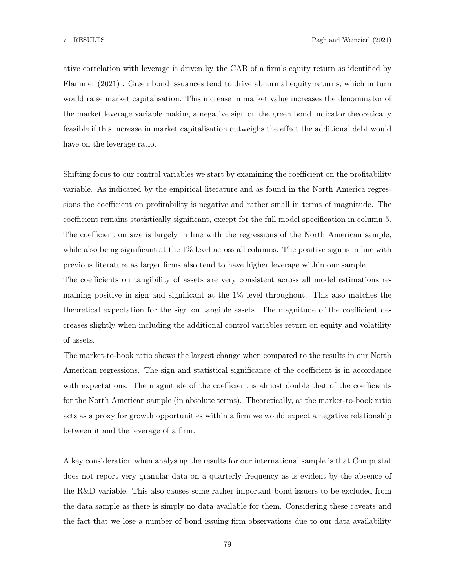ative correlation with leverage is driven by the CAR of a firm's equity return as identified by Flammer (2021) . Green bond issuances tend to drive abnormal equity returns, which in turn would raise market capitalisation. This increase in market value increases the denominator of the market leverage variable making a negative sign on the green bond indicator theoretically feasible if this increase in market capitalisation outweighs the effect the additional debt would have on the leverage ratio.

Shifting focus to our control variables we start by examining the coefficient on the profitability variable. As indicated by the empirical literature and as found in the North America regressions the coefficient on profitability is negative and rather small in terms of magnitude. The coefficient remains statistically significant, except for the full model specification in column 5. The coefficient on size is largely in line with the regressions of the North American sample, while also being significant at the  $1\%$  level across all columns. The positive sign is in line with previous literature as larger firms also tend to have higher leverage within our sample.

The coefficients on tangibility of assets are very consistent across all model estimations remaining positive in sign and significant at the 1% level throughout. This also matches the theoretical expectation for the sign on tangible assets. The magnitude of the coefficient decreases slightly when including the additional control variables return on equity and volatility of assets.

The market-to-book ratio shows the largest change when compared to the results in our North American regressions. The sign and statistical significance of the coefficient is in accordance with expectations. The magnitude of the coefficient is almost double that of the coefficients for the North American sample (in absolute terms). Theoretically, as the market-to-book ratio acts as a proxy for growth opportunities within a firm we would expect a negative relationship between it and the leverage of a firm.

A key consideration when analysing the results for our international sample is that Compustat does not report very granular data on a quarterly frequency as is evident by the absence of the R&D variable. This also causes some rather important bond issuers to be excluded from the data sample as there is simply no data available for them. Considering these caveats and the fact that we lose a number of bond issuing firm observations due to our data availability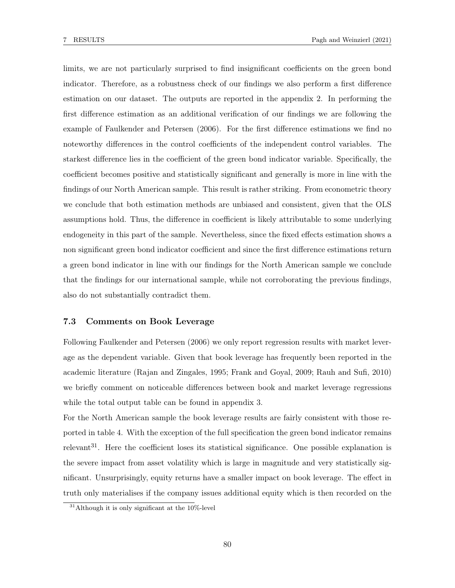limits, we are not particularly surprised to find insignificant coefficients on the green bond indicator. Therefore, as a robustness check of our findings we also perform a first difference estimation on our dataset. The outputs are reported in the appendix 2. In performing the first difference estimation as an additional verification of our findings we are following the example of Faulkender and Petersen (2006). For the first difference estimations we find no noteworthy differences in the control coefficients of the independent control variables. The starkest difference lies in the coefficient of the green bond indicator variable. Specifically, the coefficient becomes positive and statistically significant and generally is more in line with the findings of our North American sample. This result is rather striking. From econometric theory we conclude that both estimation methods are unbiased and consistent, given that the OLS assumptions hold. Thus, the difference in coefficient is likely attributable to some underlying endogeneity in this part of the sample. Nevertheless, since the fixed effects estimation shows a non significant green bond indicator coefficient and since the first difference estimations return a green bond indicator in line with our findings for the North American sample we conclude that the findings for our international sample, while not corroborating the previous findings, also do not substantially contradict them.

## 7.3 Comments on Book Leverage

Following Faulkender and Petersen (2006) we only report regression results with market leverage as the dependent variable. Given that book leverage has frequently been reported in the academic literature (Rajan and Zingales, 1995; Frank and Goyal, 2009; Rauh and Sufi, 2010) we briefly comment on noticeable differences between book and market leverage regressions while the total output table can be found in appendix 3.

For the North American sample the book leverage results are fairly consistent with those reported in table 4. With the exception of the full specification the green bond indicator remains relevant<sup>31</sup>. Here the coefficient loses its statistical significance. One possible explanation is the severe impact from asset volatility which is large in magnitude and very statistically significant. Unsurprisingly, equity returns have a smaller impact on book leverage. The effect in truth only materialises if the company issues additional equity which is then recorded on the

 $31$ Although it is only significant at the 10%-level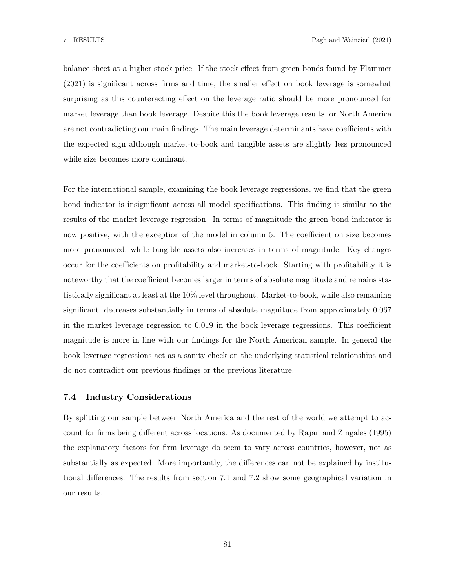balance sheet at a higher stock price. If the stock effect from green bonds found by Flammer (2021) is significant across firms and time, the smaller effect on book leverage is somewhat surprising as this counteracting effect on the leverage ratio should be more pronounced for market leverage than book leverage. Despite this the book leverage results for North America are not contradicting our main findings. The main leverage determinants have coefficients with the expected sign although market-to-book and tangible assets are slightly less pronounced while size becomes more dominant.

For the international sample, examining the book leverage regressions, we find that the green bond indicator is insignificant across all model specifications. This finding is similar to the results of the market leverage regression. In terms of magnitude the green bond indicator is now positive, with the exception of the model in column 5. The coefficient on size becomes more pronounced, while tangible assets also increases in terms of magnitude. Key changes occur for the coefficients on profitability and market-to-book. Starting with profitability it is noteworthy that the coefficient becomes larger in terms of absolute magnitude and remains statistically significant at least at the 10% level throughout. Market-to-book, while also remaining significant, decreases substantially in terms of absolute magnitude from approximately 0.067 in the market leverage regression to 0.019 in the book leverage regressions. This coefficient magnitude is more in line with our findings for the North American sample. In general the book leverage regressions act as a sanity check on the underlying statistical relationships and do not contradict our previous findings or the previous literature.

## 7.4 Industry Considerations

By splitting our sample between North America and the rest of the world we attempt to account for firms being different across locations. As documented by Rajan and Zingales (1995) the explanatory factors for firm leverage do seem to vary across countries, however, not as substantially as expected. More importantly, the differences can not be explained by institutional differences. The results from section 7.1 and 7.2 show some geographical variation in our results.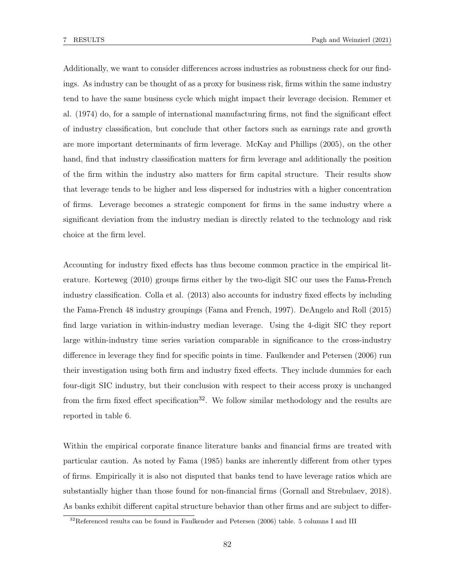Additionally, we want to consider differences across industries as robustness check for our findings. As industry can be thought of as a proxy for business risk, firms within the same industry tend to have the same business cycle which might impact their leverage decision. Remmer et al. (1974) do, for a sample of international manufacturing firms, not find the significant effect of industry classification, but conclude that other factors such as earnings rate and growth are more important determinants of firm leverage. McKay and Phillips (2005), on the other hand, find that industry classification matters for firm leverage and additionally the position of the firm within the industry also matters for firm capital structure. Their results show that leverage tends to be higher and less dispersed for industries with a higher concentration of firms. Leverage becomes a strategic component for firms in the same industry where a significant deviation from the industry median is directly related to the technology and risk choice at the firm level.

Accounting for industry fixed effects has thus become common practice in the empirical literature. Korteweg (2010) groups firms either by the two-digit SIC our uses the Fama-French industry classification. Colla et al. (2013) also accounts for industry fixed effects by including the Fama-French 48 industry groupings (Fama and French, 1997). DeAngelo and Roll (2015) find large variation in within-industry median leverage. Using the 4-digit SIC they report large within-industry time series variation comparable in significance to the cross-industry difference in leverage they find for specific points in time. Faulkender and Petersen (2006) run their investigation using both firm and industry fixed effects. They include dummies for each four-digit SIC industry, but their conclusion with respect to their access proxy is unchanged from the firm fixed effect specification<sup>32</sup>. We follow similar methodology and the results are reported in table 6.

Within the empirical corporate finance literature banks and financial firms are treated with particular caution. As noted by Fama (1985) banks are inherently different from other types of firms. Empirically it is also not disputed that banks tend to have leverage ratios which are substantially higher than those found for non-financial firms (Gornall and Strebulaev, 2018). As banks exhibit different capital structure behavior than other firms and are subject to differ-

 $32$ Referenced results can be found in Faulkender and Petersen (2006) table. 5 columns I and III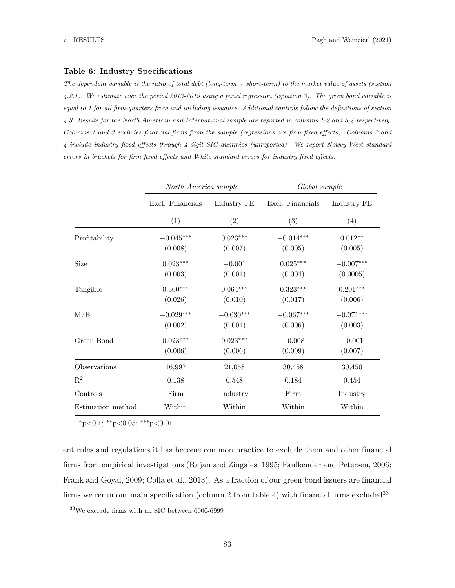#### Table 6: Industry Specifications

The dependent variable is the ratio of total debt (long-term  $+$  short-term) to the market value of assets (section 4.2.1). We estimate over the period 2013-2019 using a panel regression (equation 3). The green bond variable is equal to 1 for all firm-quarters from and including issuance. Additional controls follow the definitions of section 4.3. Results for the North American and International sample are reported in columns 1-2 and 3-4 respectively. Columns 1 and 3 excludes financial firms from the sample (regressions are firm fixed effects). Columns 2 and 4 include industry fixed effects through 4-digit SIC dummies (unreported). We report Newey-West standard errors in brackets for firm fixed effects and White standard errors for industry fixed effects.

|                   | North America sample |             | Global sample    |             |  |
|-------------------|----------------------|-------------|------------------|-------------|--|
|                   | Excl. Financials     | Industry FE | Excl. Financials | Industry FE |  |
|                   | (1)                  | (2)         | (3)              | (4)         |  |
| Profitability     | $-0.045***$          | $0.023***$  | $-0.014***$      | $0.012**$   |  |
|                   | (0.008)              | (0.007)     | (0.005)          | (0.005)     |  |
| Size              | $0.023***$           | $-0.001$    | $0.025***$       | $-0.007***$ |  |
|                   | (0.003)              | (0.001)     | (0.004)          | (0.0005)    |  |
| Tangible          | $0.300***$           | $0.064***$  | $0.323***$       | $0.201***$  |  |
|                   | (0.026)              | (0.010)     | (0.017)          | (0.006)     |  |
| M/B               | $-0.029***$          | $-0.030***$ | $-0.067***$      | $-0.071***$ |  |
|                   | (0.002)              | (0.001)     | (0.006)          | (0.003)     |  |
| Green Bond        | $0.023***$           | $0.023***$  | $-0.008$         | $-0.001$    |  |
|                   | (0.006)              | (0.006)     | (0.009)          | (0.007)     |  |
| Observations      | 16,997               | 21,058      | 30,458           | 30,450      |  |
| $\mathbf{R}^2$    | 0.138                | 0.548       | 0.184            | 0.454       |  |
| Controls          | Firm                 | Industry    | Firm             | Industry    |  |
| Estimation method | Within               | Within      | Within           | Within      |  |

 $*p<0.1$ ;  $*p<0.05$ ;  $***p<0.01$ 

ent rules and regulations it has become common practice to exclude them and other financial firms from empirical investigations (Rajan and Zingales, 1995; Faulkender and Petersen, 2006; Frank and Goyal, 2009; Colla et al., 2013). As a fraction of our green bond issuers are financial firms we rerun our main specification (column 2 from table 4) with financial firms excluded  $33$ .

 $^{33}\rm{We}$  exclude firms with an SIC between 6000-6999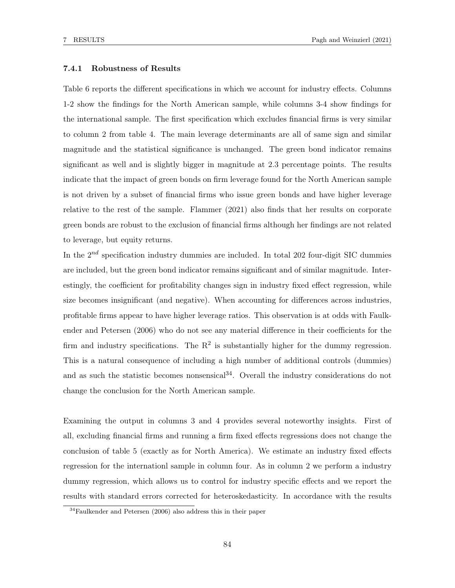## 7.4.1 Robustness of Results

Table 6 reports the different specifications in which we account for industry effects. Columns 1-2 show the findings for the North American sample, while columns 3-4 show findings for the international sample. The first specification which excludes financial firms is very similar to column 2 from table 4. The main leverage determinants are all of same sign and similar magnitude and the statistical significance is unchanged. The green bond indicator remains significant as well and is slightly bigger in magnitude at 2.3 percentage points. The results indicate that the impact of green bonds on firm leverage found for the North American sample is not driven by a subset of financial firms who issue green bonds and have higher leverage relative to the rest of the sample. Flammer (2021) also finds that her results on corporate green bonds are robust to the exclusion of financial firms although her findings are not related to leverage, but equity returns.

In the  $2^{nd}$  specification industry dummies are included. In total 202 four-digit SIC dummies are included, but the green bond indicator remains significant and of similar magnitude. Interestingly, the coefficient for profitability changes sign in industry fixed effect regression, while size becomes insignificant (and negative). When accounting for differences across industries, profitable firms appear to have higher leverage ratios. This observation is at odds with Faulkender and Petersen (2006) who do not see any material difference in their coefficients for the firm and industry specifications. The  $R<sup>2</sup>$  is substantially higher for the dummy regression. This is a natural consequence of including a high number of additional controls (dummies) and as such the statistic becomes nonsensical<sup>34</sup>. Overall the industry considerations do not change the conclusion for the North American sample.

Examining the output in columns 3 and 4 provides several noteworthy insights. First of all, excluding financial firms and running a firm fixed effects regressions does not change the conclusion of table 5 (exactly as for North America). We estimate an industry fixed effects regression for the internationl sample in column four. As in column 2 we perform a industry dummy regression, which allows us to control for industry specific effects and we report the results with standard errors corrected for heteroskedasticity. In accordance with the results

<sup>34</sup>Faulkender and Petersen (2006) also address this in their paper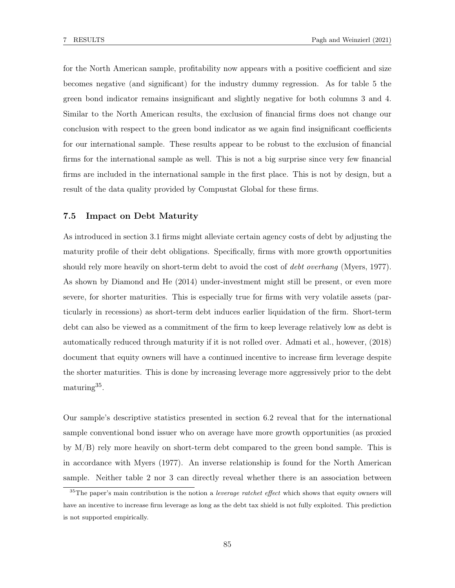for the North American sample, profitability now appears with a positive coefficient and size becomes negative (and significant) for the industry dummy regression. As for table 5 the green bond indicator remains insignificant and slightly negative for both columns 3 and 4. Similar to the North American results, the exclusion of financial firms does not change our conclusion with respect to the green bond indicator as we again find insignificant coefficients for our international sample. These results appear to be robust to the exclusion of financial firms for the international sample as well. This is not a big surprise since very few financial firms are included in the international sample in the first place. This is not by design, but a result of the data quality provided by Compustat Global for these firms.

## 7.5 Impact on Debt Maturity

As introduced in section 3.1 firms might alleviate certain agency costs of debt by adjusting the maturity profile of their debt obligations. Specifically, firms with more growth opportunities should rely more heavily on short-term debt to avoid the cost of *debt overhang* (Myers, 1977). As shown by Diamond and He (2014) under-investment might still be present, or even more severe, for shorter maturities. This is especially true for firms with very volatile assets (particularly in recessions) as short-term debt induces earlier liquidation of the firm. Short-term debt can also be viewed as a commitment of the firm to keep leverage relatively low as debt is automatically reduced through maturity if it is not rolled over. Admati et al., however, (2018) document that equity owners will have a continued incentive to increase firm leverage despite the shorter maturities. This is done by increasing leverage more aggressively prior to the debt maturing<sup>35</sup>.

Our sample's descriptive statistics presented in section 6.2 reveal that for the international sample conventional bond issuer who on average have more growth opportunities (as proxied by M/B) rely more heavily on short-term debt compared to the green bond sample. This is in accordance with Myers (1977). An inverse relationship is found for the North American sample. Neither table 2 nor 3 can directly reveal whether there is an association between

 $35$ The paper's main contribution is the notion a *leverage ratchet effect* which shows that equity owners will have an incentive to increase firm leverage as long as the debt tax shield is not fully exploited. This prediction is not supported empirically.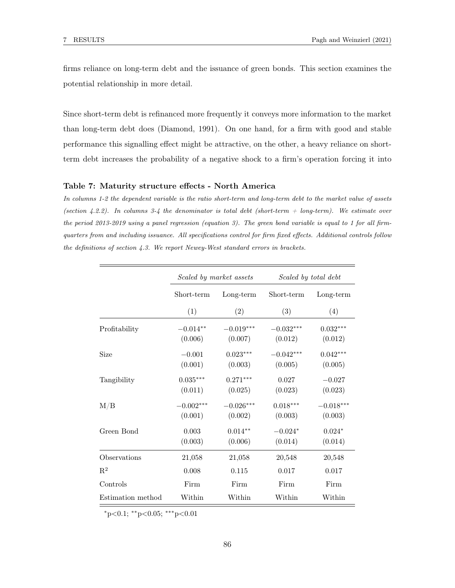firms reliance on long-term debt and the issuance of green bonds. This section examines the potential relationship in more detail.

Since short-term debt is refinanced more frequently it conveys more information to the market than long-term debt does (Diamond, 1991). On one hand, for a firm with good and stable performance this signalling effect might be attractive, on the other, a heavy reliance on shortterm debt increases the probability of a negative shock to a firm's operation forcing it into

#### Table 7: Maturity structure effects - North America

In columns 1-2 the dependent variable is the ratio short-term and long-term debt to the market value of assets (section 4.2.2). In columns 3-4 the denominator is total debt (short-term  $+$  long-term). We estimate over the period 2013-2019 using a panel regression (equation 3). The green bond variable is equal to 1 for all firmquarters from and including issuance. All specifications control for firm fixed effects. Additional controls follow the definitions of section 4.3. We report Newey-West standard errors in brackets.

|                   |                        | Scaled by market assets | Scaled by total debt   |                        |  |
|-------------------|------------------------|-------------------------|------------------------|------------------------|--|
|                   | Short-term             | Long-term               | Short-term             | Long-term              |  |
|                   | (1)                    | (2)                     | (3)                    | (4)                    |  |
| Profitability     | $-0.014**$<br>(0.006)  | $-0.019***$<br>(0.007)  | $-0.032***$<br>(0.012) | $0.032***$<br>(0.012)  |  |
| Size              | $-0.001$<br>(0.001)    | $0.023***$<br>(0.003)   | $-0.042***$<br>(0.005) | $0.042***$<br>(0.005)  |  |
| Tangibility       | $0.035***$<br>(0.011)  | $0.271***$<br>(0.025)   | 0.027<br>(0.023)       | $-0.027$<br>(0.023)    |  |
| M/B               | $-0.002***$<br>(0.001) | $-0.026***$<br>(0.002)  | $0.018***$<br>(0.003)  | $-0.018***$<br>(0.003) |  |
| Green Bond        | 0.003<br>(0.003)       | $0.014***$<br>(0.006)   | $-0.024*$<br>(0.014)   | $0.024*$<br>(0.014)    |  |
| Observations      | 21,058                 | 21,058                  | 20,548                 | 20,548                 |  |
| $\mathbf{R}^2$    | 0.008                  | 0.115                   | 0.017                  | 0.017                  |  |
| Controls          | Firm                   | Firm                    | Firm                   | Firm                   |  |
| Estimation method | Within<br>Within       |                         | Within                 | Within                 |  |

 $*p<0.1$ ; \*\*p<0.05; \*\*\*p<0.01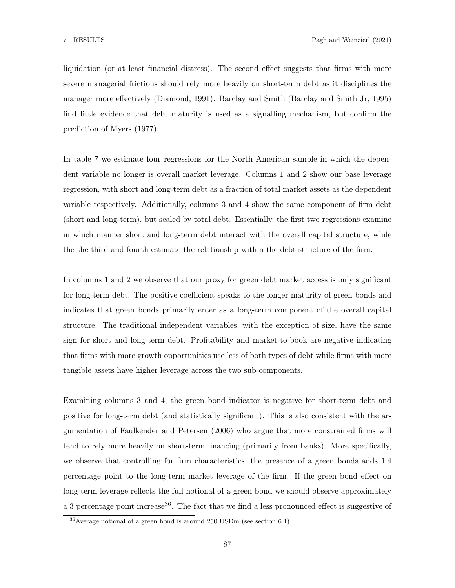liquidation (or at least financial distress). The second effect suggests that firms with more severe managerial frictions should rely more heavily on short-term debt as it disciplines the manager more effectively (Diamond, 1991). Barclay and Smith (Barclay and Smith Jr, 1995) find little evidence that debt maturity is used as a signalling mechanism, but confirm the prediction of Myers (1977).

In table 7 we estimate four regressions for the North American sample in which the dependent variable no longer is overall market leverage. Columns 1 and 2 show our base leverage regression, with short and long-term debt as a fraction of total market assets as the dependent variable respectively. Additionally, columns 3 and 4 show the same component of firm debt (short and long-term), but scaled by total debt. Essentially, the first two regressions examine in which manner short and long-term debt interact with the overall capital structure, while the the third and fourth estimate the relationship within the debt structure of the firm.

In columns 1 and 2 we observe that our proxy for green debt market access is only significant for long-term debt. The positive coefficient speaks to the longer maturity of green bonds and indicates that green bonds primarily enter as a long-term component of the overall capital structure. The traditional independent variables, with the exception of size, have the same sign for short and long-term debt. Profitability and market-to-book are negative indicating that firms with more growth opportunities use less of both types of debt while firms with more tangible assets have higher leverage across the two sub-components.

Examining columns 3 and 4, the green bond indicator is negative for short-term debt and positive for long-term debt (and statistically significant). This is also consistent with the argumentation of Faulkender and Petersen (2006) who argue that more constrained firms will tend to rely more heavily on short-term financing (primarily from banks). More specifically, we observe that controlling for firm characteristics, the presence of a green bonds adds 1.4 percentage point to the long-term market leverage of the firm. If the green bond effect on long-term leverage reflects the full notional of a green bond we should observe approximately a 3 percentage point increase<sup>36</sup>. The fact that we find a less pronounced effect is suggestive of

<sup>36</sup>Average notional of a green bond is around 250 USDm (see section 6.1)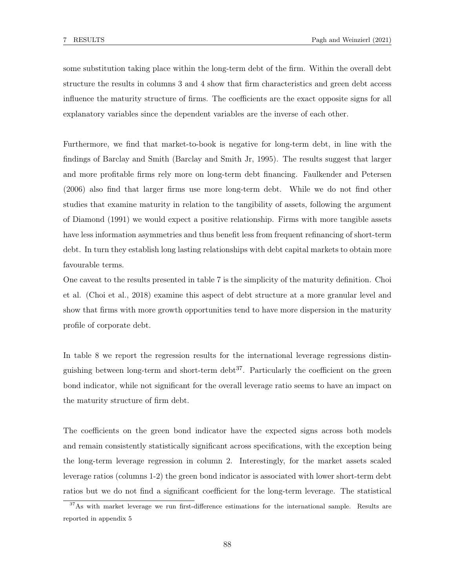some substitution taking place within the long-term debt of the firm. Within the overall debt structure the results in columns 3 and 4 show that firm characteristics and green debt access influence the maturity structure of firms. The coefficients are the exact opposite signs for all explanatory variables since the dependent variables are the inverse of each other.

Furthermore, we find that market-to-book is negative for long-term debt, in line with the findings of Barclay and Smith (Barclay and Smith Jr, 1995). The results suggest that larger and more profitable firms rely more on long-term debt financing. Faulkender and Petersen (2006) also find that larger firms use more long-term debt. While we do not find other studies that examine maturity in relation to the tangibility of assets, following the argument of Diamond (1991) we would expect a positive relationship. Firms with more tangible assets have less information asymmetries and thus benefit less from frequent refinancing of short-term debt. In turn they establish long lasting relationships with debt capital markets to obtain more favourable terms.

One caveat to the results presented in table 7 is the simplicity of the maturity definition. Choi et al. (Choi et al., 2018) examine this aspect of debt structure at a more granular level and show that firms with more growth opportunities tend to have more dispersion in the maturity profile of corporate debt.

In table 8 we report the regression results for the international leverage regressions distinguishing between long-term and short-term debt<sup>37</sup>. Particularly the coefficient on the green bond indicator, while not significant for the overall leverage ratio seems to have an impact on the maturity structure of firm debt.

The coefficients on the green bond indicator have the expected signs across both models and remain consistently statistically significant across specifications, with the exception being the long-term leverage regression in column 2. Interestingly, for the market assets scaled leverage ratios (columns 1-2) the green bond indicator is associated with lower short-term debt ratios but we do not find a significant coefficient for the long-term leverage. The statistical

<sup>&</sup>lt;sup>37</sup>As with market leverage we run first-difference estimations for the international sample. Results are reported in appendix 5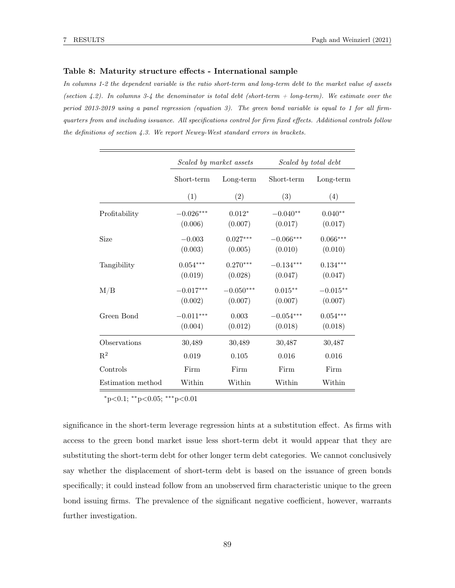#### Table 8: Maturity structure effects - International sample

In columns 1-2 the dependent variable is the ratio short-term and long-term debt to the market value of assets (section 4.2). In columns 3-4 the denominator is total debt (short-term  $+$  long-term). We estimate over the period 2013-2019 using a panel regression (equation 3). The green bond variable is equal to 1 for all firmquarters from and including issuance. All specifications control for firm fixed effects. Additional controls follow the definitions of section 4.3. We report Newey-West standard errors in brackets.

|                   |                        | Scaled by market assets | Scaled by total debt   |                       |  |
|-------------------|------------------------|-------------------------|------------------------|-----------------------|--|
|                   | Short-term             | Long-term               | Short-term             | Long-term             |  |
|                   | (1)                    | (2)                     | (3)                    | (4)                   |  |
| Profitability     | $-0.026***$<br>(0.006) | $0.012*$<br>(0.007)     | $-0.040**$<br>(0.017)  | $0.040**$<br>(0.017)  |  |
| Size              | $-0.003$<br>(0.003)    | $0.027***$<br>(0.005)   | $-0.066***$<br>(0.010) | $0.066***$<br>(0.010) |  |
| Tangibility       | $0.054***$<br>(0.019)  | $0.270***$<br>(0.028)   | $-0.134***$<br>(0.047) | $0.134***$<br>(0.047) |  |
| $\rm M/B$         | $-0.017***$<br>(0.002) | $-0.050***$<br>(0.007)  | $0.015***$<br>(0.007)  | $-0.015**$<br>(0.007) |  |
| Green Bond        | $-0.011***$<br>(0.004) | 0.003<br>(0.012)        | $-0.054***$<br>(0.018) | $0.054***$<br>(0.018) |  |
| Observations      | 30,489                 | 30,489                  | 30,487                 | 30,487                |  |
| $\mathrm{R}^2$    | 0.019                  | 0.105                   | 0.016                  | 0.016                 |  |
| Controls          | Firm                   | Firm                    | Firm                   | Firm                  |  |
| Estimation method | Within                 | Within                  | Within                 | Within                |  |

 $*p<0.1$ ;  $*p<0.05$ ;  $***p<0.01$ 

significance in the short-term leverage regression hints at a substitution effect. As firms with access to the green bond market issue less short-term debt it would appear that they are substituting the short-term debt for other longer term debt categories. We cannot conclusively say whether the displacement of short-term debt is based on the issuance of green bonds specifically; it could instead follow from an unobserved firm characteristic unique to the green bond issuing firms. The prevalence of the significant negative coefficient, however, warrants further investigation.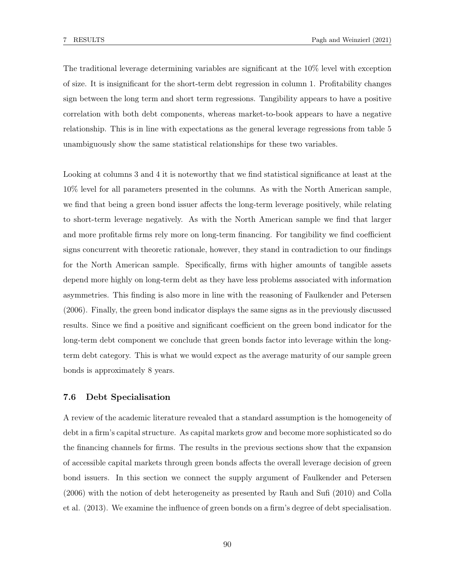The traditional leverage determining variables are significant at the 10% level with exception of size. It is insignificant for the short-term debt regression in column 1. Profitability changes sign between the long term and short term regressions. Tangibility appears to have a positive correlation with both debt components, whereas market-to-book appears to have a negative relationship. This is in line with expectations as the general leverage regressions from table 5 unambiguously show the same statistical relationships for these two variables.

Looking at columns 3 and 4 it is noteworthy that we find statistical significance at least at the 10% level for all parameters presented in the columns. As with the North American sample, we find that being a green bond issuer affects the long-term leverage positively, while relating to short-term leverage negatively. As with the North American sample we find that larger and more profitable firms rely more on long-term financing. For tangibility we find coefficient signs concurrent with theoretic rationale, however, they stand in contradiction to our findings for the North American sample. Specifically, firms with higher amounts of tangible assets depend more highly on long-term debt as they have less problems associated with information asymmetries. This finding is also more in line with the reasoning of Faulkender and Petersen (2006). Finally, the green bond indicator displays the same signs as in the previously discussed results. Since we find a positive and significant coefficient on the green bond indicator for the long-term debt component we conclude that green bonds factor into leverage within the longterm debt category. This is what we would expect as the average maturity of our sample green bonds is approximately 8 years.

#### 7.6 Debt Specialisation

A review of the academic literature revealed that a standard assumption is the homogeneity of debt in a firm's capital structure. As capital markets grow and become more sophisticated so do the financing channels for firms. The results in the previous sections show that the expansion of accessible capital markets through green bonds affects the overall leverage decision of green bond issuers. In this section we connect the supply argument of Faulkender and Petersen (2006) with the notion of debt heterogeneity as presented by Rauh and Sufi (2010) and Colla et al. (2013). We examine the influence of green bonds on a firm's degree of debt specialisation.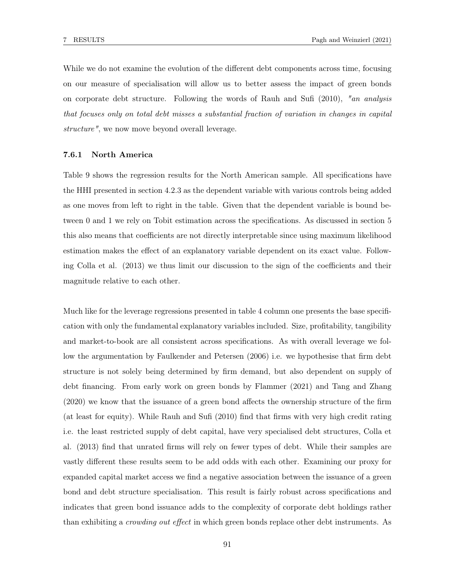While we do not examine the evolution of the different debt components across time, focusing on our measure of specialisation will allow us to better assess the impact of green bonds on corporate debt structure. Following the words of Rauh and Sufi (2010), "an analysis that focuses only on total debt misses a substantial fraction of variation in changes in capital structure", we now move beyond overall leverage.

## 7.6.1 North America

Table 9 shows the regression results for the North American sample. All specifications have the HHI presented in section 4.2.3 as the dependent variable with various controls being added as one moves from left to right in the table. Given that the dependent variable is bound between 0 and 1 we rely on Tobit estimation across the specifications. As discussed in section 5 this also means that coefficients are not directly interpretable since using maximum likelihood estimation makes the effect of an explanatory variable dependent on its exact value. Following Colla et al. (2013) we thus limit our discussion to the sign of the coefficients and their magnitude relative to each other.

Much like for the leverage regressions presented in table 4 column one presents the base specification with only the fundamental explanatory variables included. Size, profitability, tangibility and market-to-book are all consistent across specifications. As with overall leverage we follow the argumentation by Faulkender and Petersen (2006) i.e. we hypothesise that firm debt structure is not solely being determined by firm demand, but also dependent on supply of debt financing. From early work on green bonds by Flammer (2021) and Tang and Zhang (2020) we know that the issuance of a green bond affects the ownership structure of the firm (at least for equity). While Rauh and Sufi (2010) find that firms with very high credit rating i.e. the least restricted supply of debt capital, have very specialised debt structures, Colla et al. (2013) find that unrated firms will rely on fewer types of debt. While their samples are vastly different these results seem to be add odds with each other. Examining our proxy for expanded capital market access we find a negative association between the issuance of a green bond and debt structure specialisation. This result is fairly robust across specifications and indicates that green bond issuance adds to the complexity of corporate debt holdings rather than exhibiting a *crowding out effect* in which green bonds replace other debt instruments. As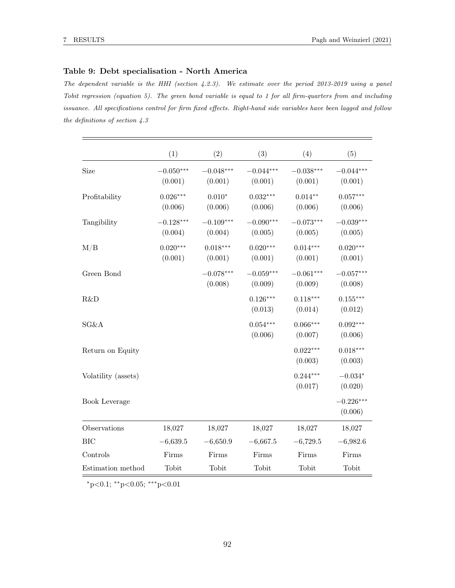## Table 9: Debt specialisation - North America

The dependent variable is the HHI (section 4.2.3). We estimate over the period 2013-2019 using a panel Tobit regression (equation 5). The green bond variable is equal to 1 for all firm-quarters from and including issuance. All specifications control for firm fixed effects. Right-hand side variables have been lagged and follow the definitions of section 4.3

|                      | (1)                    | (2)                    | (3)                    | (4)                    | (5)                    |
|----------------------|------------------------|------------------------|------------------------|------------------------|------------------------|
| Size                 | $-0.050***$<br>(0.001) | $-0.048***$<br>(0.001) | $-0.044***$<br>(0.001) | $-0.038***$<br>(0.001) | $-0.044***$<br>(0.001) |
| Profitability        | $0.026***$<br>(0.006)  | $0.010*$<br>(0.006)    | $0.032***$<br>(0.006)  | $0.014**$<br>(0.006)   | $0.057***$<br>(0.006)  |
| Tangibility          | $-0.128***$<br>(0.004) | $-0.109***$<br>(0.004) | $-0.090***$<br>(0.005) | $-0.073***$<br>(0.005) | $-0.039***$<br>(0.005) |
| M/B                  | $0.020***$<br>(0.001)  | $0.018***$<br>(0.001)  | $0.020***$<br>(0.001)  | $0.014***$<br>(0.001)  | $0.020***$<br>(0.001)  |
| Green Bond           |                        | $-0.078***$<br>(0.008) | $-0.059***$<br>(0.009) | $-0.061***$<br>(0.009) | $-0.057***$<br>(0.008) |
| R&D                  |                        |                        | $0.126***$<br>(0.013)  | $0.118***$<br>(0.014)  | $0.155***$<br>(0.012)  |
| SG&A                 |                        |                        | $0.054***$<br>(0.006)  | $0.066***$<br>(0.007)  | $0.092***$<br>(0.006)  |
| Return on Equity     |                        |                        |                        | $0.022***$<br>(0.003)  | $0.018***$<br>(0.003)  |
| Volatility (assets)  |                        |                        |                        | $0.244***$<br>(0.017)  | $-0.034*$<br>(0.020)   |
| <b>Book Leverage</b> |                        |                        |                        |                        | $-0.226***$<br>(0.006) |
| Observations         | 18,027                 | 18,027                 | 18,027                 | 18,027                 | 18,027                 |
| <b>BIC</b>           | $-6,639.5$             | $-6,650.9$             | $-6,667.5$             | $-6,729.5$             | $-6,982.6$             |
| Controls             | Firms                  | Firms                  | Firms                  | Firms                  | Firms                  |
| Estimation method    | Tobit                  | Tobit                  | Tobit                  | Tobit                  | Tobit                  |

<sup>∗</sup>p<0.1; ∗∗p<0.05; ∗∗∗p<0.01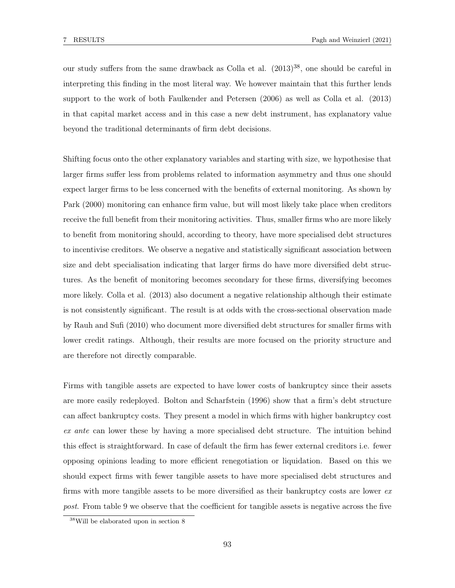our study suffers from the same drawback as Colla et al.  $(2013)^{38}$ , one should be careful in interpreting this finding in the most literal way. We however maintain that this further lends support to the work of both Faulkender and Petersen (2006) as well as Colla et al. (2013) in that capital market access and in this case a new debt instrument, has explanatory value beyond the traditional determinants of firm debt decisions.

Shifting focus onto the other explanatory variables and starting with size, we hypothesise that larger firms suffer less from problems related to information asymmetry and thus one should expect larger firms to be less concerned with the benefits of external monitoring. As shown by Park (2000) monitoring can enhance firm value, but will most likely take place when creditors receive the full benefit from their monitoring activities. Thus, smaller firms who are more likely to benefit from monitoring should, according to theory, have more specialised debt structures to incentivise creditors. We observe a negative and statistically significant association between size and debt specialisation indicating that larger firms do have more diversified debt structures. As the benefit of monitoring becomes secondary for these firms, diversifying becomes more likely. Colla et al. (2013) also document a negative relationship although their estimate is not consistently significant. The result is at odds with the cross-sectional observation made by Rauh and Sufi (2010) who document more diversified debt structures for smaller firms with lower credit ratings. Although, their results are more focused on the priority structure and are therefore not directly comparable.

Firms with tangible assets are expected to have lower costs of bankruptcy since their assets are more easily redeployed. Bolton and Scharfstein (1996) show that a firm's debt structure can affect bankruptcy costs. They present a model in which firms with higher bankruptcy cost ex ante can lower these by having a more specialised debt structure. The intuition behind this effect is straightforward. In case of default the firm has fewer external creditors i.e. fewer opposing opinions leading to more efficient renegotiation or liquidation. Based on this we should expect firms with fewer tangible assets to have more specialised debt structures and firms with more tangible assets to be more diversified as their bankruptcy costs are lower  $ex$ post. From table 9 we observe that the coefficient for tangible assets is negative across the five

 $^{38}\mathrm{Will}$  be elaborated upon in section  $8$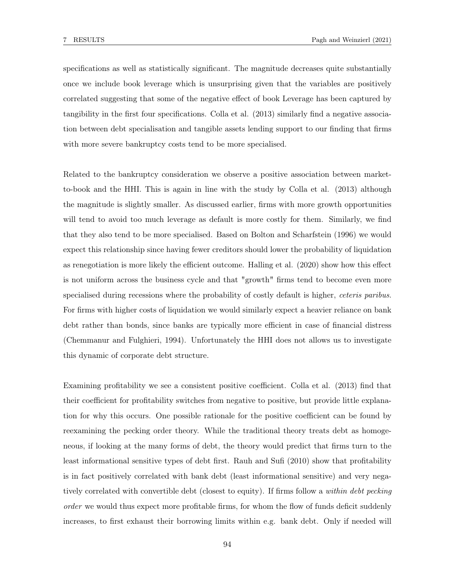specifications as well as statistically significant. The magnitude decreases quite substantially once we include book leverage which is unsurprising given that the variables are positively correlated suggesting that some of the negative effect of book Leverage has been captured by tangibility in the first four specifications. Colla et al. (2013) similarly find a negative association between debt specialisation and tangible assets lending support to our finding that firms with more severe bankruptcy costs tend to be more specialised.

Related to the bankruptcy consideration we observe a positive association between marketto-book and the HHI. This is again in line with the study by Colla et al. (2013) although the magnitude is slightly smaller. As discussed earlier, firms with more growth opportunities will tend to avoid too much leverage as default is more costly for them. Similarly, we find that they also tend to be more specialised. Based on Bolton and Scharfstein (1996) we would expect this relationship since having fewer creditors should lower the probability of liquidation as renegotiation is more likely the efficient outcome. Halling et al. (2020) show how this effect is not uniform across the business cycle and that "growth" firms tend to become even more specialised during recessions where the probability of costly default is higher, *ceteris paribus*. For firms with higher costs of liquidation we would similarly expect a heavier reliance on bank debt rather than bonds, since banks are typically more efficient in case of financial distress (Chemmanur and Fulghieri, 1994). Unfortunately the HHI does not allows us to investigate this dynamic of corporate debt structure.

Examining profitability we see a consistent positive coefficient. Colla et al. (2013) find that their coefficient for profitability switches from negative to positive, but provide little explanation for why this occurs. One possible rationale for the positive coefficient can be found by reexamining the pecking order theory. While the traditional theory treats debt as homogeneous, if looking at the many forms of debt, the theory would predict that firms turn to the least informational sensitive types of debt first. Rauh and Sufi (2010) show that profitability is in fact positively correlated with bank debt (least informational sensitive) and very negatively correlated with convertible debt (closest to equity). If firms follow a within debt pecking order we would thus expect more profitable firms, for whom the flow of funds deficit suddenly increases, to first exhaust their borrowing limits within e.g. bank debt. Only if needed will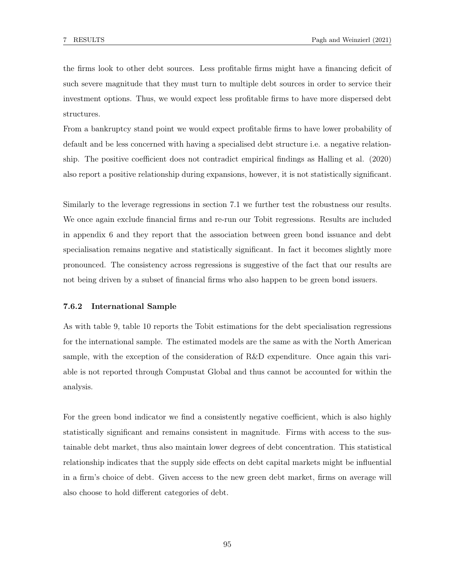the firms look to other debt sources. Less profitable firms might have a financing deficit of such severe magnitude that they must turn to multiple debt sources in order to service their investment options. Thus, we would expect less profitable firms to have more dispersed debt structures.

From a bankruptcy stand point we would expect profitable firms to have lower probability of default and be less concerned with having a specialised debt structure i.e. a negative relationship. The positive coefficient does not contradict empirical findings as Halling et al. (2020) also report a positive relationship during expansions, however, it is not statistically significant.

Similarly to the leverage regressions in section 7.1 we further test the robustness our results. We once again exclude financial firms and re-run our Tobit regressions. Results are included in appendix 6 and they report that the association between green bond issuance and debt specialisation remains negative and statistically significant. In fact it becomes slightly more pronounced. The consistency across regressions is suggestive of the fact that our results are not being driven by a subset of financial firms who also happen to be green bond issuers.

### 7.6.2 International Sample

As with table 9, table 10 reports the Tobit estimations for the debt specialisation regressions for the international sample. The estimated models are the same as with the North American sample, with the exception of the consideration of R&D expenditure. Once again this variable is not reported through Compustat Global and thus cannot be accounted for within the analysis.

For the green bond indicator we find a consistently negative coefficient, which is also highly statistically significant and remains consistent in magnitude. Firms with access to the sustainable debt market, thus also maintain lower degrees of debt concentration. This statistical relationship indicates that the supply side effects on debt capital markets might be influential in a firm's choice of debt. Given access to the new green debt market, firms on average will also choose to hold different categories of debt.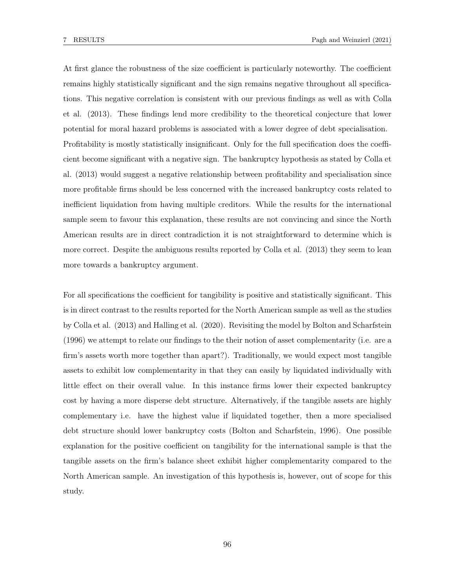At first glance the robustness of the size coefficient is particularly noteworthy. The coefficient remains highly statistically significant and the sign remains negative throughout all specifications. This negative correlation is consistent with our previous findings as well as with Colla et al. (2013). These findings lend more credibility to the theoretical conjecture that lower potential for moral hazard problems is associated with a lower degree of debt specialisation. Profitability is mostly statistically insignificant. Only for the full specification does the coefficient become significant with a negative sign. The bankruptcy hypothesis as stated by Colla et al. (2013) would suggest a negative relationship between profitability and specialisation since more profitable firms should be less concerned with the increased bankruptcy costs related to inefficient liquidation from having multiple creditors. While the results for the international sample seem to favour this explanation, these results are not convincing and since the North American results are in direct contradiction it is not straightforward to determine which is more correct. Despite the ambiguous results reported by Colla et al. (2013) they seem to lean more towards a bankruptcy argument.

For all specifications the coefficient for tangibility is positive and statistically significant. This is in direct contrast to the results reported for the North American sample as well as the studies by Colla et al. (2013) and Halling et al. (2020). Revisiting the model by Bolton and Scharfstein (1996) we attempt to relate our findings to the their notion of asset complementarity (i.e. are a firm's assets worth more together than apart?). Traditionally, we would expect most tangible assets to exhibit low complementarity in that they can easily by liquidated individually with little effect on their overall value. In this instance firms lower their expected bankruptcy cost by having a more disperse debt structure. Alternatively, if the tangible assets are highly complementary i.e. have the highest value if liquidated together, then a more specialised debt structure should lower bankruptcy costs (Bolton and Scharfstein, 1996). One possible explanation for the positive coefficient on tangibility for the international sample is that the tangible assets on the firm's balance sheet exhibit higher complementarity compared to the North American sample. An investigation of this hypothesis is, however, out of scope for this study.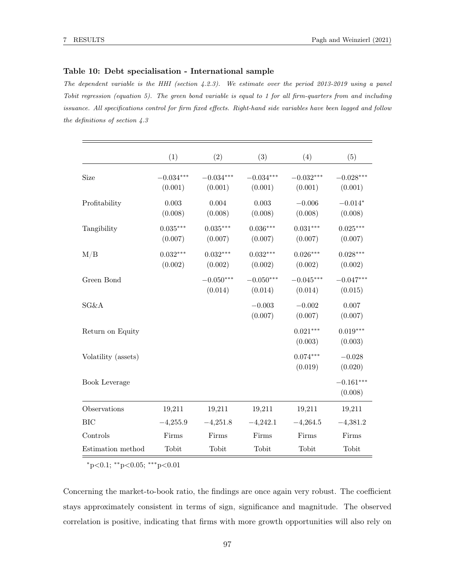#### Table 10: Debt specialisation - International sample

The dependent variable is the HHI (section 4.2.3). We estimate over the period 2013-2019 using a panel Tobit regression (equation 5). The green bond variable is equal to 1 for all firm-quarters from and including issuance. All specifications control for firm fixed effects. Right-hand side variables have been lagged and follow the definitions of section 4.3

|                     | (1)                    | (2)                    | (3)                    | (4)                    | (5)                    |
|---------------------|------------------------|------------------------|------------------------|------------------------|------------------------|
| Size                | $-0.034***$<br>(0.001) | $-0.034***$<br>(0.001) | $-0.034***$<br>(0.001) | $-0.032***$<br>(0.001) | $-0.028***$<br>(0.001) |
| Profitability       | 0.003<br>(0.008)       | 0.004<br>(0.008)       | 0.003<br>(0.008)       | $-0.006$<br>(0.008)    | $-0.014*$<br>(0.008)   |
| Tangibility         | $0.035***$<br>(0.007)  | $0.035***$<br>(0.007)  | $0.036***$<br>(0.007)  | $0.031***$<br>(0.007)  | $0.025***$<br>(0.007)  |
| M/B                 | $0.032***$<br>(0.002)  | $0.032***$<br>(0.002)  | $0.032***$<br>(0.002)  | $0.026***$<br>(0.002)  | $0.028***$<br>(0.002)  |
| Green Bond          |                        | $-0.050***$<br>(0.014) | $-0.050***$<br>(0.014) | $-0.045***$<br>(0.014) | $-0.047***$<br>(0.015) |
| SG&A                |                        |                        | $-0.003$<br>(0.007)    | $-0.002$<br>(0.007)    | 0.007<br>(0.007)       |
| Return on Equity    |                        |                        |                        | $0.021***$<br>(0.003)  | $0.019***$<br>(0.003)  |
| Volatility (assets) |                        |                        |                        | $0.074***$<br>(0.019)  | $-0.028$<br>(0.020)    |
| Book Leverage       |                        |                        |                        |                        | $-0.161***$<br>(0.008) |
| Observations        | 19,211                 | 19,211                 | 19,211                 | 19,211                 | 19,211                 |
| <b>BIC</b>          | $-4,255.9$             | $-4,251.8$             | $-4,242.1$             | $-4,264.5$             | $-4,381.2$             |
| Controls            | Firms                  | Firms                  | Firms                  | Firms                  | Firms                  |
| Estimation method   | Tobit                  | Tobit                  | Tobit                  | Tobit                  | Tobit                  |

<sup>∗</sup>p<0.1; ∗∗p<0.05; ∗∗∗p<0.01

Concerning the market-to-book ratio, the findings are once again very robust. The coefficient stays approximately consistent in terms of sign, significance and magnitude. The observed correlation is positive, indicating that firms with more growth opportunities will also rely on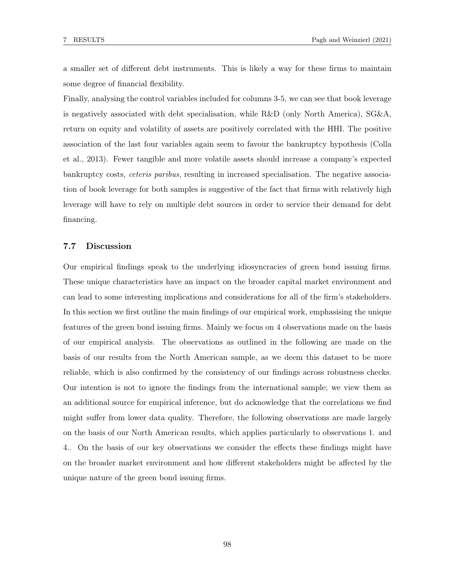a smaller set of different debt instruments. This is likely a way for these firms to maintain some degree of financial flexibility.

Finally, analysing the control variables included for columns 3-5, we can see that book leverage is negatively associated with debt specialisation, while R&D (only North America), SG&A, return on equity and volatility of assets are positively correlated with the HHI. The positive association of the last four variables again seem to favour the bankruptcy hypothesis (Colla et al., 2013). Fewer tangible and more volatile assets should increase a company's expected bankruptcy costs, *ceteris paribus*, resulting in increased specialisation. The negative association of book leverage for both samples is suggestive of the fact that firms with relatively high leverage will have to rely on multiple debt sources in order to service their demand for debt financing.

## 7.7 Discussion

Our empirical findings speak to the underlying idiosyncracies of green bond issuing firms. These unique characteristics have an impact on the broader capital market environment and can lead to some interesting implications and considerations for all of the firm's stakeholders. In this section we first outline the main findings of our empirical work, emphasising the unique features of the green bond issuing firms. Mainly we focus on 4 observations made on the basis of our empirical analysis. The observations as outlined in the following are made on the basis of our results from the North American sample, as we deem this dataset to be more reliable, which is also confirmed by the consistency of our findings across robustness checks. Our intention is not to ignore the findings from the international sample; we view them as an additional source for empirical inference, but do acknowledge that the correlations we find might suffer from lower data quality. Therefore, the following observations are made largely on the basis of our North American results, which applies particularly to observations 1. and 4.. On the basis of our key observations we consider the effects these findings might have on the broader market environment and how different stakeholders might be affected by the unique nature of the green bond issuing firms.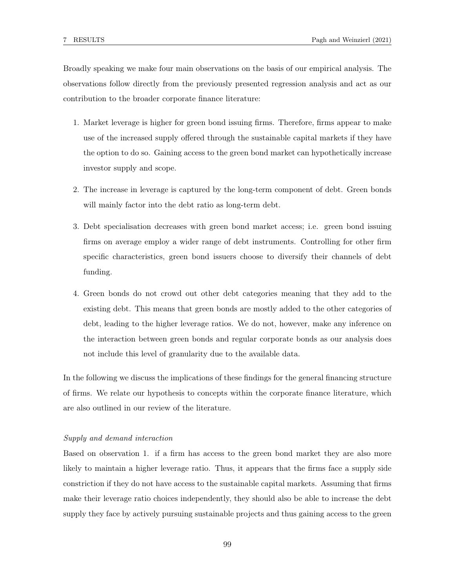Broadly speaking we make four main observations on the basis of our empirical analysis. The observations follow directly from the previously presented regression analysis and act as our contribution to the broader corporate finance literature:

- 1. Market leverage is higher for green bond issuing firms. Therefore, firms appear to make use of the increased supply offered through the sustainable capital markets if they have the option to do so. Gaining access to the green bond market can hypothetically increase investor supply and scope.
- 2. The increase in leverage is captured by the long-term component of debt. Green bonds will mainly factor into the debt ratio as long-term debt.
- 3. Debt specialisation decreases with green bond market access; i.e. green bond issuing firms on average employ a wider range of debt instruments. Controlling for other firm specific characteristics, green bond issuers choose to diversify their channels of debt funding.
- 4. Green bonds do not crowd out other debt categories meaning that they add to the existing debt. This means that green bonds are mostly added to the other categories of debt, leading to the higher leverage ratios. We do not, however, make any inference on the interaction between green bonds and regular corporate bonds as our analysis does not include this level of granularity due to the available data.

In the following we discuss the implications of these findings for the general financing structure of firms. We relate our hypothesis to concepts within the corporate finance literature, which are also outlined in our review of the literature.

#### Supply and demand interaction

Based on observation 1. if a firm has access to the green bond market they are also more likely to maintain a higher leverage ratio. Thus, it appears that the firms face a supply side constriction if they do not have access to the sustainable capital markets. Assuming that firms make their leverage ratio choices independently, they should also be able to increase the debt supply they face by actively pursuing sustainable projects and thus gaining access to the green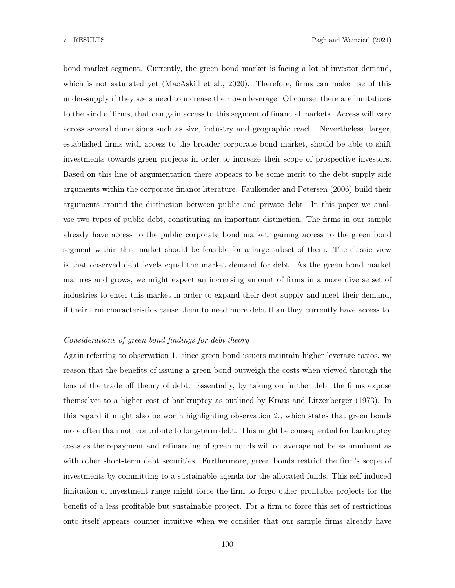bond market segment. Currently, the green bond market is facing a lot of investor demand, which is not saturated yet (MacAskill et al., 2020). Therefore, firms can make use of this under-supply if they see a need to increase their own leverage. Of course, there are limitations to the kind of firms, that can gain access to this segment of financial markets. Access will vary across several dimensions such as size, industry and geographic reach. Nevertheless, larger, established firms with access to the broader corporate bond market, should be able to shift investments towards green projects in order to increase their scope of prospective investors. Based on this line of argumentation there appears to be some merit to the debt supply side arguments within the corporate finance literature. Faulkender and Petersen (2006) build their arguments around the distinction between public and private debt. In this paper we analyse two types of public debt, constituting an important distinction. The firms in our sample already have access to the public corporate bond market, gaining access to the green bond segment within this market should be feasible for a large subset of them. The classic view is that observed debt levels equal the market demand for debt. As the green bond market matures and grows, we might expect an increasing amount of firms in a more diverse set of industries to enter this market in order to expand their debt supply and meet their demand, if their firm characteristics cause them to need more debt than they currently have access to.

## Considerations of green bond findings for debt theory

Again referring to observation 1. since green bond issuers maintain higher leverage ratios, we reason that the benefits of issuing a green bond outweigh the costs when viewed through the lens of the trade off theory of debt. Essentially, by taking on further debt the firms expose themselves to a higher cost of bankruptcy as outlined by Kraus and Litzenberger (1973). In this regard it might also be worth highlighting observation 2., which states that green bonds more often than not, contribute to long-term debt. This might be consequential for bankruptcy costs as the repayment and refinancing of green bonds will on average not be as imminent as with other short-term debt securities. Furthermore, green bonds restrict the firm's scope of investments by committing to a sustainable agenda for the allocated funds. This self induced limitation of investment range might force the firm to forgo other profitable projects for the benefit of a less profitable but sustainable project. For a firm to force this set of restrictions onto itself appears counter intuitive when we consider that our sample firms already have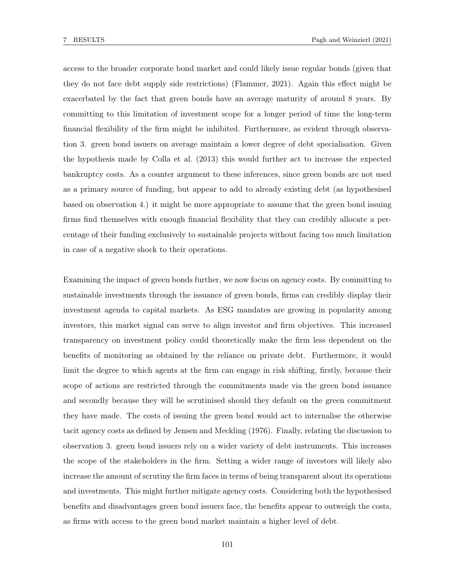access to the broader corporate bond market and could likely issue regular bonds (given that they do not face debt supply side restrictions) (Flammer, 2021). Again this effect might be exacerbated by the fact that green bonds have an average maturity of around 8 years. By committing to this limitation of investment scope for a longer period of time the long-term financial flexibility of the firm might be inhibited. Furthermore, as evident through observation 3. green bond issuers on average maintain a lower degree of debt specialisation. Given the hypothesis made by Colla et al. (2013) this would further act to increase the expected bankruptcy costs. As a counter argument to these inferences, since green bonds are not used as a primary source of funding, but appear to add to already existing debt (as hypothesised based on observation 4.) it might be more appropriate to assume that the green bond issuing firms find themselves with enough financial flexibility that they can credibly allocate a percentage of their funding exclusively to sustainable projects without facing too much limitation in case of a negative shock to their operations.

Examining the impact of green bonds further, we now focus on agency costs. By committing to sustainable investments through the issuance of green bonds, firms can credibly display their investment agenda to capital markets. As ESG mandates are growing in popularity among investors, this market signal can serve to align investor and firm objectives. This increased transparency on investment policy could theoretically make the firm less dependent on the benefits of monitoring as obtained by the reliance on private debt. Furthermore, it would limit the degree to which agents at the firm can engage in risk shifting, firstly, because their scope of actions are restricted through the commitments made via the green bond issuance and secondly because they will be scrutinised should they default on the green commitment they have made. The costs of issuing the green bond would act to internalise the otherwise tacit agency costs as defined by Jensen and Meckling (1976). Finally, relating the discussion to observation 3. green bond issuers rely on a wider variety of debt instruments. This increases the scope of the stakeholders in the firm. Setting a wider range of investors will likely also increase the amount of scrutiny the firm faces in terms of being transparent about its operations and investments. This might further mitigate agency costs. Considering both the hypothesised benefits and disadvantages green bond issuers face, the benefits appear to outweigh the costs, as firms with access to the green bond market maintain a higher level of debt.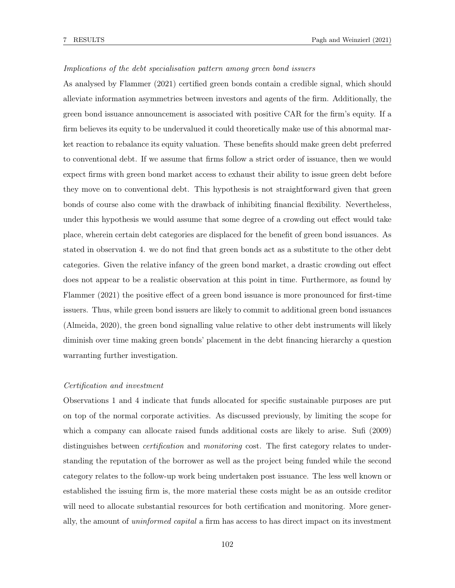#### Implications of the debt specialisation pattern among green bond issuers

As analysed by Flammer (2021) certified green bonds contain a credible signal, which should alleviate information asymmetries between investors and agents of the firm. Additionally, the green bond issuance announcement is associated with positive CAR for the firm's equity. If a firm believes its equity to be undervalued it could theoretically make use of this abnormal market reaction to rebalance its equity valuation. These benefits should make green debt preferred to conventional debt. If we assume that firms follow a strict order of issuance, then we would expect firms with green bond market access to exhaust their ability to issue green debt before they move on to conventional debt. This hypothesis is not straightforward given that green bonds of course also come with the drawback of inhibiting financial flexibility. Nevertheless, under this hypothesis we would assume that some degree of a crowding out effect would take place, wherein certain debt categories are displaced for the benefit of green bond issuances. As stated in observation 4. we do not find that green bonds act as a substitute to the other debt categories. Given the relative infancy of the green bond market, a drastic crowding out effect does not appear to be a realistic observation at this point in time. Furthermore, as found by Flammer (2021) the positive effect of a green bond issuance is more pronounced for first-time issuers. Thus, while green bond issuers are likely to commit to additional green bond issuances (Almeida, 2020), the green bond signalling value relative to other debt instruments will likely diminish over time making green bonds' placement in the debt financing hierarchy a question warranting further investigation.

#### Certification and investment

Observations 1 and 4 indicate that funds allocated for specific sustainable purposes are put on top of the normal corporate activities. As discussed previously, by limiting the scope for which a company can allocate raised funds additional costs are likely to arise. Sufi (2009) distinguishes between *certification* and *monitoring* cost. The first category relates to understanding the reputation of the borrower as well as the project being funded while the second category relates to the follow-up work being undertaken post issuance. The less well known or established the issuing firm is, the more material these costs might be as an outside creditor will need to allocate substantial resources for both certification and monitoring. More generally, the amount of uninformed capital a firm has access to has direct impact on its investment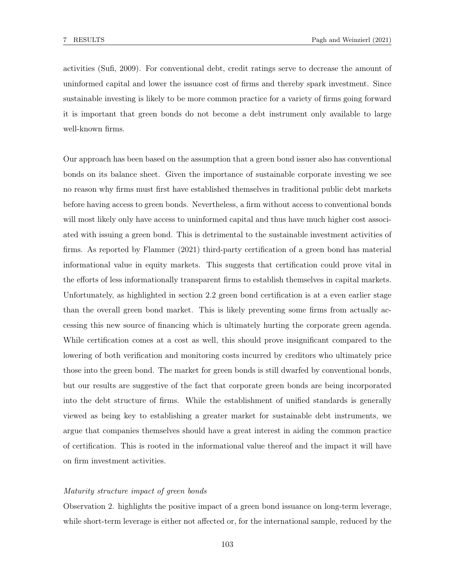activities (Sufi, 2009). For conventional debt, credit ratings serve to decrease the amount of uninformed capital and lower the issuance cost of firms and thereby spark investment. Since sustainable investing is likely to be more common practice for a variety of firms going forward it is important that green bonds do not become a debt instrument only available to large well-known firms.

Our approach has been based on the assumption that a green bond issuer also has conventional bonds on its balance sheet. Given the importance of sustainable corporate investing we see no reason why firms must first have established themselves in traditional public debt markets before having access to green bonds. Nevertheless, a firm without access to conventional bonds will most likely only have access to uninformed capital and thus have much higher cost associated with issuing a green bond. This is detrimental to the sustainable investment activities of firms. As reported by Flammer (2021) third-party certification of a green bond has material informational value in equity markets. This suggests that certification could prove vital in the efforts of less informationally transparent firms to establish themselves in capital markets. Unfortunately, as highlighted in section 2.2 green bond certification is at a even earlier stage than the overall green bond market. This is likely preventing some firms from actually accessing this new source of financing which is ultimately hurting the corporate green agenda. While certification comes at a cost as well, this should prove insignificant compared to the lowering of both verification and monitoring costs incurred by creditors who ultimately price those into the green bond. The market for green bonds is still dwarfed by conventional bonds, but our results are suggestive of the fact that corporate green bonds are being incorporated into the debt structure of firms. While the establishment of unified standards is generally viewed as being key to establishing a greater market for sustainable debt instruments, we argue that companies themselves should have a great interest in aiding the common practice of certification. This is rooted in the informational value thereof and the impact it will have on firm investment activities.

#### Maturity structure impact of green bonds

Observation 2. highlights the positive impact of a green bond issuance on long-term leverage, while short-term leverage is either not affected or, for the international sample, reduced by the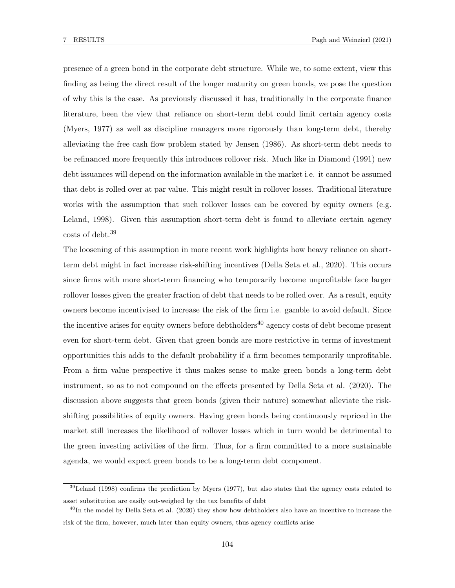presence of a green bond in the corporate debt structure. While we, to some extent, view this finding as being the direct result of the longer maturity on green bonds, we pose the question of why this is the case. As previously discussed it has, traditionally in the corporate finance literature, been the view that reliance on short-term debt could limit certain agency costs (Myers, 1977) as well as discipline managers more rigorously than long-term debt, thereby alleviating the free cash flow problem stated by Jensen (1986). As short-term debt needs to be refinanced more frequently this introduces rollover risk. Much like in Diamond (1991) new debt issuances will depend on the information available in the market i.e. it cannot be assumed that debt is rolled over at par value. This might result in rollover losses. Traditional literature works with the assumption that such rollover losses can be covered by equity owners (e.g. Leland, 1998). Given this assumption short-term debt is found to alleviate certain agency costs of debt.<sup>39</sup>

The loosening of this assumption in more recent work highlights how heavy reliance on shortterm debt might in fact increase risk-shifting incentives (Della Seta et al., 2020). This occurs since firms with more short-term financing who temporarily become unprofitable face larger rollover losses given the greater fraction of debt that needs to be rolled over. As a result, equity owners become incentivised to increase the risk of the firm i.e. gamble to avoid default. Since the incentive arises for equity owners before debtholders<sup>40</sup> agency costs of debt become present even for short-term debt. Given that green bonds are more restrictive in terms of investment opportunities this adds to the default probability if a firm becomes temporarily unprofitable. From a firm value perspective it thus makes sense to make green bonds a long-term debt instrument, so as to not compound on the effects presented by Della Seta et al. (2020). The discussion above suggests that green bonds (given their nature) somewhat alleviate the riskshifting possibilities of equity owners. Having green bonds being continuously repriced in the market still increases the likelihood of rollover losses which in turn would be detrimental to the green investing activities of the firm. Thus, for a firm committed to a more sustainable agenda, we would expect green bonds to be a long-term debt component.

 $39$ Leland (1998) confirms the prediction by Myers (1977), but also states that the agency costs related to asset substitution are easily out-weighed by the tax benefits of debt

 $^{40}$ In the model by Della Seta et al. (2020) they show how debtholders also have an incentive to increase the risk of the firm, however, much later than equity owners, thus agency conflicts arise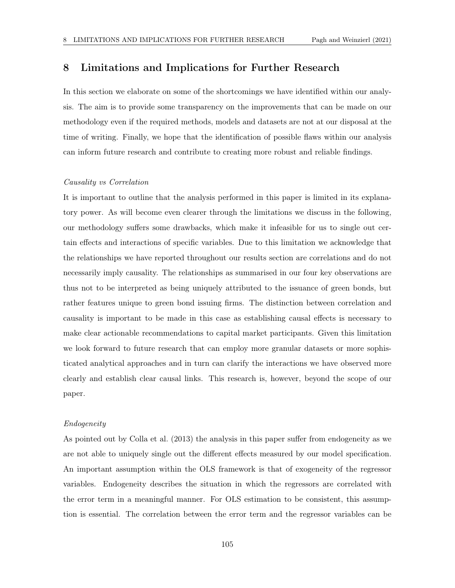# 8 Limitations and Implications for Further Research

In this section we elaborate on some of the shortcomings we have identified within our analysis. The aim is to provide some transparency on the improvements that can be made on our methodology even if the required methods, models and datasets are not at our disposal at the time of writing. Finally, we hope that the identification of possible flaws within our analysis can inform future research and contribute to creating more robust and reliable findings.

#### Causality vs Correlation

It is important to outline that the analysis performed in this paper is limited in its explanatory power. As will become even clearer through the limitations we discuss in the following, our methodology suffers some drawbacks, which make it infeasible for us to single out certain effects and interactions of specific variables. Due to this limitation we acknowledge that the relationships we have reported throughout our results section are correlations and do not necessarily imply causality. The relationships as summarised in our four key observations are thus not to be interpreted as being uniquely attributed to the issuance of green bonds, but rather features unique to green bond issuing firms. The distinction between correlation and causality is important to be made in this case as establishing causal effects is necessary to make clear actionable recommendations to capital market participants. Given this limitation we look forward to future research that can employ more granular datasets or more sophisticated analytical approaches and in turn can clarify the interactions we have observed more clearly and establish clear causal links. This research is, however, beyond the scope of our paper.

#### Endogeneity

As pointed out by Colla et al. (2013) the analysis in this paper suffer from endogeneity as we are not able to uniquely single out the different effects measured by our model specification. An important assumption within the OLS framework is that of exogeneity of the regressor variables. Endogeneity describes the situation in which the regressors are correlated with the error term in a meaningful manner. For OLS estimation to be consistent, this assumption is essential. The correlation between the error term and the regressor variables can be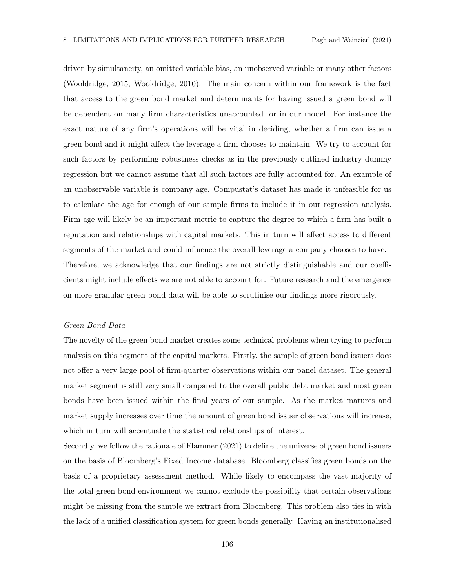driven by simultaneity, an omitted variable bias, an unobserved variable or many other factors (Wooldridge, 2015; Wooldridge, 2010). The main concern within our framework is the fact that access to the green bond market and determinants for having issued a green bond will be dependent on many firm characteristics unaccounted for in our model. For instance the exact nature of any firm's operations will be vital in deciding, whether a firm can issue a green bond and it might affect the leverage a firm chooses to maintain. We try to account for such factors by performing robustness checks as in the previously outlined industry dummy regression but we cannot assume that all such factors are fully accounted for. An example of an unobservable variable is company age. Compustat's dataset has made it unfeasible for us to calculate the age for enough of our sample firms to include it in our regression analysis. Firm age will likely be an important metric to capture the degree to which a firm has built a reputation and relationships with capital markets. This in turn will affect access to different segments of the market and could influence the overall leverage a company chooses to have. Therefore, we acknowledge that our findings are not strictly distinguishable and our coefficients might include effects we are not able to account for. Future research and the emergence on more granular green bond data will be able to scrutinise our findings more rigorously.

#### Green Bond Data

The novelty of the green bond market creates some technical problems when trying to perform analysis on this segment of the capital markets. Firstly, the sample of green bond issuers does not offer a very large pool of firm-quarter observations within our panel dataset. The general market segment is still very small compared to the overall public debt market and most green bonds have been issued within the final years of our sample. As the market matures and market supply increases over time the amount of green bond issuer observations will increase, which in turn will accentuate the statistical relationships of interest.

Secondly, we follow the rationale of Flammer (2021) to define the universe of green bond issuers on the basis of Bloomberg's Fixed Income database. Bloomberg classifies green bonds on the basis of a proprietary assessment method. While likely to encompass the vast majority of the total green bond environment we cannot exclude the possibility that certain observations might be missing from the sample we extract from Bloomberg. This problem also ties in with the lack of a unified classification system for green bonds generally. Having an institutionalised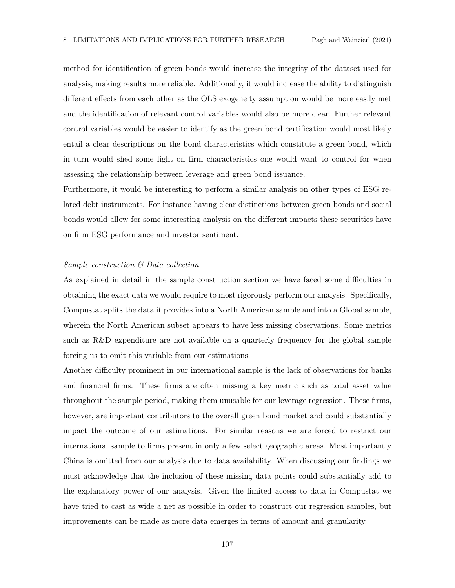method for identification of green bonds would increase the integrity of the dataset used for analysis, making results more reliable. Additionally, it would increase the ability to distinguish different effects from each other as the OLS exogeneity assumption would be more easily met and the identification of relevant control variables would also be more clear. Further relevant control variables would be easier to identify as the green bond certification would most likely entail a clear descriptions on the bond characteristics which constitute a green bond, which in turn would shed some light on firm characteristics one would want to control for when assessing the relationship between leverage and green bond issuance.

Furthermore, it would be interesting to perform a similar analysis on other types of ESG related debt instruments. For instance having clear distinctions between green bonds and social bonds would allow for some interesting analysis on the different impacts these securities have on firm ESG performance and investor sentiment.

### Sample construction & Data collection

As explained in detail in the sample construction section we have faced some difficulties in obtaining the exact data we would require to most rigorously perform our analysis. Specifically, Compustat splits the data it provides into a North American sample and into a Global sample, wherein the North American subset appears to have less missing observations. Some metrics such as R&D expenditure are not available on a quarterly frequency for the global sample forcing us to omit this variable from our estimations.

Another difficulty prominent in our international sample is the lack of observations for banks and financial firms. These firms are often missing a key metric such as total asset value throughout the sample period, making them unusable for our leverage regression. These firms, however, are important contributors to the overall green bond market and could substantially impact the outcome of our estimations. For similar reasons we are forced to restrict our international sample to firms present in only a few select geographic areas. Most importantly China is omitted from our analysis due to data availability. When discussing our findings we must acknowledge that the inclusion of these missing data points could substantially add to the explanatory power of our analysis. Given the limited access to data in Compustat we have tried to cast as wide a net as possible in order to construct our regression samples, but improvements can be made as more data emerges in terms of amount and granularity.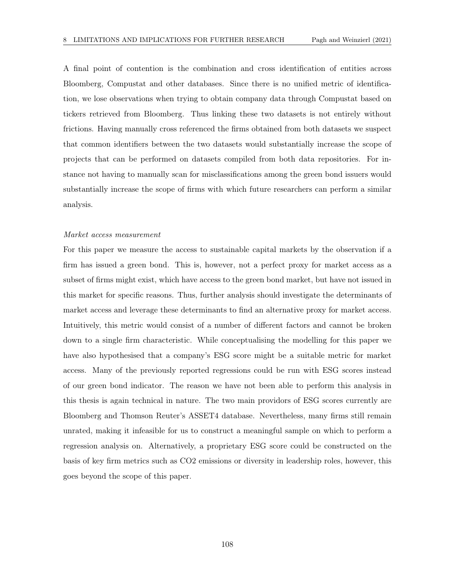A final point of contention is the combination and cross identification of entities across Bloomberg, Compustat and other databases. Since there is no unified metric of identification, we lose observations when trying to obtain company data through Compustat based on tickers retrieved from Bloomberg. Thus linking these two datasets is not entirely without frictions. Having manually cross referenced the firms obtained from both datasets we suspect that common identifiers between the two datasets would substantially increase the scope of projects that can be performed on datasets compiled from both data repositories. For instance not having to manually scan for misclassifications among the green bond issuers would substantially increase the scope of firms with which future researchers can perform a similar analysis.

#### Market access measurement

For this paper we measure the access to sustainable capital markets by the observation if a firm has issued a green bond. This is, however, not a perfect proxy for market access as a subset of firms might exist, which have access to the green bond market, but have not issued in this market for specific reasons. Thus, further analysis should investigate the determinants of market access and leverage these determinants to find an alternative proxy for market access. Intuitively, this metric would consist of a number of different factors and cannot be broken down to a single firm characteristic. While conceptualising the modelling for this paper we have also hypothesised that a company's ESG score might be a suitable metric for market access. Many of the previously reported regressions could be run with ESG scores instead of our green bond indicator. The reason we have not been able to perform this analysis in this thesis is again technical in nature. The two main providors of ESG scores currently are Bloomberg and Thomson Reuter's ASSET4 database. Nevertheless, many firms still remain unrated, making it infeasible for us to construct a meaningful sample on which to perform a regression analysis on. Alternatively, a proprietary ESG score could be constructed on the basis of key firm metrics such as CO2 emissions or diversity in leadership roles, however, this goes beyond the scope of this paper.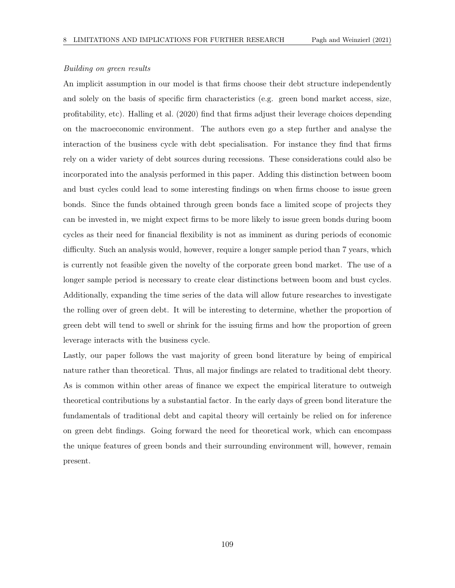## Building on green results

An implicit assumption in our model is that firms choose their debt structure independently and solely on the basis of specific firm characteristics (e.g. green bond market access, size, profitability, etc). Halling et al. (2020) find that firms adjust their leverage choices depending on the macroeconomic environment. The authors even go a step further and analyse the interaction of the business cycle with debt specialisation. For instance they find that firms rely on a wider variety of debt sources during recessions. These considerations could also be incorporated into the analysis performed in this paper. Adding this distinction between boom and bust cycles could lead to some interesting findings on when firms choose to issue green bonds. Since the funds obtained through green bonds face a limited scope of projects they can be invested in, we might expect firms to be more likely to issue green bonds during boom cycles as their need for financial flexibility is not as imminent as during periods of economic difficulty. Such an analysis would, however, require a longer sample period than 7 years, which is currently not feasible given the novelty of the corporate green bond market. The use of a longer sample period is necessary to create clear distinctions between boom and bust cycles. Additionally, expanding the time series of the data will allow future researches to investigate the rolling over of green debt. It will be interesting to determine, whether the proportion of green debt will tend to swell or shrink for the issuing firms and how the proportion of green leverage interacts with the business cycle.

Lastly, our paper follows the vast majority of green bond literature by being of empirical nature rather than theoretical. Thus, all major findings are related to traditional debt theory. As is common within other areas of finance we expect the empirical literature to outweigh theoretical contributions by a substantial factor. In the early days of green bond literature the fundamentals of traditional debt and capital theory will certainly be relied on for inference on green debt findings. Going forward the need for theoretical work, which can encompass the unique features of green bonds and their surrounding environment will, however, remain present.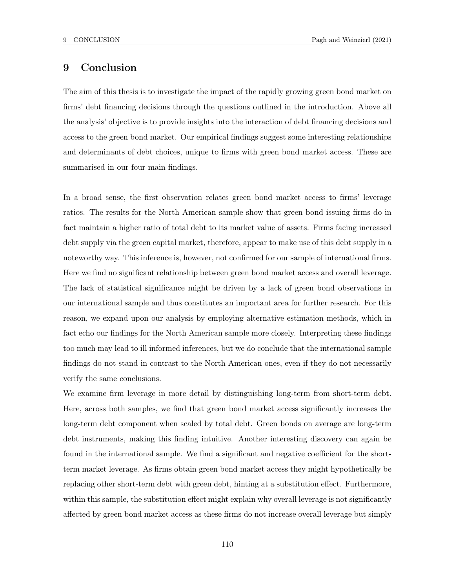# 9 Conclusion

The aim of this thesis is to investigate the impact of the rapidly growing green bond market on firms' debt financing decisions through the questions outlined in the introduction. Above all the analysis' objective is to provide insights into the interaction of debt financing decisions and access to the green bond market. Our empirical findings suggest some interesting relationships and determinants of debt choices, unique to firms with green bond market access. These are summarised in our four main findings.

In a broad sense, the first observation relates green bond market access to firms' leverage ratios. The results for the North American sample show that green bond issuing firms do in fact maintain a higher ratio of total debt to its market value of assets. Firms facing increased debt supply via the green capital market, therefore, appear to make use of this debt supply in a noteworthy way. This inference is, however, not confirmed for our sample of international firms. Here we find no significant relationship between green bond market access and overall leverage. The lack of statistical significance might be driven by a lack of green bond observations in our international sample and thus constitutes an important area for further research. For this reason, we expand upon our analysis by employing alternative estimation methods, which in fact echo our findings for the North American sample more closely. Interpreting these findings too much may lead to ill informed inferences, but we do conclude that the international sample findings do not stand in contrast to the North American ones, even if they do not necessarily verify the same conclusions.

We examine firm leverage in more detail by distinguishing long-term from short-term debt. Here, across both samples, we find that green bond market access significantly increases the long-term debt component when scaled by total debt. Green bonds on average are long-term debt instruments, making this finding intuitive. Another interesting discovery can again be found in the international sample. We find a significant and negative coefficient for the shortterm market leverage. As firms obtain green bond market access they might hypothetically be replacing other short-term debt with green debt, hinting at a substitution effect. Furthermore, within this sample, the substitution effect might explain why overall leverage is not significantly affected by green bond market access as these firms do not increase overall leverage but simply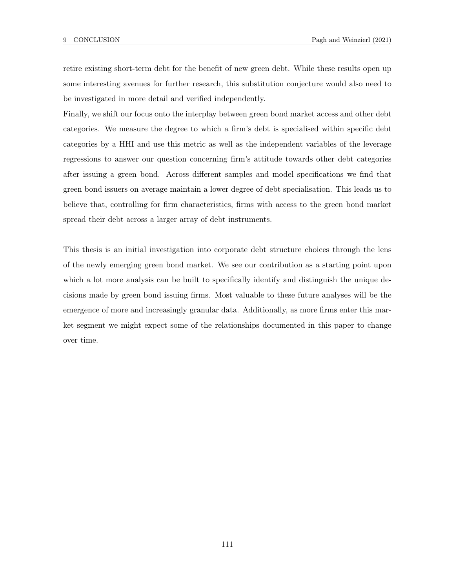retire existing short-term debt for the benefit of new green debt. While these results open up some interesting avenues for further research, this substitution conjecture would also need to be investigated in more detail and verified independently.

Finally, we shift our focus onto the interplay between green bond market access and other debt categories. We measure the degree to which a firm's debt is specialised within specific debt categories by a HHI and use this metric as well as the independent variables of the leverage regressions to answer our question concerning firm's attitude towards other debt categories after issuing a green bond. Across different samples and model specifications we find that green bond issuers on average maintain a lower degree of debt specialisation. This leads us to believe that, controlling for firm characteristics, firms with access to the green bond market spread their debt across a larger array of debt instruments.

This thesis is an initial investigation into corporate debt structure choices through the lens of the newly emerging green bond market. We see our contribution as a starting point upon which a lot more analysis can be built to specifically identify and distinguish the unique decisions made by green bond issuing firms. Most valuable to these future analyses will be the emergence of more and increasingly granular data. Additionally, as more firms enter this market segment we might expect some of the relationships documented in this paper to change over time.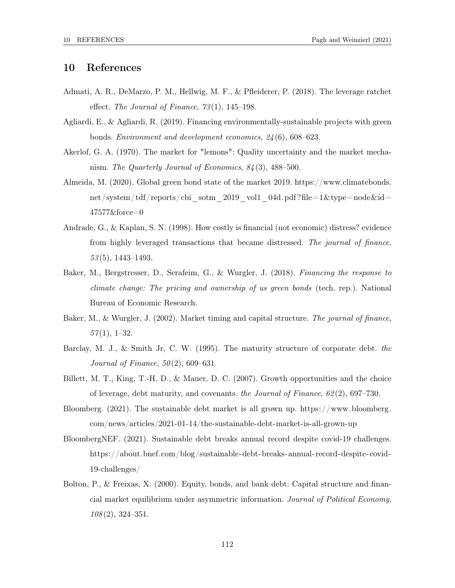## 10 References

- Admati, A. R., DeMarzo, P. M., Hellwig, M. F., & Pfleiderer, P. (2018). The leverage ratchet effect. The Journal of Finance, 73 (1), 145–198.
- Agliardi, E., & Agliardi, R. (2019). Financing environmentally-sustainable projects with green bonds. Environment and development economics, 24 (6), 608–623.
- Akerlof, G. A. (1970). The market for "lemons": Quality uncertainty and the market mechanism. The Quarterly Journal of Economics, 84 (3), 488–500.
- Almeida, M. (2020). Global green bond state of the market 2019. https://www.climatebonds. net/system/tdf/reports/cbi\_sotm\_2019\_vol1\_04d.pdf?file=1&type=node&id= 47577&force=0
- Andrade, G., & Kaplan, S. N. (1998). How costly is financial (not economic) distress? evidence from highly leveraged transactions that became distressed. The journal of finance, 53 (5), 1443–1493.
- Baker, M., Bergstresser, D., Serafeim, G., & Wurgler, J. (2018). Financing the response to climate change: The pricing and ownership of us green bonds (tech. rep.). National Bureau of Economic Research.
- Baker, M., & Wurgler, J. (2002). Market timing and capital structure. The journal of finance,  $57(1), 1-32.$
- Barclay, M. J., & Smith Jr, C. W. (1995). The maturity structure of corporate debt. the Journal of Finance,  $50(2)$ , 609-631.
- Billett, M. T., King, T.-H. D., & Mauer, D. C. (2007). Growth opportunities and the choice of leverage, debt maturity, and covenants. the Journal of Finance,  $62(2)$ , 697–730.
- Bloomberg. (2021). The sustainable debt market is all grown up. https://www.bloomberg. com/news/articles/2021-01-14/the-sustainable-debt-market-is-all-grown-up
- BloombergNEF. (2021). Sustainable debt breaks annual record despite covid-19 challenges. https://about.bnef.com/blog/sustainable-debt-breaks-annual-record-despite-covid-19-challenges/
- Bolton, P., & Freixas, X. (2000). Equity, bonds, and bank debt: Capital structure and financial market equilibrium under asymmetric information. Journal of Political Economy, 108 (2), 324–351.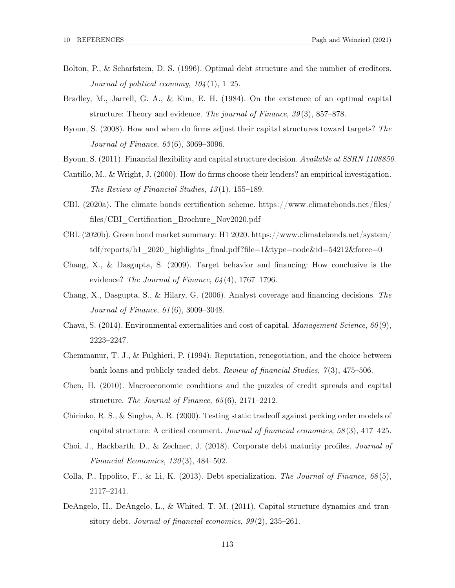- Bolton, P., & Scharfstein, D. S. (1996). Optimal debt structure and the number of creditors. Journal of political economy,  $104(1)$ , 1–25.
- Bradley, M., Jarrell, G. A., & Kim, E. H. (1984). On the existence of an optimal capital structure: Theory and evidence. The journal of Finance, 39(3), 857–878.
- Byoun, S. (2008). How and when do firms adjust their capital structures toward targets? The Journal of Finance, 63 (6), 3069–3096.
- Byoun, S. (2011). Financial flexibility and capital structure decision. Available at SSRN 1108850.
- Cantillo, M., & Wright, J. (2000). How do firms choose their lenders? an empirical investigation. The Review of Financial Studies, 13(1), 155–189.
- CBI. (2020a). The climate bonds certification scheme. https://www.climatebonds.net/files/ files/CBI\_Certification\_Brochure\_Nov2020.pdf
- CBI. (2020b). Green bond market summary: H1 2020. https://www.climatebonds.net/system/ tdf/reports/h1\_2020\_highlights\_final.pdf?file=1&type=node&id=54212&force=0
- Chang, X., & Dasgupta, S. (2009). Target behavior and financing: How conclusive is the evidence? The Journal of Finance,  $64(4)$ , 1767–1796.
- Chang, X., Dasgupta, S., & Hilary, G. (2006). Analyst coverage and financing decisions. The Journal of Finance, 61 (6), 3009–3048.
- Chava, S. (2014). Environmental externalities and cost of capital. *Management Science*,  $60(9)$ , 2223–2247.
- Chemmanur, T. J., & Fulghieri, P. (1994). Reputation, renegotiation, and the choice between bank loans and publicly traded debt. Review of financial Studies, 7 (3), 475–506.
- Chen, H. (2010). Macroeconomic conditions and the puzzles of credit spreads and capital structure. The Journal of Finance, 65 (6), 2171–2212.
- Chirinko, R. S., & Singha, A. R. (2000). Testing static tradeoff against pecking order models of capital structure: A critical comment. Journal of financial economics, 58 (3), 417–425.
- Choi, J., Hackbarth, D., & Zechner, J. (2018). Corporate debt maturity profiles. Journal of Financial Economics, 130 (3), 484–502.
- Colla, P., Ippolito, F., & Li, K. (2013). Debt specialization. The Journal of Finance,  $68(5)$ , 2117–2141.
- DeAngelo, H., DeAngelo, L., & Whited, T. M. (2011). Capital structure dynamics and transitory debt. Journal of financial economics,  $99(2)$ ,  $235-261$ .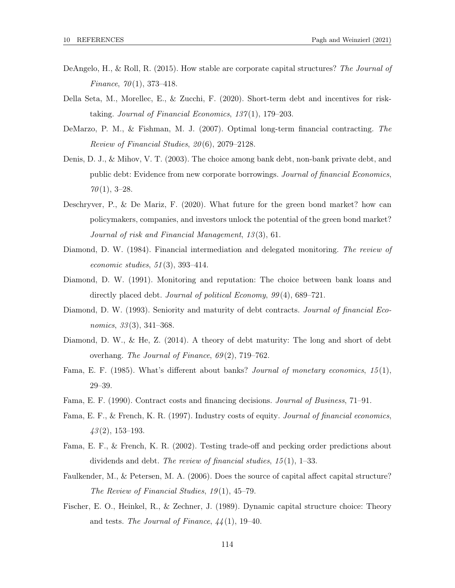- DeAngelo, H., & Roll, R. (2015). How stable are corporate capital structures? The Journal of Finance,  $70(1)$ , 373-418.
- Della Seta, M., Morellec, E., & Zucchi, F. (2020). Short-term debt and incentives for risktaking. Journal of Financial Economics,  $137(1)$ , 179–203.
- DeMarzo, P. M., & Fishman, M. J. (2007). Optimal long-term financial contracting. The Review of Financial Studies,  $20(6)$ , 2079–2128.
- Denis, D. J., & Mihov, V. T. (2003). The choice among bank debt, non-bank private debt, and public debt: Evidence from new corporate borrowings. Journal of financial Economics,  $70(1), 3-28.$
- Deschryver, P., & De Mariz, F. (2020). What future for the green bond market? how can policymakers, companies, and investors unlock the potential of the green bond market? Journal of risk and Financial Management, 13 (3), 61.
- Diamond, D. W. (1984). Financial intermediation and delegated monitoring. The review of economic studies, 51 (3), 393–414.
- Diamond, D. W. (1991). Monitoring and reputation: The choice between bank loans and directly placed debt. *Journal of political Economy*,  $99(4)$ , 689–721.
- Diamond, D. W. (1993). Seniority and maturity of debt contracts. *Journal of financial Eco*nomics,  $33(3)$ ,  $341-368$ .
- Diamond, D. W., & He, Z. (2014). A theory of debt maturity: The long and short of debt overhang. The Journal of Finance, 69 (2), 719–762.
- Fama, E. F. (1985). What's different about banks? Journal of monetary economics,  $15(1)$ , 29–39.
- Fama, E. F. (1990). Contract costs and financing decisions. Journal of Business, 71–91.
- Fama, E. F., & French, K. R. (1997). Industry costs of equity. Journal of financial economics,  $\mu$ 3(2), 153-193.
- Fama, E. F., & French, K. R. (2002). Testing trade-off and pecking order predictions about dividends and debt. The review of financial studies,  $15(1)$ ,  $1-33$ .
- Faulkender, M., & Petersen, M. A. (2006). Does the source of capital affect capital structure? The Review of Financial Studies,  $19(1)$ ,  $45-79$ .
- Fischer, E. O., Heinkel, R., & Zechner, J. (1989). Dynamic capital structure choice: Theory and tests. The Journal of Finance,  $44(1)$ , 19–40.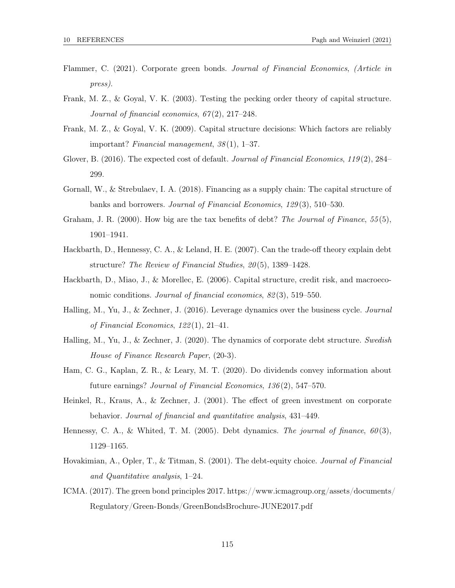- Flammer, C. (2021). Corporate green bonds. Journal of Financial Economics, (Article in press).
- Frank, M. Z., & Goyal, V. K. (2003). Testing the pecking order theory of capital structure. Journal of financial economics,  $67(2)$ ,  $217-248$ .
- Frank, M. Z., & Goyal, V. K. (2009). Capital structure decisions: Which factors are reliably important? Financial management, 38 (1), 1–37.
- Glover, B. (2016). The expected cost of default. Journal of Financial Economics, 119(2), 284– 299.
- Gornall, W., & Strebulaev, I. A. (2018). Financing as a supply chain: The capital structure of banks and borrowers. Journal of Financial Economics, 129 (3), 510–530.
- Graham, J. R. (2000). How big are the tax benefits of debt? The Journal of Finance, 55(5), 1901–1941.
- Hackbarth, D., Hennessy, C. A., & Leland, H. E. (2007). Can the trade-off theory explain debt structure? The Review of Financial Studies, 20(5), 1389–1428.
- Hackbarth, D., Miao, J., & Morellec, E. (2006). Capital structure, credit risk, and macroeconomic conditions. Journal of financial economics,  $82(3)$ , 519–550.
- Halling, M., Yu, J., & Zechner, J. (2016). Leverage dynamics over the business cycle. Journal of Financial Economics, 122 (1), 21–41.
- Halling, M., Yu, J., & Zechner, J. (2020). The dynamics of corporate debt structure. Swedish House of Finance Research Paper, (20-3).
- Ham, C. G., Kaplan, Z. R., & Leary, M. T. (2020). Do dividends convey information about future earnings? Journal of Financial Economics, 136 (2), 547–570.
- Heinkel, R., Kraus, A., & Zechner, J. (2001). The effect of green investment on corporate behavior. Journal of financial and quantitative analysis, 431–449.
- Hennessy, C. A., & Whited, T. M. (2005). Debt dynamics. The journal of finance,  $60(3)$ , 1129–1165.
- Hovakimian, A., Opler, T., & Titman, S. (2001). The debt-equity choice. Journal of Financial and Quantitative analysis, 1–24.
- ICMA. (2017). The green bond principles 2017. https://www.icmagroup.org/assets/documents/ Regulatory/Green-Bonds/GreenBondsBrochure-JUNE2017.pdf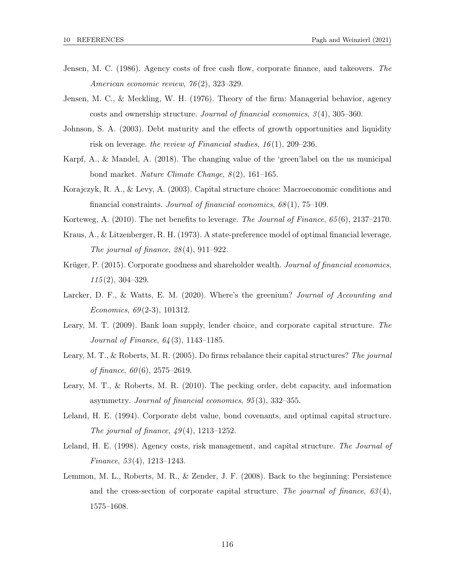- Jensen, M. C. (1986). Agency costs of free cash flow, corporate finance, and takeovers. The American economic review, 76 (2), 323–329.
- Jensen, M. C., & Meckling, W. H. (1976). Theory of the firm: Managerial behavior, agency costs and ownership structure. Journal of financial economics, 3 (4), 305–360.
- Johnson, S. A. (2003). Debt maturity and the effects of growth opportunities and liquidity risk on leverage. the review of Financial studies,  $16(1)$ , 209–236.
- Karpf, A., & Mandel, A. (2018). The changing value of the 'green'label on the us municipal bond market. Nature Climate Change,  $8(2)$ , 161–165.
- Korajczyk, R. A., & Levy, A. (2003). Capital structure choice: Macroeconomic conditions and financial constraints. Journal of financial economics, 68 (1), 75–109.
- Korteweg, A. (2010). The net benefits to leverage. The Journal of Finance, 65(6), 2137–2170.
- Kraus, A., & Litzenberger, R. H. (1973). A state-preference model of optimal financial leverage. The journal of finance,  $28(4)$ ,  $911-922$ .
- Krüger, P. (2015). Corporate goodness and shareholder wealth. Journal of financial economics,  $115(2)$ , 304-329.
- Larcker, D. F., & Watts, E. M. (2020). Where's the greenium? Journal of Accounting and Economics,  $69(2-3)$ , 101312.
- Leary, M. T. (2009). Bank loan supply, lender choice, and corporate capital structure. The Journal of Finance, 64 (3), 1143–1185.
- Leary, M. T., & Roberts, M. R. (2005). Do firms rebalance their capital structures? The journal of finance,  $60(6)$ ,  $2575-2619$ .
- Leary, M. T., & Roberts, M. R. (2010). The pecking order, debt capacity, and information asymmetry. Journal of financial economics, 95 (3), 332–355.
- Leland, H. E. (1994). Corporate debt value, bond covenants, and optimal capital structure. The journal of finance,  $49(4)$ , 1213–1252.
- Leland, H. E. (1998). Agency costs, risk management, and capital structure. The Journal of Finance, 53 (4), 1213–1243.
- Lemmon, M. L., Roberts, M. R., & Zender, J. F. (2008). Back to the beginning: Persistence and the cross-section of corporate capital structure. The journal of finance,  $63(4)$ , 1575–1608.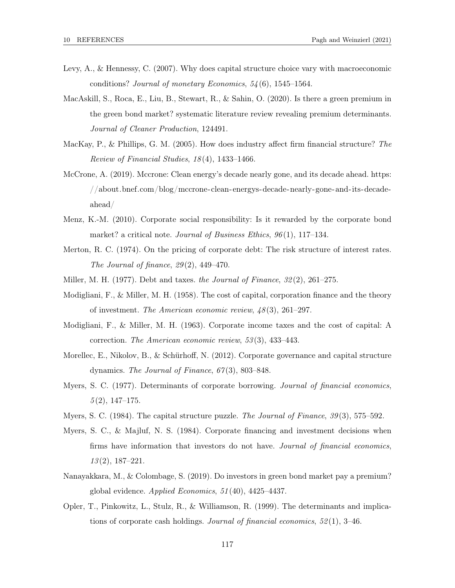- Levy, A., & Hennessy, C. (2007). Why does capital structure choice vary with macroeconomic conditions? Journal of monetary Economics, 54 (6), 1545–1564.
- MacAskill, S., Roca, E., Liu, B., Stewart, R., & Sahin, O. (2020). Is there a green premium in the green bond market? systematic literature review revealing premium determinants. Journal of Cleaner Production, 124491.
- MacKay, P., & Phillips, G. M. (2005). How does industry affect firm financial structure? The Review of Financial Studies, 18 (4), 1433–1466.
- McCrone, A. (2019). Mccrone: Clean energy's decade nearly gone, and its decade ahead. https: //about.bnef.com/blog/mccrone-clean-energys-decade-nearly-gone-and-its-decadeahead/
- Menz, K.-M. (2010). Corporate social responsibility: Is it rewarded by the corporate bond market? a critical note. Journal of Business Ethics, 96(1), 117–134.
- Merton, R. C. (1974). On the pricing of corporate debt: The risk structure of interest rates. The Journal of finance,  $29(2)$ ,  $449-470$ .
- Miller, M. H. (1977). Debt and taxes. the Journal of Finance,  $32(2)$ ,  $261-275$ .
- Modigliani, F., & Miller, M. H. (1958). The cost of capital, corporation finance and the theory of investment. The American economic review, 48 (3), 261–297.
- Modigliani, F., & Miller, M. H. (1963). Corporate income taxes and the cost of capital: A correction. The American economic review, 53 (3), 433–443.
- Morellec, E., Nikolov, B., & Schürhoff, N. (2012). Corporate governance and capital structure dynamics. The Journal of Finance,  $67(3)$ , 803–848.
- Myers, S. C. (1977). Determinants of corporate borrowing. Journal of financial economics,  $5(2), 147-175.$
- Myers, S. C. (1984). The capital structure puzzle. The Journal of Finance, 39(3), 575–592.
- Myers, S. C., & Majluf, N. S. (1984). Corporate financing and investment decisions when firms have information that investors do not have. Journal of financial economics,  $13(2)$ , 187–221.
- Nanayakkara, M., & Colombage, S. (2019). Do investors in green bond market pay a premium? global evidence. Applied Economics, 51 (40), 4425–4437.
- Opler, T., Pinkowitz, L., Stulz, R., & Williamson, R. (1999). The determinants and implications of corporate cash holdings. Journal of financial economics,  $52(1)$ ,  $3-46$ .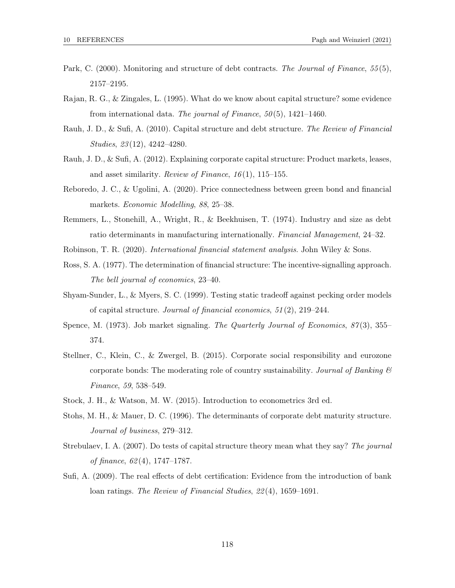- Park, C. (2000). Monitoring and structure of debt contracts. The Journal of Finance, 55(5), 2157–2195.
- Rajan, R. G., & Zingales, L. (1995). What do we know about capital structure? some evidence from international data. The journal of Finance,  $50(5)$ , 1421–1460.
- Rauh, J. D., & Sufi, A. (2010). Capital structure and debt structure. The Review of Financial Studies, 23 (12), 4242–4280.
- Rauh, J. D., & Sufi, A. (2012). Explaining corporate capital structure: Product markets, leases, and asset similarity. *Review of Finance*,  $16(1)$ ,  $115-155$ .
- Reboredo, J. C., & Ugolini, A. (2020). Price connectedness between green bond and financial markets. Economic Modelling, 88, 25–38.
- Remmers, L., Stonehill, A., Wright, R., & Beekhuisen, T. (1974). Industry and size as debt ratio determinants in manufacturing internationally. Financial Management, 24–32.

Robinson, T. R. (2020). International financial statement analysis. John Wiley & Sons.

- Ross, S. A. (1977). The determination of financial structure: The incentive-signalling approach. The bell journal of economics, 23–40.
- Shyam-Sunder, L., & Myers, S. C. (1999). Testing static tradeoff against pecking order models of capital structure. Journal of financial economics, 51 (2), 219–244.
- Spence, M. (1973). Job market signaling. The Quarterly Journal of Economics,  $87(3)$ ,  $355-$ 374.
- Stellner, C., Klein, C., & Zwergel, B. (2015). Corporate social responsibility and eurozone corporate bonds: The moderating role of country sustainability. Journal of Banking  $\mathcal C$ Finance, 59, 538–549.
- Stock, J. H., & Watson, M. W. (2015). Introduction to econometrics 3rd ed.
- Stohs, M. H., & Mauer, D. C. (1996). The determinants of corporate debt maturity structure. Journal of business, 279–312.
- Strebulaev, I. A. (2007). Do tests of capital structure theory mean what they say? The journal of finance, 62 (4), 1747–1787.
- Sufi, A. (2009). The real effects of debt certification: Evidence from the introduction of bank loan ratings. The Review of Financial Studies, 22 (4), 1659–1691.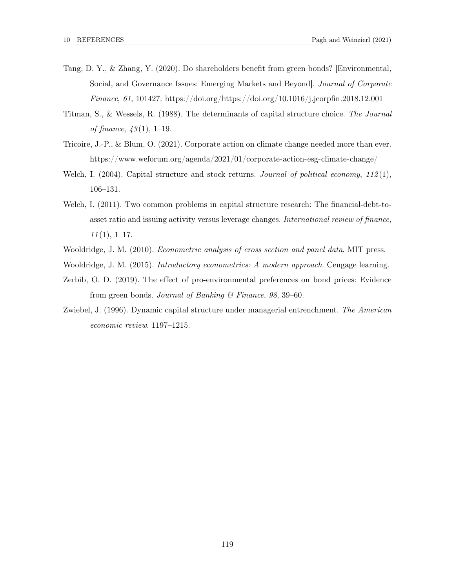- Tang, D. Y., & Zhang, Y. (2020). Do shareholders benefit from green bonds? [Environmental, Social, and Governance Issues: Emerging Markets and Beyond]. Journal of Corporate Finance, 61, 101427. https://doi.org/https://doi.org/10.1016/j.jcorpfin.2018.12.001
- Titman, S., & Wessels, R. (1988). The determinants of capital structure choice. The Journal of finance,  $43(1)$ , 1–19.
- Tricoire, J.-P., & Blum, O. (2021). Corporate action on climate change needed more than ever. https://www.weforum.org/agenda/2021/01/corporate-action-esg-climate-change/
- Welch, I. (2004). Capital structure and stock returns. Journal of political economy,  $112(1)$ , 106–131.
- Welch, I. (2011). Two common problems in capital structure research: The financial-debt-toasset ratio and issuing activity versus leverage changes. International review of finance,  $11(1), 1-17.$
- Wooldridge, J. M. (2010). *Econometric analysis of cross section and panel data*. MIT press.
- Wooldridge, J. M. (2015). *Introductory econometrics: A modern approach*. Cengage learning.
- Zerbib, O. D. (2019). The effect of pro-environmental preferences on bond prices: Evidence from green bonds. Journal of Banking & Finance, 98, 39–60.
- Zwiebel, J. (1996). Dynamic capital structure under managerial entrenchment. The American economic review, 1197–1215.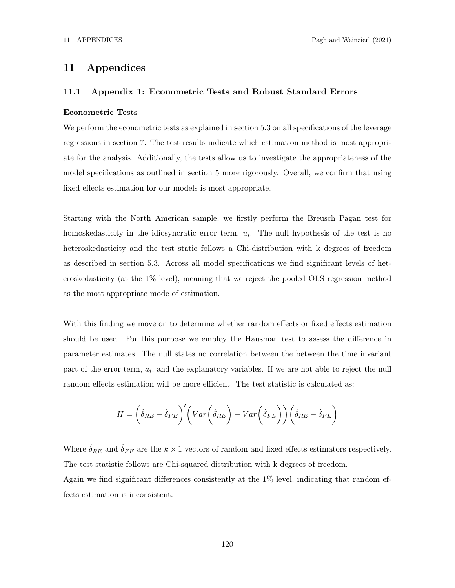# 11 Appendices

## 11.1 Appendix 1: Econometric Tests and Robust Standard Errors

#### Econometric Tests

We perform the econometric tests as explained in section 5.3 on all specifications of the leverage regressions in section 7. The test results indicate which estimation method is most appropriate for the analysis. Additionally, the tests allow us to investigate the appropriateness of the model specifications as outlined in section 5 more rigorously. Overall, we confirm that using fixed effects estimation for our models is most appropriate.

Starting with the North American sample, we firstly perform the Breusch Pagan test for homoskedasticity in the idiosyncratic error term,  $u_i$ . The null hypothesis of the test is no heteroskedasticity and the test static follows a Chi-distribution with k degrees of freedom as described in section 5.3. Across all model specifications we find significant levels of heteroskedasticity (at the 1% level), meaning that we reject the pooled OLS regression method as the most appropriate mode of estimation.

With this finding we move on to determine whether random effects or fixed effects estimation should be used. For this purpose we employ the Hausman test to assess the difference in parameter estimates. The null states no correlation between the between the time invariant part of the error term,  $a_i$ , and the explanatory variables. If we are not able to reject the null random effects estimation will be more efficient. The test statistic is calculated as:

$$
H = \left(\hat{\delta}_{RE} - \hat{\delta}_{FE}\right)' \left( Var \left(\hat{\delta}_{RE}\right) - Var \left(\hat{\delta}_{FE}\right) \right) \left(\hat{\delta}_{RE} - \hat{\delta}_{FE}\right)
$$

Where  $\hat{\delta}_{RE}$  and  $\hat{\delta}_{FE}$  are the  $k \times 1$  vectors of random and fixed effects estimators respectively. The test statistic follows are Chi-squared distribution with k degrees of freedom.

Again we find significant differences consistently at the 1% level, indicating that random effects estimation is inconsistent.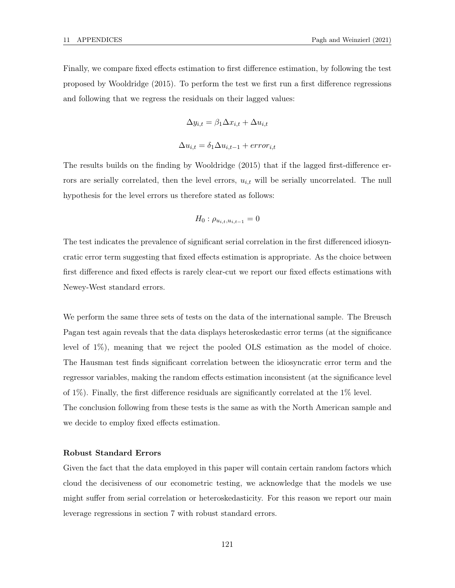Finally, we compare fixed effects estimation to first difference estimation, by following the test proposed by Wooldridge (2015). To perform the test we first run a first difference regressions and following that we regress the residuals on their lagged values:

$$
\Delta y_{i,t} = \beta_1 \Delta x_{i,t} + \Delta u_{i,t}
$$

$$
\Delta u_{i,t} = \delta_1 \Delta u_{i,t-1} + error_{i,t}
$$

The results builds on the finding by Wooldridge (2015) that if the lagged first-difference errors are serially correlated, then the level errors,  $u_{i,t}$  will be serially uncorrelated. The null hypothesis for the level errors us therefore stated as follows:

$$
H_0: \rho_{u_{i,t}, u_{i,t-1}} = 0
$$

The test indicates the prevalence of significant serial correlation in the first differenced idiosyncratic error term suggesting that fixed effects estimation is appropriate. As the choice between first difference and fixed effects is rarely clear-cut we report our fixed effects estimations with Newey-West standard errors.

We perform the same three sets of tests on the data of the international sample. The Breusch Pagan test again reveals that the data displays heteroskedastic error terms (at the significance level of 1%), meaning that we reject the pooled OLS estimation as the model of choice. The Hausman test finds significant correlation between the idiosyncratic error term and the regressor variables, making the random effects estimation inconsistent (at the significance level of 1%). Finally, the first difference residuals are significantly correlated at the 1% level. The conclusion following from these tests is the same as with the North American sample and we decide to employ fixed effects estimation.

## Robust Standard Errors

Given the fact that the data employed in this paper will contain certain random factors which cloud the decisiveness of our econometric testing, we acknowledge that the models we use might suffer from serial correlation or heteroskedasticity. For this reason we report our main leverage regressions in section 7 with robust standard errors.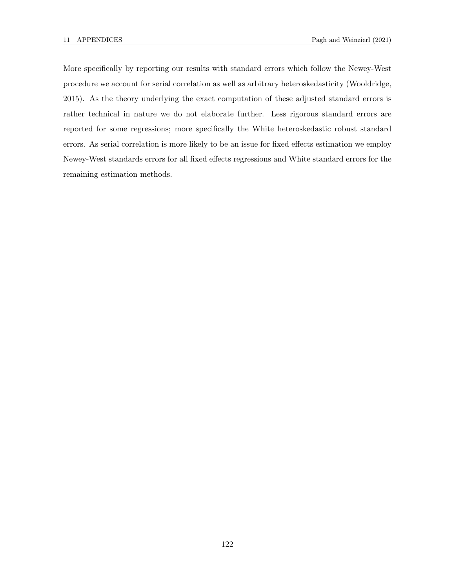More specifically by reporting our results with standard errors which follow the Newey-West procedure we account for serial correlation as well as arbitrary heteroskedasticity (Wooldridge, 2015). As the theory underlying the exact computation of these adjusted standard errors is rather technical in nature we do not elaborate further. Less rigorous standard errors are reported for some regressions; more specifically the White heteroskedastic robust standard errors. As serial correlation is more likely to be an issue for fixed effects estimation we employ Newey-West standards errors for all fixed effects regressions and White standard errors for the remaining estimation methods.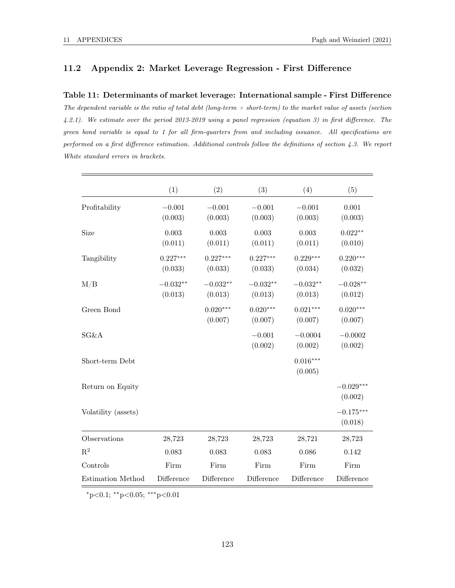## 11.2 Appendix 2: Market Leverage Regression - First Difference

#### Table 11: Determinants of market leverage: International sample - First Difference

The dependent variable is the ratio of total debt (long-term  $+$  short-term) to the market value of assets (section 4.2.1). We estimate over the period 2013-2019 using a panel regression (equation 3) in first difference. The green bond variable is equal to 1 for all firm-quarters from and including issuance. All specifications are performed on a first difference estimation. Additional controls follow the definitions of section 4.3. We report White standard errors in brackets.

|                     | (1)                    | (2)                   | (3)                   | (4)                   | (5)                    |
|---------------------|------------------------|-----------------------|-----------------------|-----------------------|------------------------|
| Profitability       | $-0.001$<br>(0.003)    | $-0.001$<br>(0.003)   | $-0.001$<br>(0.003)   | $-0.001$<br>(0.003)   | 0.001<br>(0.003)       |
| Size                | $\,0.003\,$<br>(0.011) | 0.003<br>(0.011)      | 0.003<br>(0.011)      | 0.003<br>(0.011)      | $0.022**$<br>(0.010)   |
| Tangibility         | $0.227***$<br>(0.033)  | $0.227***$<br>(0.033) | $0.227***$<br>(0.033) | $0.229***$<br>(0.034) | $0.220***$<br>(0.032)  |
| M/B                 | $-0.032**$<br>(0.013)  | $-0.032**$<br>(0.013) | $-0.032**$<br>(0.013) | $-0.032**$<br>(0.013) | $-0.028**$<br>(0.012)  |
| Green Bond          |                        | $0.020***$<br>(0.007) | $0.020***$<br>(0.007) | $0.021***$<br>(0.007) | $0.020***$<br>(0.007)  |
| SG&A                |                        |                       | $-0.001$<br>(0.002)   | $-0.0004$<br>(0.002)  | $-0.0002$<br>(0.002)   |
| Short-term Debt     |                        |                       |                       | $0.016***$<br>(0.005) |                        |
| Return on Equity    |                        |                       |                       |                       | $-0.029***$<br>(0.002) |
| Volatility (assets) |                        |                       |                       |                       | $-0.175***$<br>(0.018) |
| Observations        | 28,723                 | 28,723                | 28,723                | 28,721                | 28,723                 |
| $R^2$               | 0.083                  | 0.083                 | 0.083                 | 0.086                 | 0.142                  |
| Controls            | Firm                   | Firm                  | Firm                  | Firm                  | Firm                   |
| Estimation Method   | Difference             | Difference            | Difference            | Difference            | Difference             |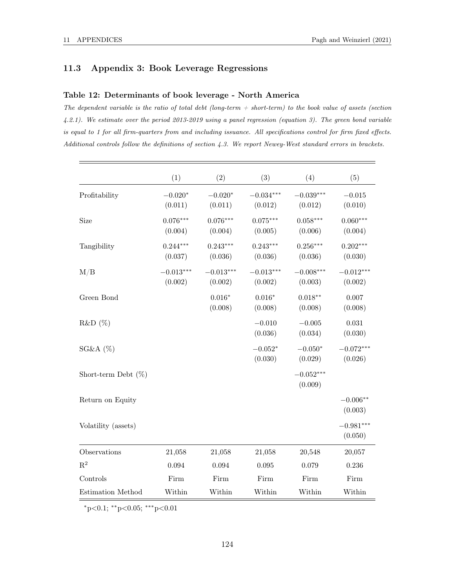## 11.3 Appendix 3: Book Leverage Regressions

## Table 12: Determinants of book leverage - North America

The dependent variable is the ratio of total debt (long-term  $+$  short-term) to the book value of assets (section 4.2.1). We estimate over the period 2013-2019 using a panel regression (equation 3). The green bond variable is equal to 1 for all firm-quarters from and including issuance. All specifications control for firm fixed effects. Additional controls follow the definitions of section 4.3. We report Newey-West standard errors in brackets.

|                        | (1)                    | (2)                    | (3)                    | (4)                    | (5)                    |
|------------------------|------------------------|------------------------|------------------------|------------------------|------------------------|
| Profitability          | $-0.020*$<br>(0.011)   | $-0.020*$<br>(0.011)   | $-0.034***$<br>(0.012) | $-0.039***$<br>(0.012) | $-0.015$<br>(0.010)    |
| Size                   | $0.076***$<br>(0.004)  | $0.076***$<br>(0.004)  | $0.075***$<br>(0.005)  | $0.058***$<br>(0.006)  | $0.060***$<br>(0.004)  |
| Tangibility            | $0.244***$<br>(0.037)  | $0.243***$<br>(0.036)  | $0.243***$<br>(0.036)  | $0.256***$<br>(0.036)  | $0.202***$<br>(0.030)  |
| M/B                    | $-0.013***$<br>(0.002) | $-0.013***$<br>(0.002) | $-0.013***$<br>(0.002) | $-0.008***$<br>(0.003) | $-0.012***$<br>(0.002) |
| Green Bond             |                        | $0.016*$<br>(0.008)    | $0.016*$<br>(0.008)    | $0.018**$<br>(0.008)   | $0.007\,$<br>(0.008)   |
| R&D(%)                 |                        |                        | $-0.010$<br>(0.036)    | $-0.005$<br>(0.034)    | 0.031<br>(0.030)       |
| $SG&A(\%)$             |                        |                        | $-0.052*$<br>(0.030)   | $-0.050*$<br>(0.029)   | $-0.072***$<br>(0.026) |
| Short-term Debt $(\%)$ |                        |                        |                        | $-0.052***$<br>(0.009) |                        |
| Return on Equity       |                        |                        |                        |                        | $-0.006**$<br>(0.003)  |
| Volatility (assets)    |                        |                        |                        |                        | $-0.981***$<br>(0.050) |
| Observations           | 21,058                 | 21,058                 | 21,058                 | 20,548                 | 20,057                 |
| $R^2$                  | 0.094                  | 0.094                  | 0.095                  | 0.079                  | 0.236                  |
| Controls               | Firm                   | Firm                   | Firm                   | Firm                   | Firm                   |
| Estimation Method      | Within                 | Within                 | Within                 | Within                 | Within                 |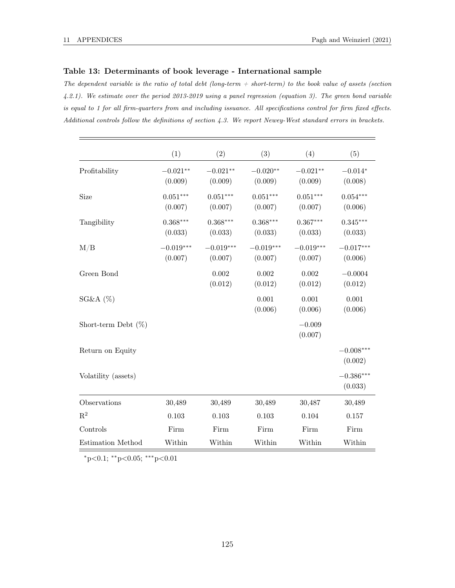## Table 13: Determinants of book leverage - International sample

The dependent variable is the ratio of total debt (long-term  $+$  short-term) to the book value of assets (section 4.2.1). We estimate over the period 2013-2019 using a panel regression (equation 3). The green bond variable is equal to 1 for all firm-quarters from and including issuance. All specifications control for firm fixed effects. Additional controls follow the definitions of section 4.3. We report Newey-West standard errors in brackets.

|                          | (1)                    | (2)                    | (3)                    | (4)                    | (5)                    |
|--------------------------|------------------------|------------------------|------------------------|------------------------|------------------------|
| Profitability            | $-0.021**$<br>(0.009)  | $-0.021**$<br>(0.009)  | $-0.020**$<br>(0.009)  | $-0.021**$<br>(0.009)  | $-0.014*$<br>(0.008)   |
| Size                     | $0.051***$<br>(0.007)  | $0.051***$<br>(0.007)  | $0.051***$<br>(0.007)  | $0.051***$<br>(0.007)  | $0.054***$<br>(0.006)  |
| Tangibility              | $0.368***$<br>(0.033)  | $0.368***$<br>(0.033)  | $0.368***$<br>(0.033)  | $0.367***$<br>(0.033)  | $0.345***$<br>(0.033)  |
| M/B                      | $-0.019***$<br>(0.007) | $-0.019***$<br>(0.007) | $-0.019***$<br>(0.007) | $-0.019***$<br>(0.007) | $-0.017***$<br>(0.006) |
| Green Bond               |                        | 0.002<br>(0.012)       | 0.002<br>(0.012)       | 0.002<br>(0.012)       | $-0.0004$<br>(0.012)   |
| $SG&A(\%)$               |                        |                        | 0.001<br>(0.006)       | 0.001<br>(0.006)       | 0.001<br>(0.006)       |
| Short-term Debt $(\%)$   |                        |                        |                        | $-0.009$<br>(0.007)    |                        |
| Return on Equity         |                        |                        |                        |                        | $-0.008***$<br>(0.002) |
| Volatility (assets)      |                        |                        |                        |                        | $-0.386***$<br>(0.033) |
| Observations             | 30,489                 | 30,489                 | 30,489                 | 30,487                 | 30,489                 |
| $\mathbf{R}^2$           | 0.103                  | 0.103                  | 0.103                  | 0.104                  | 0.157                  |
| Controls                 | Firm                   | Firm                   | Firm                   | Firm                   | Firm                   |
| <b>Estimation Method</b> | Within                 | Within                 | Within                 | Within                 | Within                 |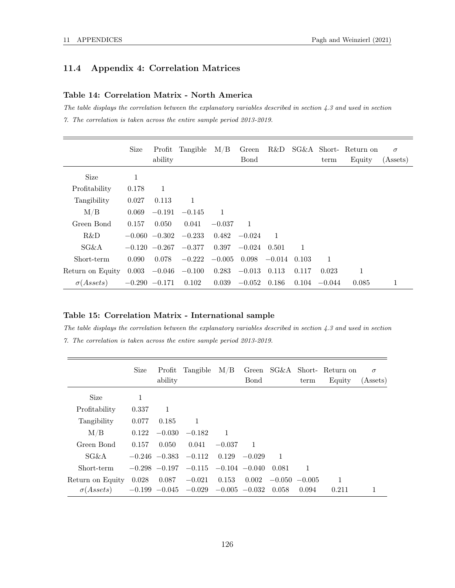# 11.4 Appendix 4: Correlation Matrices

## Table 14: Correlation Matrix - North America

The table displays the correlation between the explanatory variables described in section 4.3 and used in section 7. The correlation is taken across the entire sample period 2013-2019.

|                                                             | <b>Size</b> | Profit<br>ability | Tangible | $\rm M/B$ | Green<br>Bond | R&D      |       | term            | SG&A Short-Return on<br>Equity | $\sigma$<br>(Assets) |
|-------------------------------------------------------------|-------------|-------------------|----------|-----------|---------------|----------|-------|-----------------|--------------------------------|----------------------|
|                                                             |             |                   |          |           |               |          |       |                 |                                |                      |
| Size                                                        | 1           |                   |          |           |               |          |       |                 |                                |                      |
| Profitability                                               | 0.178       | 1                 |          |           |               |          |       |                 |                                |                      |
| Tangibility                                                 | 0.027       | 0.113             | 1        |           |               |          |       |                 |                                |                      |
| M/B                                                         | 0.069       | $-0.191$          | $-0.145$ | 1         |               |          |       |                 |                                |                      |
| Green Bond                                                  | 0.157       | 0.050             | 0.041    | $-0.037$  | 1             |          |       |                 |                                |                      |
| R&D                                                         |             | $-0.060 -0.302$   | $-0.233$ | 0.482     | $-0.024$      | -1       |       |                 |                                |                      |
| $SG\&A$                                                     |             | $-0.120 -0.267$   | $-0.377$ | 0.397     | $-0.024$      | 0.501    | 1     |                 |                                |                      |
| Short-term                                                  | 0.090       | 0.078             | $-0.222$ | $-0.005$  | 0.098         | $-0.014$ | 0.103 | 1               |                                |                      |
| Return on Equity                                            | 0.003       | $-0.046$          | $-0.100$ | 0.283     | $-0.013$      | 0.113    | 0.117 | 0.023           | 1                              |                      |
| $\sigma(A \, \text{s} \, \text{s} \, \text{t} \, \text{s})$ |             | $-0.290 -0.171$   | 0.102    | 0.039     | $-0.052$      | 0.186    |       | $0.104 - 0.044$ | 0.085                          | 1                    |

## Table 15: Correlation Matrix - International sample

The table displays the correlation between the explanatory variables described in section 4.3 and used in section 7. The correlation is taken across the entire sample period 2013-2019.

|                                                             | Size  | Profit<br>ability | Tangible                             | M/B                        | <b>B</b> ond    |                | term            | Green SG&A Short-Return on<br>Equity | $\sigma$<br>(A <sub>s</sub> ) |
|-------------------------------------------------------------|-------|-------------------|--------------------------------------|----------------------------|-----------------|----------------|-----------------|--------------------------------------|-------------------------------|
| Size                                                        | 1     |                   |                                      |                            |                 |                |                 |                                      |                               |
| Profitability                                               | 0.337 | 1                 |                                      |                            |                 |                |                 |                                      |                               |
| Tangibility                                                 | 0.077 | 0.185             | 1                                    |                            |                 |                |                 |                                      |                               |
| M/B                                                         | 0.122 | $-0.030$          | $-0.182$                             | 1                          |                 |                |                 |                                      |                               |
| Green Bond                                                  | 0.157 | 0.050             | 0.041                                | $-0.037$                   | -1              |                |                 |                                      |                               |
| $SG\&A$                                                     |       |                   | $-0.246$ $-0.383$ $-0.112$           |                            | $0.129 - 0.029$ | $\overline{1}$ |                 |                                      |                               |
| Short-term                                                  |       | $-0.298 - 0.197$  |                                      | $-0.115$ $-0.104$ $-0.040$ |                 | 0.081          | 1               |                                      |                               |
| Return on Equity                                            | 0.028 | 0.087             | $-0.021$                             | 0.153                      | 0.002           |                | $-0.050 -0.005$ | 1                                    |                               |
| $\sigma(A \, \text{s} \, \text{s} \, \text{t} \, \text{s})$ |       |                   | $-0.199 -0.045 -0.029 -0.005 -0.032$ |                            |                 | 0.058          | 0.094           | 0.211                                |                               |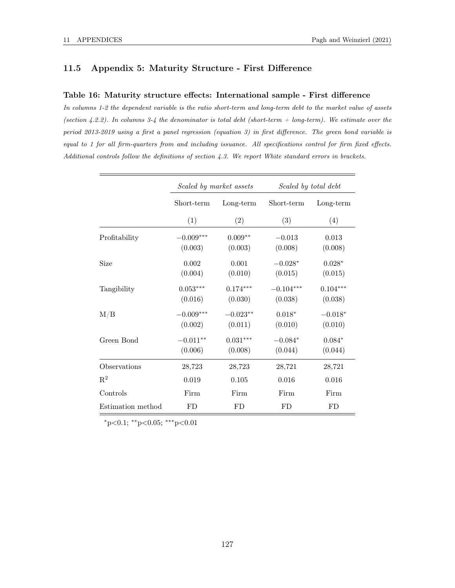## 11.5 Appendix 5: Maturity Structure - First Difference

#### Table 16: Maturity structure effects: International sample - First difference

In columns 1-2 the dependent variable is the ratio short-term and long-term debt to the market value of assets (section 4.2.2). In columns 3-4 the denominator is total debt (short-term  $+$  long-term). We estimate over the period 2013-2019 using a first a panel regression (equation 3) in first difference. The green bond variable is equal to 1 for all firm-quarters from and including issuance. All specifications control for firm fixed effects. Additional controls follow the definitions of section 4.3. We report White standard errors in brackets.

|                   | Scaled by market assets |                       | Scaled by total debt   |                       |  |  |
|-------------------|-------------------------|-----------------------|------------------------|-----------------------|--|--|
|                   | Short-term              | Long-term             | Short-term             | Long-term             |  |  |
|                   | (1)                     | (2)                   | (3)                    | (4)                   |  |  |
| Profitability     | $-0.009***$<br>(0.003)  | $0.009**$<br>(0.003)  | $-0.013$<br>(0.008)    | 0.013<br>(0.008)      |  |  |
| Size              | 0.002<br>(0.004)        | 0.001<br>(0.010)      | $-0.028*$<br>(0.015)   | $0.028*$<br>(0.015)   |  |  |
| Tangibility       | $0.053***$<br>(0.016)   | $0.174***$<br>(0.030) | $-0.104***$<br>(0.038) | $0.104***$<br>(0.038) |  |  |
| $\rm M/B$         | $-0.009***$<br>(0.002)  | $-0.023**$<br>(0.011) | $0.018*$<br>(0.010)    | $-0.018*$<br>(0.010)  |  |  |
| Green Bond        | $-0.011**$<br>(0.006)   | $0.031***$<br>(0.008) | $-0.084*$<br>(0.044)   | $0.084*$<br>(0.044)   |  |  |
| Observations      | 28,723                  | 28,723                | 28,721                 | 28,721                |  |  |
| $\mathbf{R}^2$    | 0.019                   | 0.105                 | 0.016                  | 0.016                 |  |  |
| Controls          | Firm                    | Firm                  | Firm                   | Firm                  |  |  |
| Estimation method | FD                      | FD                    | FD                     | FD                    |  |  |

 $*p<0.1$ ;  $*p<0.05$ ;  $***p<0.01$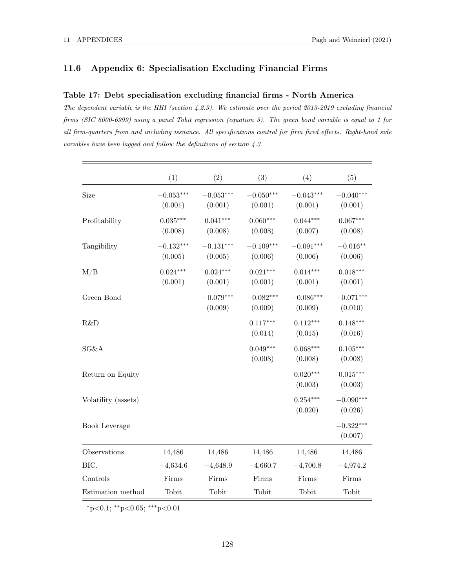## 11.6 Appendix 6: Specialisation Excluding Financial Firms

#### Table 17: Debt specialisation excluding financial firms - North America

The dependent variable is the HHI (section 4.2.3). We estimate over the period 2013-2019 excluding financial firms (SIC 6000-6999) using a panel Tobit regression (equation 5). The green bond variable is equal to 1 for all firm-quarters from and including issuance. All specifications control for firm fixed effects. Right-hand side variables have been lagged and follow the definitions of section 4.3

|                     | (1)                    | (2)                    | (3)                    | (4)                    | (5)                    |
|---------------------|------------------------|------------------------|------------------------|------------------------|------------------------|
| Size                | $-0.053***$<br>(0.001) | $-0.053***$<br>(0.001) | $-0.050***$<br>(0.001) | $-0.043***$<br>(0.001) | $-0.040***$<br>(0.001) |
| Profitability       | $0.035***$<br>(0.008)  | $0.041***$<br>(0.008)  | $0.060***$<br>(0.008)  | $0.044***$<br>(0.007)  | $0.067***$<br>(0.008)  |
| Tangibility         | $-0.132***$<br>(0.005) | $-0.131***$<br>(0.005) | $-0.109***$<br>(0.006) | $-0.091***$<br>(0.006) | $-0.016**$<br>(0.006)  |
| M/B                 | $0.024***$<br>(0.001)  | $0.024***$<br>(0.001)  | $0.021***$<br>(0.001)  | $0.014***$<br>(0.001)  | $0.018***$<br>(0.001)  |
| Green Bond          |                        | $-0.079***$<br>(0.009) | $-0.082***$<br>(0.009) | $-0.086***$<br>(0.009) | $-0.071***$<br>(0.010) |
| R&D                 |                        |                        | $0.117***$<br>(0.014)  | $0.112***$<br>(0.015)  | $0.148***$<br>(0.016)  |
| SG&A                |                        |                        | $0.049***$<br>(0.008)  | $0.068***$<br>(0.008)  | $0.105***$<br>(0.008)  |
| Return on Equity    |                        |                        |                        | $0.020***$<br>(0.003)  | $0.015***$<br>(0.003)  |
| Volatility (assets) |                        |                        |                        | $0.254***$<br>(0.020)  | $-0.090***$<br>(0.026) |
| Book Leverage       |                        |                        |                        |                        | $-0.322***$<br>(0.007) |
| Observations        | 14,486                 | 14,486                 | 14,486                 | 14,486                 | 14,486                 |
| BIC.                | $-4,634.6$             | $-4,648.9$             | $-4,660.7$             | $-4,700.8$             | $-4,974.2$             |
| Controls            | Firms                  | Firms                  | Firms                  | Firms                  | Firms                  |
| Estimation method   | Tobit                  | Tobit                  | Tobit                  | Tobit                  | Tobit                  |